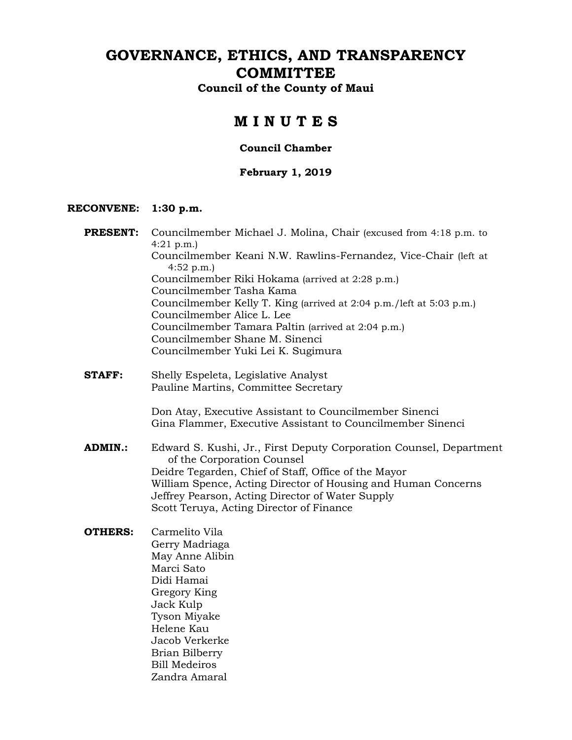# **GOVERNANCE, ETHICS, AND TRANSPARENCY COMMITTEE**

**Council of the County of Maui**

# **M I N U T E S**

### **Council Chamber**

### **February 1, 2019**

#### **RECONVENE: 1:30 p.m.**

- **PRESENT:** Councilmember Michael J. Molina, Chair (excused from 4:18 p.m. to 4:21 p.m.) Councilmember Keani N.W. Rawlins-Fernandez, Vice-Chair (left at 4:52 p.m.) Councilmember Riki Hokama (arrived at 2:28 p.m.) Councilmember Tasha Kama Councilmember Kelly T. King (arrived at 2:04 p.m./left at 5:03 p.m.) Councilmember Alice L. Lee Councilmember Tamara Paltin (arrived at 2:04 p.m.) Councilmember Shane M. Sinenci Councilmember Yuki Lei K. Sugimura
- **STAFF:** Shelly Espeleta, Legislative Analyst Pauline Martins, Committee Secretary

Don Atay, Executive Assistant to Councilmember Sinenci Gina Flammer, Executive Assistant to Councilmember Sinenci

**ADMIN.:** Edward S. Kushi, Jr., First Deputy Corporation Counsel, Department of the Corporation Counsel Deidre Tegarden, Chief of Staff, Office of the Mayor William Spence, Acting Director of Housing and Human Concerns Jeffrey Pearson, Acting Director of Water Supply Scott Teruya, Acting Director of Finance

**OTHERS:** Carmelito Vila Gerry Madriaga May Anne Alibin Marci Sato Didi Hamai Gregory King Jack Kulp Tyson Miyake Helene Kau Jacob Verkerke Brian Bilberry Bill Medeiros Zandra Amaral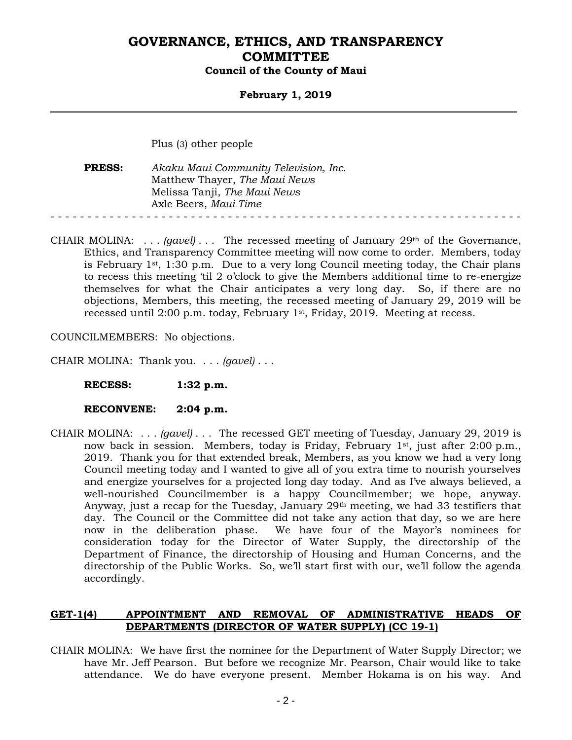### **February 1, 2019**

Plus (3) other people

**PRESS:** *Akaku Maui Community Television, Inc.* Matthew Thayer, *The Maui News* Melissa Tanji, *The Maui News* Axle Beers, *Maui Time* - - - - - - - - - - - - - - - - - - - - - - - - - - - - - - - - - - - - - - - - - - - - - - - - - - - - - - - - - - - - - - - -

CHAIR MOLINA: . . . *(gavel)* . . . The recessed meeting of January 29th of the Governance, Ethics, and Transparency Committee meeting will now come to order. Members, today is February  $1<sup>st</sup>$ , 1:30 p.m. Due to a very long Council meeting today, the Chair plans to recess this meeting 'til 2 o'clock to give the Members additional time to re-energize themselves for what the Chair anticipates a very long day. So, if there are no objections, Members, this meeting, the recessed meeting of January 29, 2019 will be recessed until 2:00 p.m. today, February 1st, Friday, 2019. Meeting at recess.

COUNCILMEMBERS: No objections.

CHAIR MOLINA: Thank you. . . . *(gavel)* . . .

**RECESS: 1:32 p.m.**

#### **RECONVENE: 2:04 p.m.**

CHAIR MOLINA: . . . *(gavel)* . . . The recessed GET meeting of Tuesday, January 29, 2019 is now back in session. Members, today is Friday, February 1st, just after 2:00 p.m., 2019. Thank you for that extended break, Members, as you know we had a very long Council meeting today and I wanted to give all of you extra time to nourish yourselves and energize yourselves for a projected long day today. And as I've always believed, a well-nourished Councilmember is a happy Councilmember; we hope, anyway. Anyway, just a recap for the Tuesday, January 29th meeting, we had 33 testifiers that day. The Council or the Committee did not take any action that day, so we are here now in the deliberation phase. We have four of the Mayor's nominees for consideration today for the Director of Water Supply, the directorship of the Department of Finance, the directorship of Housing and Human Concerns, and the directorship of the Public Works. So, we'll start first with our, we'll follow the agenda accordingly.

### **GET-1(4) APPOINTMENT AND REMOVAL OF ADMINISTRATIVE HEADS OF DEPARTMENTS (DIRECTOR OF WATER SUPPLY) (CC 19-1)**

CHAIR MOLINA: We have first the nominee for the Department of Water Supply Director; we have Mr. Jeff Pearson. But before we recognize Mr. Pearson, Chair would like to take attendance. We do have everyone present. Member Hokama is on his way. And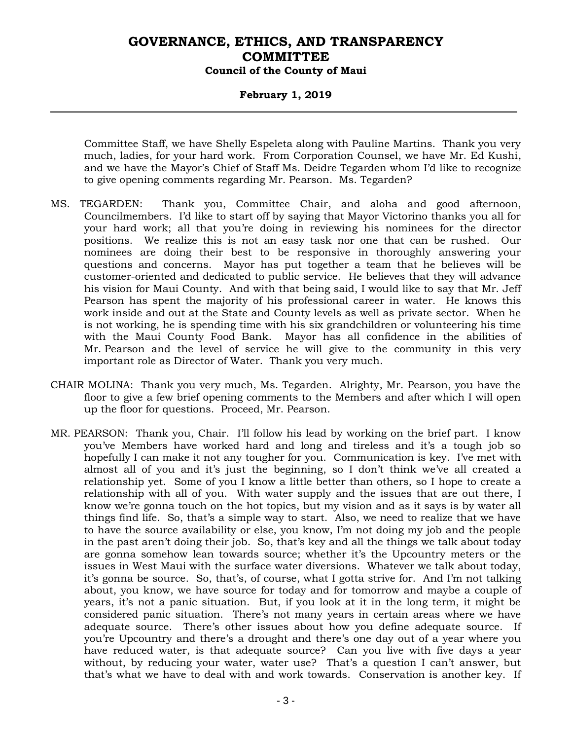### **February 1, 2019**

Committee Staff, we have Shelly Espeleta along with Pauline Martins. Thank you very much, ladies, for your hard work. From Corporation Counsel, we have Mr. Ed Kushi, and we have the Mayor's Chief of Staff Ms. Deidre Tegarden whom I'd like to recognize to give opening comments regarding Mr. Pearson. Ms. Tegarden?

- MS. TEGARDEN: Thank you, Committee Chair, and aloha and good afternoon, Councilmembers. I'd like to start off by saying that Mayor Victorino thanks you all for your hard work; all that you're doing in reviewing his nominees for the director positions. We realize this is not an easy task nor one that can be rushed. Our nominees are doing their best to be responsive in thoroughly answering your questions and concerns. Mayor has put together a team that he believes will be customer-oriented and dedicated to public service. He believes that they will advance his vision for Maui County. And with that being said, I would like to say that Mr. Jeff Pearson has spent the majority of his professional career in water. He knows this work inside and out at the State and County levels as well as private sector. When he is not working, he is spending time with his six grandchildren or volunteering his time with the Maui County Food Bank. Mayor has all confidence in the abilities of Mr. Pearson and the level of service he will give to the community in this very important role as Director of Water. Thank you very much.
- CHAIR MOLINA: Thank you very much, Ms. Tegarden. Alrighty, Mr. Pearson, you have the floor to give a few brief opening comments to the Members and after which I will open up the floor for questions. Proceed, Mr. Pearson.
- MR. PEARSON: Thank you, Chair. I'll follow his lead by working on the brief part. I know you've Members have worked hard and long and tireless and it's a tough job so hopefully I can make it not any tougher for you. Communication is key. I've met with almost all of you and it's just the beginning, so I don't think we've all created a relationship yet. Some of you I know a little better than others, so I hope to create a relationship with all of you. With water supply and the issues that are out there, I know we're gonna touch on the hot topics, but my vision and as it says is by water all things find life. So, that's a simple way to start. Also, we need to realize that we have to have the source availability or else, you know, I'm not doing my job and the people in the past aren't doing their job. So, that's key and all the things we talk about today are gonna somehow lean towards source; whether it's the Upcountry meters or the issues in West Maui with the surface water diversions. Whatever we talk about today, it's gonna be source. So, that's, of course, what I gotta strive for. And I'm not talking about, you know, we have source for today and for tomorrow and maybe a couple of years, it's not a panic situation. But, if you look at it in the long term, it might be considered panic situation. There's not many years in certain areas where we have adequate source. There's other issues about how you define adequate source. If you're Upcountry and there's a drought and there's one day out of a year where you have reduced water, is that adequate source? Can you live with five days a year without, by reducing your water, water use? That's a question I can't answer, but that's what we have to deal with and work towards. Conservation is another key. If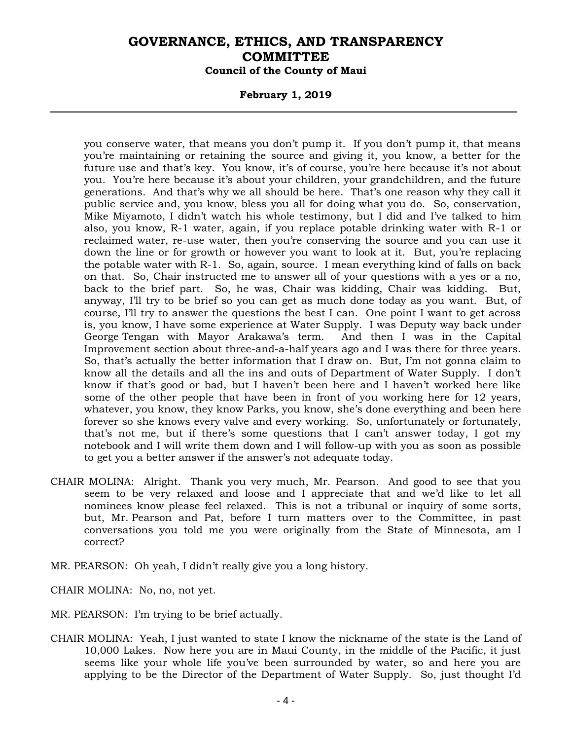#### **February 1, 2019**

you conserve water, that means you don't pump it. If you don't pump it, that means you're maintaining or retaining the source and giving it, you know, a better for the future use and that's key. You know, it's of course, you're here because it's not about you. You're here because it's about your children, your grandchildren, and the future generations. And that's why we all should be here. That's one reason why they call it public service and, you know, bless you all for doing what you do. So, conservation, Mike Miyamoto, I didn't watch his whole testimony, but I did and I've talked to him also, you know, R-1 water, again, if you replace potable drinking water with R-1 or reclaimed water, re-use water, then you're conserving the source and you can use it down the line or for growth or however you want to look at it. But, you're replacing the potable water with R-1. So, again, source. I mean everything kind of falls on back on that. So, Chair instructed me to answer all of your questions with a yes or a no, back to the brief part. So, he was, Chair was kidding, Chair was kidding. But, anyway, I'll try to be brief so you can get as much done today as you want. But, of course, I'll try to answer the questions the best I can. One point I want to get across is, you know, I have some experience at Water Supply. I was Deputy way back under George Tengan with Mayor Arakawa's term. And then I was in the Capital Improvement section about three-and-a-half years ago and I was there for three years. So, that's actually the better information that I draw on. But, I'm not gonna claim to know all the details and all the ins and outs of Department of Water Supply. I don't know if that's good or bad, but I haven't been here and I haven't worked here like some of the other people that have been in front of you working here for 12 years, whatever, you know, they know Parks, you know, she's done everything and been here forever so she knows every valve and every working. So, unfortunately or fortunately, that's not me, but if there's some questions that I can't answer today, I got my notebook and I will write them down and I will follow-up with you as soon as possible to get you a better answer if the answer's not adequate today.

- CHAIR MOLINA: Alright. Thank you very much, Mr. Pearson. And good to see that you seem to be very relaxed and loose and I appreciate that and we'd like to let all nominees know please feel relaxed. This is not a tribunal or inquiry of some sorts, but, Mr. Pearson and Pat, before I turn matters over to the Committee, in past conversations you told me you were originally from the State of Minnesota, am I correct?
- MR. PEARSON: Oh yeah, I didn't really give you a long history.

CHAIR MOLINA: No, no, not yet.

- MR. PEARSON: I'm trying to be brief actually.
- CHAIR MOLINA: Yeah, I just wanted to state I know the nickname of the state is the Land of 10,000 Lakes. Now here you are in Maui County, in the middle of the Pacific, it just seems like your whole life you've been surrounded by water, so and here you are applying to be the Director of the Department of Water Supply. So, just thought I'd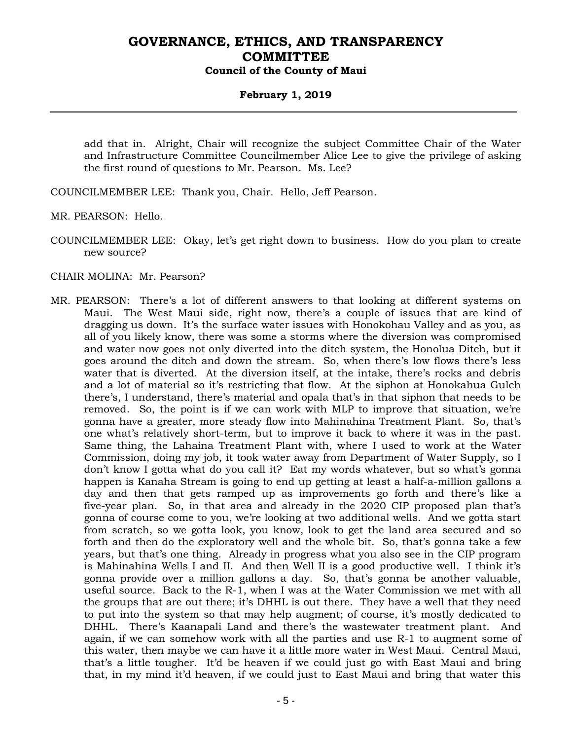### **February 1, 2019**

add that in. Alright, Chair will recognize the subject Committee Chair of the Water and Infrastructure Committee Councilmember Alice Lee to give the privilege of asking the first round of questions to Mr. Pearson. Ms. Lee?

COUNCILMEMBER LEE: Thank you, Chair. Hello, Jeff Pearson.

MR. PEARSON: Hello.

COUNCILMEMBER LEE: Okay, let's get right down to business. How do you plan to create new source?

CHAIR MOLINA: Mr. Pearson?

MR. PEARSON: There's a lot of different answers to that looking at different systems on Maui. The West Maui side, right now, there's a couple of issues that are kind of dragging us down. It's the surface water issues with Honokohau Valley and as you, as all of you likely know, there was some a storms where the diversion was compromised and water now goes not only diverted into the ditch system, the Honolua Ditch, but it goes around the ditch and down the stream. So, when there's low flows there's less water that is diverted. At the diversion itself, at the intake, there's rocks and debris and a lot of material so it's restricting that flow. At the siphon at Honokahua Gulch there's, I understand, there's material and opala that's in that siphon that needs to be removed. So, the point is if we can work with MLP to improve that situation, we're gonna have a greater, more steady flow into Mahinahina Treatment Plant. So, that's one what's relatively short-term, but to improve it back to where it was in the past. Same thing, the Lahaina Treatment Plant with, where I used to work at the Water Commission, doing my job, it took water away from Department of Water Supply, so I don't know I gotta what do you call it? Eat my words whatever, but so what's gonna happen is Kanaha Stream is going to end up getting at least a half-a-million gallons a day and then that gets ramped up as improvements go forth and there's like a five-year plan. So, in that area and already in the 2020 CIP proposed plan that's gonna of course come to you, we're looking at two additional wells. And we gotta start from scratch, so we gotta look, you know, look to get the land area secured and so forth and then do the exploratory well and the whole bit. So, that's gonna take a few years, but that's one thing. Already in progress what you also see in the CIP program is Mahinahina Wells I and II. And then Well II is a good productive well. I think it's gonna provide over a million gallons a day. So, that's gonna be another valuable, useful source. Back to the R-1, when I was at the Water Commission we met with all the groups that are out there; it's DHHL is out there. They have a well that they need to put into the system so that may help augment; of course, it's mostly dedicated to DHHL. There's Kaanapali Land and there's the wastewater treatment plant. And again, if we can somehow work with all the parties and use R-1 to augment some of this water, then maybe we can have it a little more water in West Maui. Central Maui, that's a little tougher. It'd be heaven if we could just go with East Maui and bring that, in my mind it'd heaven, if we could just to East Maui and bring that water this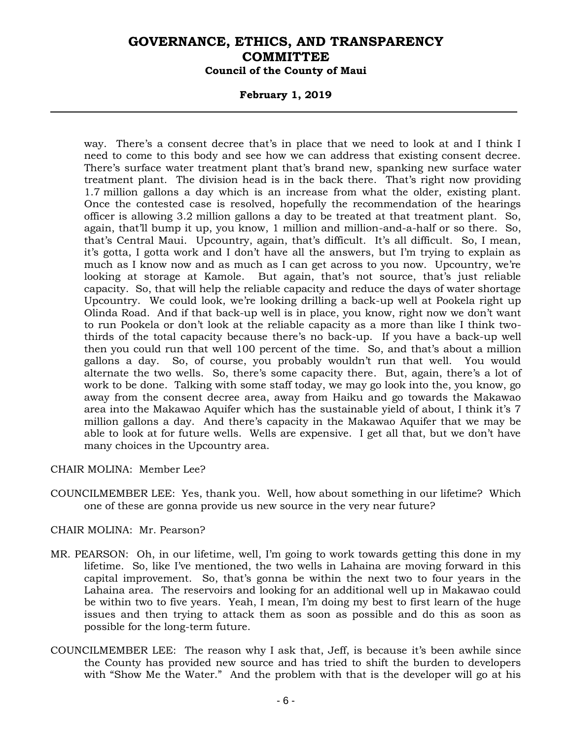### **February 1, 2019**

way. There's a consent decree that's in place that we need to look at and I think I need to come to this body and see how we can address that existing consent decree. There's surface water treatment plant that's brand new, spanking new surface water treatment plant. The division head is in the back there. That's right now providing 1.7 million gallons a day which is an increase from what the older, existing plant. Once the contested case is resolved, hopefully the recommendation of the hearings officer is allowing 3.2 million gallons a day to be treated at that treatment plant. So, again, that'll bump it up, you know, 1 million and million-and-a-half or so there. So, that's Central Maui. Upcountry, again, that's difficult. It's all difficult. So, I mean, it's gotta, I gotta work and I don't have all the answers, but I'm trying to explain as much as I know now and as much as I can get across to you now. Upcountry, we're looking at storage at Kamole. But again, that's not source, that's just reliable capacity. So, that will help the reliable capacity and reduce the days of water shortage Upcountry. We could look, we're looking drilling a back-up well at Pookela right up Olinda Road. And if that back-up well is in place, you know, right now we don't want to run Pookela or don't look at the reliable capacity as a more than like I think twothirds of the total capacity because there's no back-up. If you have a back-up well then you could run that well 100 percent of the time. So, and that's about a million gallons a day. So, of course, you probably wouldn't run that well. You would alternate the two wells. So, there's some capacity there. But, again, there's a lot of work to be done. Talking with some staff today, we may go look into the, you know, go away from the consent decree area, away from Haiku and go towards the Makawao area into the Makawao Aquifer which has the sustainable yield of about, I think it's 7 million gallons a day. And there's capacity in the Makawao Aquifer that we may be able to look at for future wells. Wells are expensive. I get all that, but we don't have many choices in the Upcountry area.

CHAIR MOLINA: Member Lee?

COUNCILMEMBER LEE: Yes, thank you. Well, how about something in our lifetime? Which one of these are gonna provide us new source in the very near future?

### CHAIR MOLINA: Mr. Pearson?

- MR. PEARSON: Oh, in our lifetime, well, I'm going to work towards getting this done in my lifetime. So, like I've mentioned, the two wells in Lahaina are moving forward in this capital improvement. So, that's gonna be within the next two to four years in the Lahaina area. The reservoirs and looking for an additional well up in Makawao could be within two to five years. Yeah, I mean, I'm doing my best to first learn of the huge issues and then trying to attack them as soon as possible and do this as soon as possible for the long-term future.
- COUNCILMEMBER LEE: The reason why I ask that, Jeff, is because it's been awhile since the County has provided new source and has tried to shift the burden to developers with "Show Me the Water." And the problem with that is the developer will go at his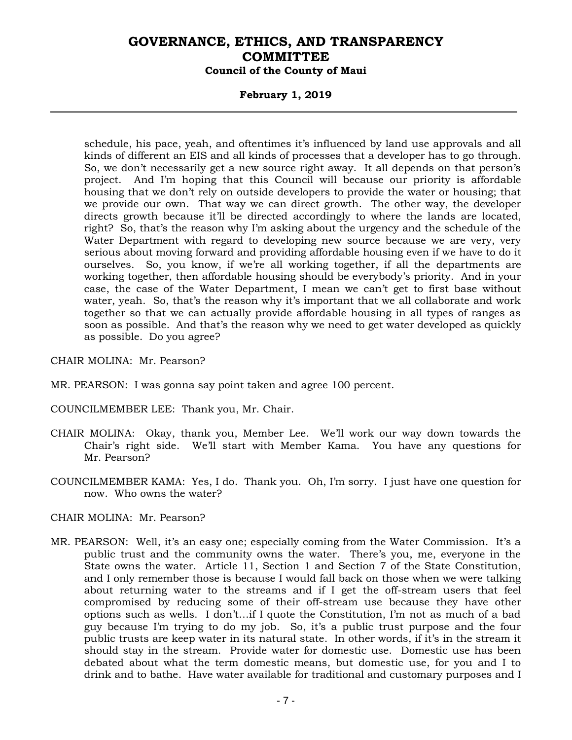### **February 1, 2019**

schedule, his pace, yeah, and oftentimes it's influenced by land use approvals and all kinds of different an EIS and all kinds of processes that a developer has to go through. So, we don't necessarily get a new source right away. It all depends on that person's project. And I'm hoping that this Council will because our priority is affordable housing that we don't rely on outside developers to provide the water or housing; that we provide our own. That way we can direct growth. The other way, the developer directs growth because it'll be directed accordingly to where the lands are located, right? So, that's the reason why I'm asking about the urgency and the schedule of the Water Department with regard to developing new source because we are very, very serious about moving forward and providing affordable housing even if we have to do it ourselves. So, you know, if we're all working together, if all the departments are working together, then affordable housing should be everybody's priority. And in your case, the case of the Water Department, I mean we can't get to first base without water, yeah. So, that's the reason why it's important that we all collaborate and work together so that we can actually provide affordable housing in all types of ranges as soon as possible. And that's the reason why we need to get water developed as quickly as possible. Do you agree?

CHAIR MOLINA: Mr. Pearson?

MR. PEARSON: I was gonna say point taken and agree 100 percent.

COUNCILMEMBER LEE: Thank you, Mr. Chair.

- CHAIR MOLINA: Okay, thank you, Member Lee. We'll work our way down towards the Chair's right side. We'll start with Member Kama. You have any questions for Mr. Pearson?
- COUNCILMEMBER KAMA: Yes, I do. Thank you. Oh, I'm sorry. I just have one question for now. Who owns the water?

#### CHAIR MOLINA: Mr. Pearson?

MR. PEARSON: Well, it's an easy one; especially coming from the Water Commission. It's a public trust and the community owns the water. There's you, me, everyone in the State owns the water. Article 11, Section 1 and Section 7 of the State Constitution, and I only remember those is because I would fall back on those when we were talking about returning water to the streams and if I get the off-stream users that feel compromised by reducing some of their off-stream use because they have other options such as wells. I don't…if I quote the Constitution, I'm not as much of a bad guy because I'm trying to do my job. So, it's a public trust purpose and the four public trusts are keep water in its natural state. In other words, if it's in the stream it should stay in the stream. Provide water for domestic use. Domestic use has been debated about what the term domestic means, but domestic use, for you and I to drink and to bathe. Have water available for traditional and customary purposes and I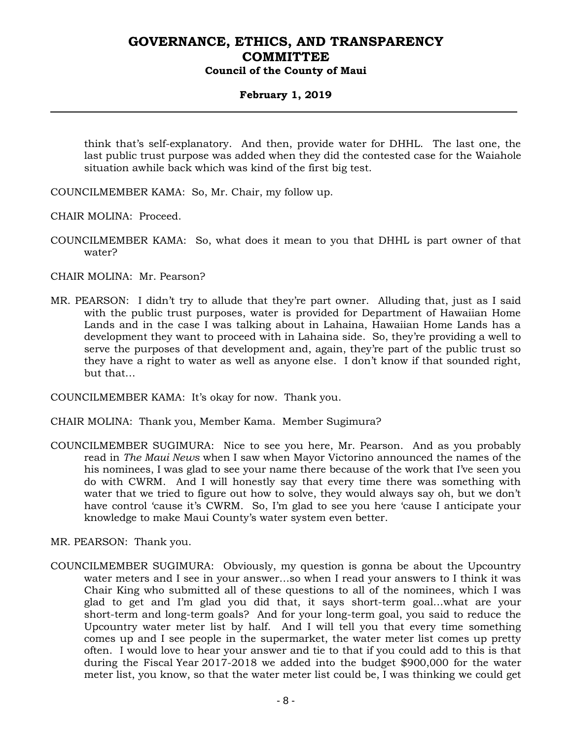### **February 1, 2019**

think that's self-explanatory. And then, provide water for DHHL. The last one, the last public trust purpose was added when they did the contested case for the Waiahole situation awhile back which was kind of the first big test.

COUNCILMEMBER KAMA: So, Mr. Chair, my follow up.

CHAIR MOLINA: Proceed.

COUNCILMEMBER KAMA: So, what does it mean to you that DHHL is part owner of that water?

CHAIR MOLINA: Mr. Pearson?

MR. PEARSON: I didn't try to allude that they're part owner. Alluding that, just as I said with the public trust purposes, water is provided for Department of Hawaiian Home Lands and in the case I was talking about in Lahaina, Hawaiian Home Lands has a development they want to proceed with in Lahaina side. So, they're providing a well to serve the purposes of that development and, again, they're part of the public trust so they have a right to water as well as anyone else. I don't know if that sounded right, but that…

COUNCILMEMBER KAMA: It's okay for now. Thank you.

CHAIR MOLINA: Thank you, Member Kama. Member Sugimura?

COUNCILMEMBER SUGIMURA: Nice to see you here, Mr. Pearson. And as you probably read in *The Maui News* when I saw when Mayor Victorino announced the names of the his nominees, I was glad to see your name there because of the work that I've seen you do with CWRM. And I will honestly say that every time there was something with water that we tried to figure out how to solve, they would always say oh, but we don't have control 'cause it's CWRM. So, I'm glad to see you here 'cause I anticipate your knowledge to make Maui County's water system even better.

MR. PEARSON: Thank you.

COUNCILMEMBER SUGIMURA: Obviously, my question is gonna be about the Upcountry water meters and I see in your answer…so when I read your answers to I think it was Chair King who submitted all of these questions to all of the nominees, which I was glad to get and I'm glad you did that, it says short-term goal…what are your short-term and long-term goals? And for your long-term goal, you said to reduce the Upcountry water meter list by half. And I will tell you that every time something comes up and I see people in the supermarket, the water meter list comes up pretty often. I would love to hear your answer and tie to that if you could add to this is that during the Fiscal Year 2017-2018 we added into the budget \$900,000 for the water meter list, you know, so that the water meter list could be, I was thinking we could get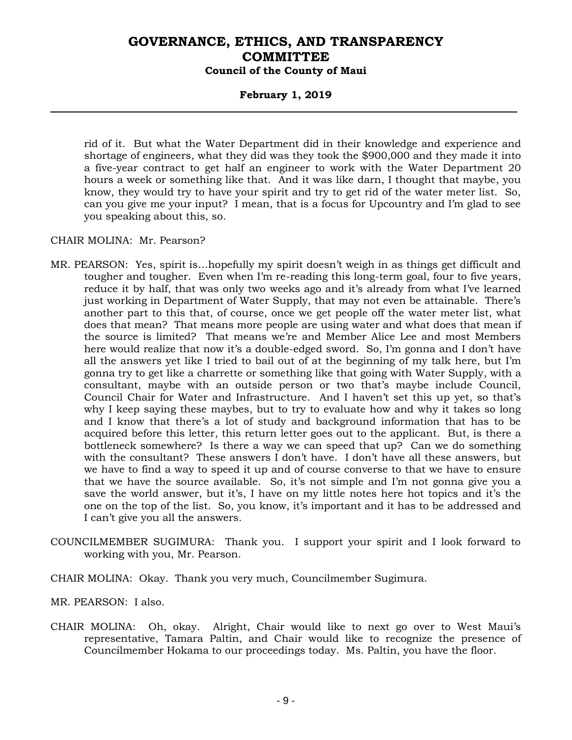### **February 1, 2019**

rid of it. But what the Water Department did in their knowledge and experience and shortage of engineers, what they did was they took the \$900,000 and they made it into a five-year contract to get half an engineer to work with the Water Department 20 hours a week or something like that. And it was like darn, I thought that maybe, you know, they would try to have your spirit and try to get rid of the water meter list. So, can you give me your input? I mean, that is a focus for Upcountry and I'm glad to see you speaking about this, so.

CHAIR MOLINA: Mr. Pearson?

- MR. PEARSON: Yes, spirit is…hopefully my spirit doesn't weigh in as things get difficult and tougher and tougher. Even when I'm re-reading this long-term goal, four to five years, reduce it by half, that was only two weeks ago and it's already from what I've learned just working in Department of Water Supply, that may not even be attainable. There's another part to this that, of course, once we get people off the water meter list, what does that mean? That means more people are using water and what does that mean if the source is limited? That means we're and Member Alice Lee and most Members here would realize that now it's a double-edged sword. So, I'm gonna and I don't have all the answers yet like I tried to bail out of at the beginning of my talk here, but I'm gonna try to get like a charrette or something like that going with Water Supply, with a consultant, maybe with an outside person or two that's maybe include Council, Council Chair for Water and Infrastructure. And I haven't set this up yet, so that's why I keep saying these maybes, but to try to evaluate how and why it takes so long and I know that there's a lot of study and background information that has to be acquired before this letter, this return letter goes out to the applicant. But, is there a bottleneck somewhere? Is there a way we can speed that up? Can we do something with the consultant? These answers I don't have. I don't have all these answers, but we have to find a way to speed it up and of course converse to that we have to ensure that we have the source available. So, it's not simple and I'm not gonna give you a save the world answer, but it's, I have on my little notes here hot topics and it's the one on the top of the list. So, you know, it's important and it has to be addressed and I can't give you all the answers.
- COUNCILMEMBER SUGIMURA: Thank you. I support your spirit and I look forward to working with you, Mr. Pearson.
- CHAIR MOLINA: Okay. Thank you very much, Councilmember Sugimura.
- MR. PEARSON: I also.
- CHAIR MOLINA: Oh, okay. Alright, Chair would like to next go over to West Maui's representative, Tamara Paltin, and Chair would like to recognize the presence of Councilmember Hokama to our proceedings today. Ms. Paltin, you have the floor.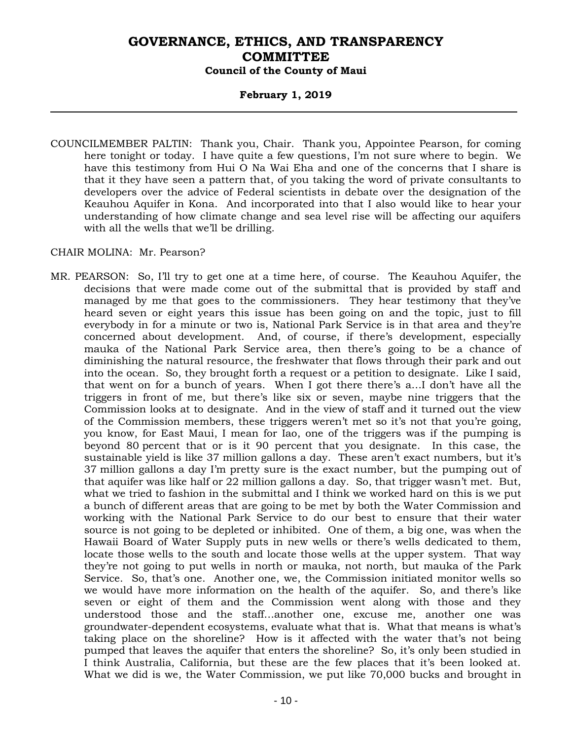### **February 1, 2019**

COUNCILMEMBER PALTIN: Thank you, Chair. Thank you, Appointee Pearson, for coming here tonight or today. I have quite a few questions, I'm not sure where to begin. We have this testimony from Hui O Na Wai Eha and one of the concerns that I share is that it they have seen a pattern that, of you taking the word of private consultants to developers over the advice of Federal scientists in debate over the designation of the Keauhou Aquifer in Kona. And incorporated into that I also would like to hear your understanding of how climate change and sea level rise will be affecting our aquifers with all the wells that we'll be drilling.

#### CHAIR MOLINA: Mr. Pearson?

MR. PEARSON: So, I'll try to get one at a time here, of course. The Keauhou Aquifer, the decisions that were made come out of the submittal that is provided by staff and managed by me that goes to the commissioners. They hear testimony that they've heard seven or eight years this issue has been going on and the topic, just to fill everybody in for a minute or two is, National Park Service is in that area and they're concerned about development. And, of course, if there's development, especially mauka of the National Park Service area, then there's going to be a chance of diminishing the natural resource, the freshwater that flows through their park and out into the ocean. So, they brought forth a request or a petition to designate. Like I said, that went on for a bunch of years. When I got there there's a…I don't have all the triggers in front of me, but there's like six or seven, maybe nine triggers that the Commission looks at to designate. And in the view of staff and it turned out the view of the Commission members, these triggers weren't met so it's not that you're going, you know, for East Maui, I mean for Iao, one of the triggers was if the pumping is beyond 80 percent that or is it 90 percent that you designate. In this case, the sustainable yield is like 37 million gallons a day. These aren't exact numbers, but it's 37 million gallons a day I'm pretty sure is the exact number, but the pumping out of that aquifer was like half or 22 million gallons a day. So, that trigger wasn't met. But, what we tried to fashion in the submittal and I think we worked hard on this is we put a bunch of different areas that are going to be met by both the Water Commission and working with the National Park Service to do our best to ensure that their water source is not going to be depleted or inhibited. One of them, a big one, was when the Hawaii Board of Water Supply puts in new wells or there's wells dedicated to them, locate those wells to the south and locate those wells at the upper system. That way they're not going to put wells in north or mauka, not north, but mauka of the Park Service. So, that's one. Another one, we, the Commission initiated monitor wells so we would have more information on the health of the aquifer. So, and there's like seven or eight of them and the Commission went along with those and they understood those and the staff…another one, excuse me, another one was groundwater-dependent ecosystems, evaluate what that is. What that means is what's taking place on the shoreline? How is it affected with the water that's not being pumped that leaves the aquifer that enters the shoreline? So, it's only been studied in I think Australia, California, but these are the few places that it's been looked at. What we did is we, the Water Commission, we put like 70,000 bucks and brought in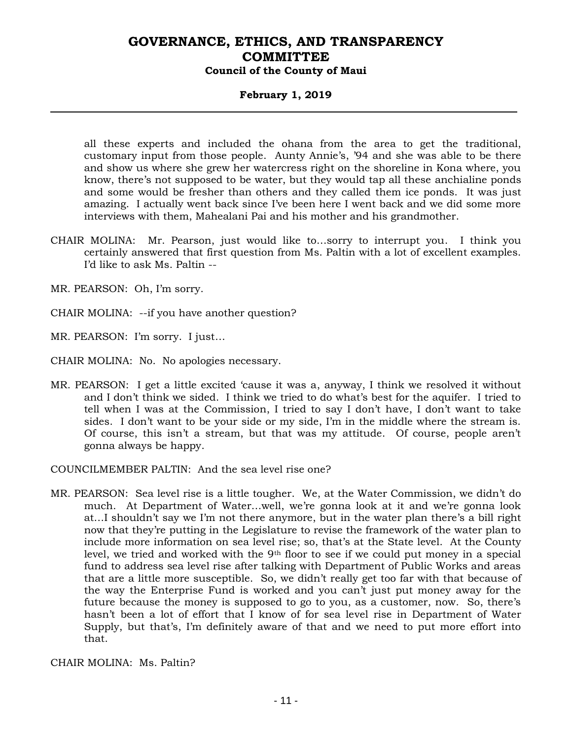### **February 1, 2019**

all these experts and included the ohana from the area to get the traditional, customary input from those people. Aunty Annie's, '94 and she was able to be there and show us where she grew her watercress right on the shoreline in Kona where, you know, there's not supposed to be water, but they would tap all these anchialine ponds and some would be fresher than others and they called them ice ponds. It was just amazing. I actually went back since I've been here I went back and we did some more interviews with them, Mahealani Pai and his mother and his grandmother.

CHAIR MOLINA: Mr. Pearson, just would like to…sorry to interrupt you. I think you certainly answered that first question from Ms. Paltin with a lot of excellent examples. I'd like to ask Ms. Paltin --

MR. PEARSON: Oh, I'm sorry.

- CHAIR MOLINA: --if you have another question?
- MR. PEARSON: I'm sorry. I just…
- CHAIR MOLINA: No. No apologies necessary.
- MR. PEARSON: I get a little excited 'cause it was a, anyway, I think we resolved it without and I don't think we sided. I think we tried to do what's best for the aquifer. I tried to tell when I was at the Commission, I tried to say I don't have, I don't want to take sides. I don't want to be your side or my side, I'm in the middle where the stream is. Of course, this isn't a stream, but that was my attitude. Of course, people aren't gonna always be happy.

COUNCILMEMBER PALTIN: And the sea level rise one?

MR. PEARSON: Sea level rise is a little tougher. We, at the Water Commission, we didn't do much. At Department of Water…well, we're gonna look at it and we're gonna look at…I shouldn't say we I'm not there anymore, but in the water plan there's a bill right now that they're putting in the Legislature to revise the framework of the water plan to include more information on sea level rise; so, that's at the State level. At the County level, we tried and worked with the  $9<sup>th</sup>$  floor to see if we could put money in a special fund to address sea level rise after talking with Department of Public Works and areas that are a little more susceptible. So, we didn't really get too far with that because of the way the Enterprise Fund is worked and you can't just put money away for the future because the money is supposed to go to you, as a customer, now. So, there's hasn't been a lot of effort that I know of for sea level rise in Department of Water Supply, but that's, I'm definitely aware of that and we need to put more effort into that.

CHAIR MOLINA: Ms. Paltin?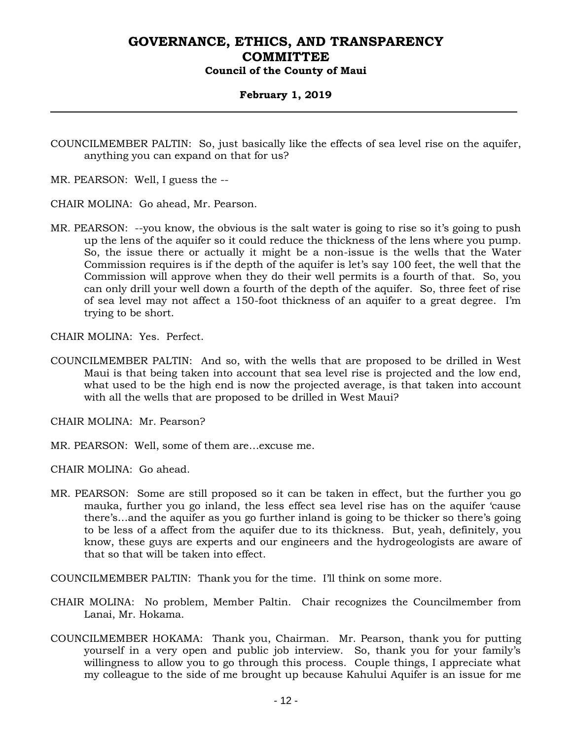### **February 1, 2019**

COUNCILMEMBER PALTIN: So, just basically like the effects of sea level rise on the aquifer, anything you can expand on that for us?

MR. PEARSON: Well, I guess the --

CHAIR MOLINA: Go ahead, Mr. Pearson.

MR. PEARSON: --you know, the obvious is the salt water is going to rise so it's going to push up the lens of the aquifer so it could reduce the thickness of the lens where you pump. So, the issue there or actually it might be a non-issue is the wells that the Water Commission requires is if the depth of the aquifer is let's say 100 feet, the well that the Commission will approve when they do their well permits is a fourth of that. So, you can only drill your well down a fourth of the depth of the aquifer. So, three feet of rise of sea level may not affect a 150-foot thickness of an aquifer to a great degree. I'm trying to be short.

CHAIR MOLINA: Yes. Perfect.

COUNCILMEMBER PALTIN: And so, with the wells that are proposed to be drilled in West Maui is that being taken into account that sea level rise is projected and the low end, what used to be the high end is now the projected average, is that taken into account with all the wells that are proposed to be drilled in West Maui?

CHAIR MOLINA: Mr. Pearson?

MR. PEARSON: Well, some of them are…excuse me.

CHAIR MOLINA: Go ahead.

MR. PEARSON: Some are still proposed so it can be taken in effect, but the further you go mauka, further you go inland, the less effect sea level rise has on the aquifer 'cause there's…and the aquifer as you go further inland is going to be thicker so there's going to be less of a affect from the aquifer due to its thickness. But, yeah, definitely, you know, these guys are experts and our engineers and the hydrogeologists are aware of that so that will be taken into effect.

COUNCILMEMBER PALTIN: Thank you for the time. I'll think on some more.

- CHAIR MOLINA: No problem, Member Paltin. Chair recognizes the Councilmember from Lanai, Mr. Hokama.
- COUNCILMEMBER HOKAMA: Thank you, Chairman. Mr. Pearson, thank you for putting yourself in a very open and public job interview. So, thank you for your family's willingness to allow you to go through this process. Couple things, I appreciate what my colleague to the side of me brought up because Kahului Aquifer is an issue for me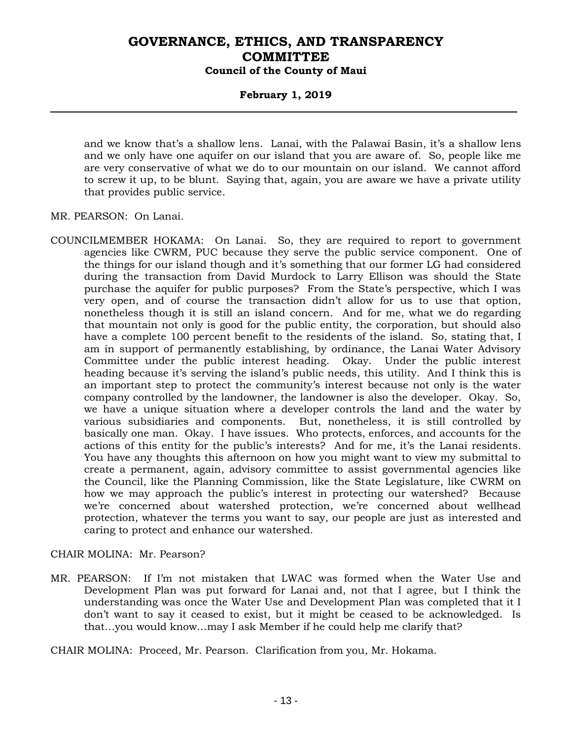### **February 1, 2019**

and we know that's a shallow lens. Lanai, with the Palawai Basin, it's a shallow lens and we only have one aquifer on our island that you are aware of. So, people like me are very conservative of what we do to our mountain on our island. We cannot afford to screw it up, to be blunt. Saying that, again, you are aware we have a private utility that provides public service.

MR. PEARSON: On Lanai.

COUNCILMEMBER HOKAMA: On Lanai. So, they are required to report to government agencies like CWRM, PUC because they serve the public service component. One of the things for our island though and it's something that our former LG had considered during the transaction from David Murdock to Larry Ellison was should the State purchase the aquifer for public purposes? From the State's perspective, which I was very open, and of course the transaction didn't allow for us to use that option, nonetheless though it is still an island concern. And for me, what we do regarding that mountain not only is good for the public entity, the corporation, but should also have a complete 100 percent benefit to the residents of the island. So, stating that, I am in support of permanently establishing, by ordinance, the Lanai Water Advisory Committee under the public interest heading. Okay. Under the public interest heading because it's serving the island's public needs, this utility. And I think this is an important step to protect the community's interest because not only is the water company controlled by the landowner, the landowner is also the developer. Okay. So, we have a unique situation where a developer controls the land and the water by various subsidiaries and components. But, nonetheless, it is still controlled by basically one man. Okay. I have issues. Who protects, enforces, and accounts for the actions of this entity for the public's interests? And for me, it's the Lanai residents. You have any thoughts this afternoon on how you might want to view my submittal to create a permanent, again, advisory committee to assist governmental agencies like the Council, like the Planning Commission, like the State Legislature, like CWRM on how we may approach the public's interest in protecting our watershed? Because we're concerned about watershed protection, we're concerned about wellhead protection, whatever the terms you want to say, our people are just as interested and caring to protect and enhance our watershed.

#### CHAIR MOLINA: Mr. Pearson?

MR. PEARSON: If I'm not mistaken that LWAC was formed when the Water Use and Development Plan was put forward for Lanai and, not that I agree, but I think the understanding was once the Water Use and Development Plan was completed that it I don't want to say it ceased to exist, but it might be ceased to be acknowledged. Is that…you would know…may I ask Member if he could help me clarify that?

CHAIR MOLINA: Proceed, Mr. Pearson. Clarification from you, Mr. Hokama.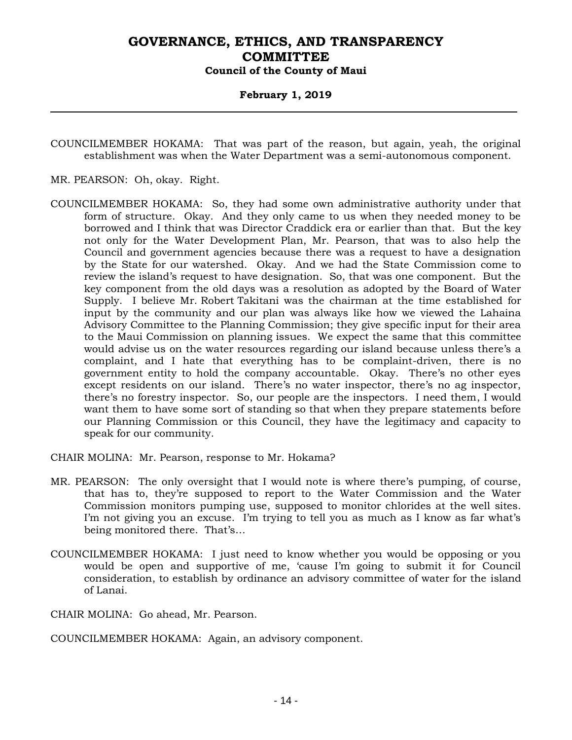### **February 1, 2019**

COUNCILMEMBER HOKAMA: That was part of the reason, but again, yeah, the original establishment was when the Water Department was a semi-autonomous component.

- MR. PEARSON: Oh, okay. Right.
- COUNCILMEMBER HOKAMA: So, they had some own administrative authority under that form of structure. Okay. And they only came to us when they needed money to be borrowed and I think that was Director Craddick era or earlier than that. But the key not only for the Water Development Plan, Mr. Pearson, that was to also help the Council and government agencies because there was a request to have a designation by the State for our watershed. Okay. And we had the State Commission come to review the island's request to have designation. So, that was one component. But the key component from the old days was a resolution as adopted by the Board of Water Supply. I believe Mr. Robert Takitani was the chairman at the time established for input by the community and our plan was always like how we viewed the Lahaina Advisory Committee to the Planning Commission; they give specific input for their area to the Maui Commission on planning issues. We expect the same that this committee would advise us on the water resources regarding our island because unless there's a complaint, and I hate that everything has to be complaint-driven, there is no government entity to hold the company accountable. Okay. There's no other eyes except residents on our island. There's no water inspector, there's no ag inspector, there's no forestry inspector. So, our people are the inspectors. I need them, I would want them to have some sort of standing so that when they prepare statements before our Planning Commission or this Council, they have the legitimacy and capacity to speak for our community.

CHAIR MOLINA: Mr. Pearson, response to Mr. Hokama?

- MR. PEARSON: The only oversight that I would note is where there's pumping, of course, that has to, they're supposed to report to the Water Commission and the Water Commission monitors pumping use, supposed to monitor chlorides at the well sites. I'm not giving you an excuse. I'm trying to tell you as much as I know as far what's being monitored there. That's…
- COUNCILMEMBER HOKAMA: I just need to know whether you would be opposing or you would be open and supportive of me, 'cause I'm going to submit it for Council consideration, to establish by ordinance an advisory committee of water for the island of Lanai.

CHAIR MOLINA: Go ahead, Mr. Pearson.

COUNCILMEMBER HOKAMA: Again, an advisory component.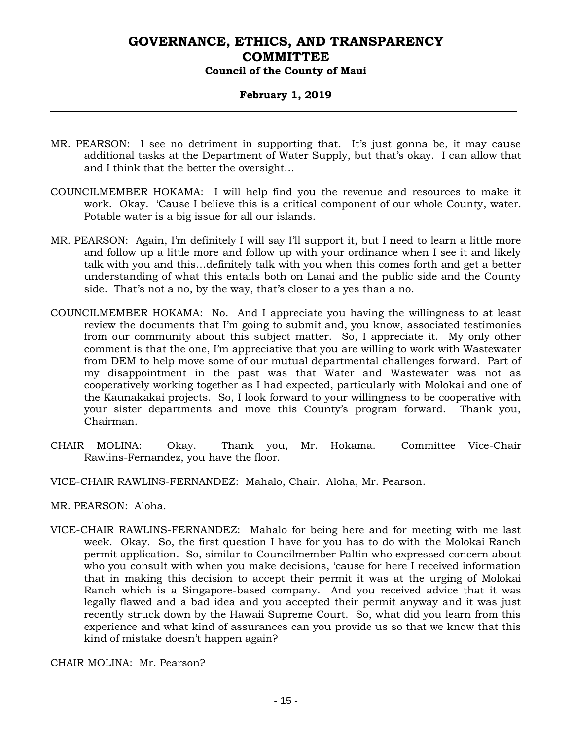### **February 1, 2019**

- MR. PEARSON: I see no detriment in supporting that. It's just gonna be, it may cause additional tasks at the Department of Water Supply, but that's okay. I can allow that and I think that the better the oversight…
- COUNCILMEMBER HOKAMA: I will help find you the revenue and resources to make it work. Okay. 'Cause I believe this is a critical component of our whole County, water. Potable water is a big issue for all our islands.
- MR. PEARSON: Again, I'm definitely I will say I'll support it, but I need to learn a little more and follow up a little more and follow up with your ordinance when I see it and likely talk with you and this…definitely talk with you when this comes forth and get a better understanding of what this entails both on Lanai and the public side and the County side. That's not a no, by the way, that's closer to a yes than a no.
- COUNCILMEMBER HOKAMA: No. And I appreciate you having the willingness to at least review the documents that I'm going to submit and, you know, associated testimonies from our community about this subject matter. So, I appreciate it. My only other comment is that the one, I'm appreciative that you are willing to work with Wastewater from DEM to help move some of our mutual departmental challenges forward. Part of my disappointment in the past was that Water and Wastewater was not as cooperatively working together as I had expected, particularly with Molokai and one of the Kaunakakai projects. So, I look forward to your willingness to be cooperative with your sister departments and move this County's program forward. Thank you, Chairman.
- CHAIR MOLINA: Okay. Thank you, Mr. Hokama. Committee Vice-Chair Rawlins-Fernandez, you have the floor.
- VICE-CHAIR RAWLINS-FERNANDEZ: Mahalo, Chair. Aloha, Mr. Pearson.
- MR. PEARSON: Aloha.
- VICE-CHAIR RAWLINS-FERNANDEZ: Mahalo for being here and for meeting with me last week. Okay. So, the first question I have for you has to do with the Molokai Ranch permit application. So, similar to Councilmember Paltin who expressed concern about who you consult with when you make decisions, 'cause for here I received information that in making this decision to accept their permit it was at the urging of Molokai Ranch which is a Singapore-based company. And you received advice that it was legally flawed and a bad idea and you accepted their permit anyway and it was just recently struck down by the Hawaii Supreme Court. So, what did you learn from this experience and what kind of assurances can you provide us so that we know that this kind of mistake doesn't happen again?

CHAIR MOLINA: Mr. Pearson?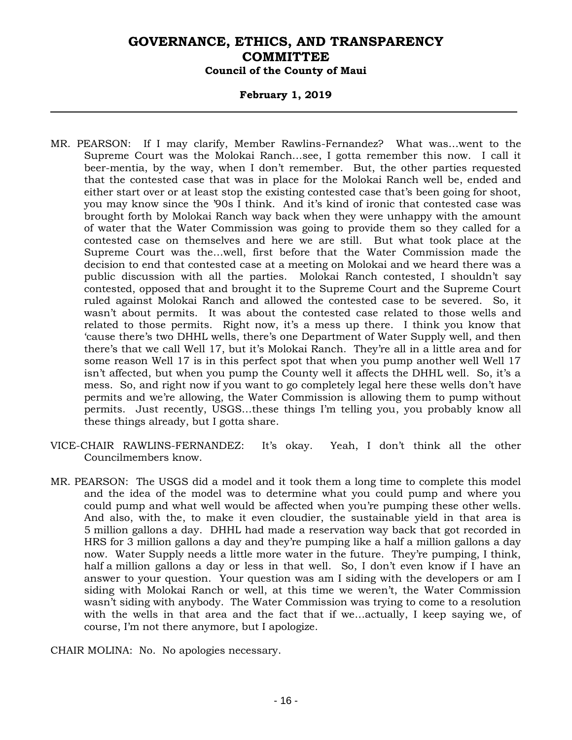### **February 1, 2019**

- MR. PEARSON: If I may clarify, Member Rawlins-Fernandez? What was…went to the Supreme Court was the Molokai Ranch…see, I gotta remember this now. I call it beer-mentia, by the way, when I don't remember. But, the other parties requested that the contested case that was in place for the Molokai Ranch well be, ended and either start over or at least stop the existing contested case that's been going for shoot, you may know since the '90s I think. And it's kind of ironic that contested case was brought forth by Molokai Ranch way back when they were unhappy with the amount of water that the Water Commission was going to provide them so they called for a contested case on themselves and here we are still. But what took place at the Supreme Court was the…well, first before that the Water Commission made the decision to end that contested case at a meeting on Molokai and we heard there was a public discussion with all the parties. Molokai Ranch contested, I shouldn't say contested, opposed that and brought it to the Supreme Court and the Supreme Court ruled against Molokai Ranch and allowed the contested case to be severed. So, it wasn't about permits. It was about the contested case related to those wells and related to those permits. Right now, it's a mess up there. I think you know that 'cause there's two DHHL wells, there's one Department of Water Supply well, and then there's that we call Well 17, but it's Molokai Ranch. They're all in a little area and for some reason Well 17 is in this perfect spot that when you pump another well Well 17 isn't affected, but when you pump the County well it affects the DHHL well. So, it's a mess. So, and right now if you want to go completely legal here these wells don't have permits and we're allowing, the Water Commission is allowing them to pump without permits. Just recently, USGS…these things I'm telling you, you probably know all these things already, but I gotta share.
- VICE-CHAIR RAWLINS-FERNANDEZ: It's okay. Yeah, I don't think all the other Councilmembers know.
- MR. PEARSON: The USGS did a model and it took them a long time to complete this model and the idea of the model was to determine what you could pump and where you could pump and what well would be affected when you're pumping these other wells. And also, with the, to make it even cloudier, the sustainable yield in that area is 5 million gallons a day. DHHL had made a reservation way back that got recorded in HRS for 3 million gallons a day and they're pumping like a half a million gallons a day now. Water Supply needs a little more water in the future. They're pumping, I think, half a million gallons a day or less in that well. So, I don't even know if I have an answer to your question. Your question was am I siding with the developers or am I siding with Molokai Ranch or well, at this time we weren't, the Water Commission wasn't siding with anybody. The Water Commission was trying to come to a resolution with the wells in that area and the fact that if we…actually, I keep saying we, of course, I'm not there anymore, but I apologize.

CHAIR MOLINA: No. No apologies necessary.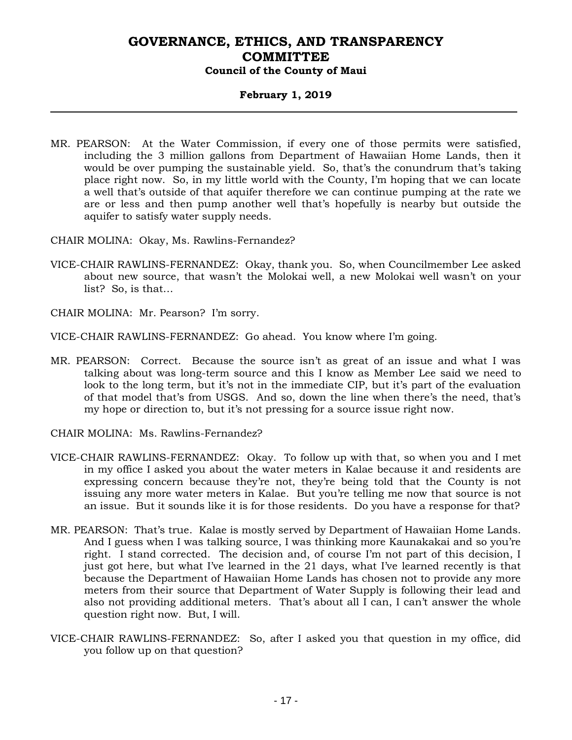### **February 1, 2019**

- MR. PEARSON: At the Water Commission, if every one of those permits were satisfied, including the 3 million gallons from Department of Hawaiian Home Lands, then it would be over pumping the sustainable yield. So, that's the conundrum that's taking place right now. So, in my little world with the County, I'm hoping that we can locate a well that's outside of that aquifer therefore we can continue pumping at the rate we are or less and then pump another well that's hopefully is nearby but outside the aquifer to satisfy water supply needs.
- CHAIR MOLINA: Okay, Ms. Rawlins-Fernandez?
- VICE-CHAIR RAWLINS-FERNANDEZ: Okay, thank you. So, when Councilmember Lee asked about new source, that wasn't the Molokai well, a new Molokai well wasn't on your list? So, is that…
- CHAIR MOLINA: Mr. Pearson? I'm sorry.

VICE-CHAIR RAWLINS-FERNANDEZ: Go ahead. You know where I'm going.

- MR. PEARSON: Correct. Because the source isn't as great of an issue and what I was talking about was long-term source and this I know as Member Lee said we need to look to the long term, but it's not in the immediate CIP, but it's part of the evaluation of that model that's from USGS. And so, down the line when there's the need, that's my hope or direction to, but it's not pressing for a source issue right now.
- CHAIR MOLINA: Ms. Rawlins-Fernandez?
- VICE-CHAIR RAWLINS-FERNANDEZ: Okay. To follow up with that, so when you and I met in my office I asked you about the water meters in Kalae because it and residents are expressing concern because they're not, they're being told that the County is not issuing any more water meters in Kalae. But you're telling me now that source is not an issue. But it sounds like it is for those residents. Do you have a response for that?
- MR. PEARSON: That's true. Kalae is mostly served by Department of Hawaiian Home Lands. And I guess when I was talking source, I was thinking more Kaunakakai and so you're right. I stand corrected. The decision and, of course I'm not part of this decision, I just got here, but what I've learned in the 21 days, what I've learned recently is that because the Department of Hawaiian Home Lands has chosen not to provide any more meters from their source that Department of Water Supply is following their lead and also not providing additional meters. That's about all I can, I can't answer the whole question right now. But, I will.
- VICE-CHAIR RAWLINS-FERNANDEZ: So, after I asked you that question in my office, did you follow up on that question?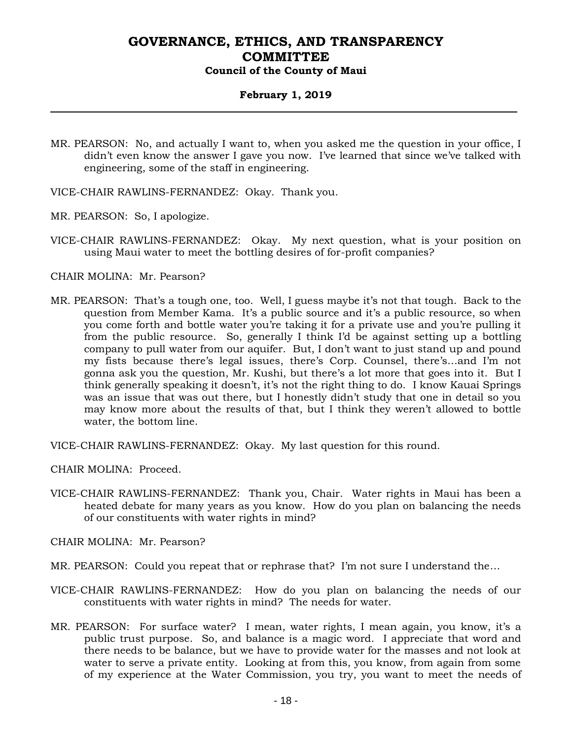### **February 1, 2019**

- MR. PEARSON: No, and actually I want to, when you asked me the question in your office, I didn't even know the answer I gave you now. I've learned that since we've talked with engineering, some of the staff in engineering.
- VICE-CHAIR RAWLINS-FERNANDEZ: Okay. Thank you.
- MR. PEARSON: So, I apologize.
- VICE-CHAIR RAWLINS-FERNANDEZ: Okay. My next question, what is your position on using Maui water to meet the bottling desires of for-profit companies?

#### CHAIR MOLINA: Mr. Pearson?

MR. PEARSON: That's a tough one, too. Well, I guess maybe it's not that tough. Back to the question from Member Kama. It's a public source and it's a public resource, so when you come forth and bottle water you're taking it for a private use and you're pulling it from the public resource. So, generally I think I'd be against setting up a bottling company to pull water from our aquifer. But, I don't want to just stand up and pound my fists because there's legal issues, there's Corp. Counsel, there's…and I'm not gonna ask you the question, Mr. Kushi, but there's a lot more that goes into it. But I think generally speaking it doesn't, it's not the right thing to do. I know Kauai Springs was an issue that was out there, but I honestly didn't study that one in detail so you may know more about the results of that, but I think they weren't allowed to bottle water, the bottom line.

VICE-CHAIR RAWLINS-FERNANDEZ: Okay. My last question for this round.

CHAIR MOLINA: Proceed.

VICE-CHAIR RAWLINS-FERNANDEZ: Thank you, Chair. Water rights in Maui has been a heated debate for many years as you know. How do you plan on balancing the needs of our constituents with water rights in mind?

CHAIR MOLINA: Mr. Pearson?

- MR. PEARSON: Could you repeat that or rephrase that? I'm not sure I understand the…
- VICE-CHAIR RAWLINS-FERNANDEZ: How do you plan on balancing the needs of our constituents with water rights in mind? The needs for water.
- MR. PEARSON: For surface water? I mean, water rights, I mean again, you know, it's a public trust purpose. So, and balance is a magic word. I appreciate that word and there needs to be balance, but we have to provide water for the masses and not look at water to serve a private entity. Looking at from this, you know, from again from some of my experience at the Water Commission, you try, you want to meet the needs of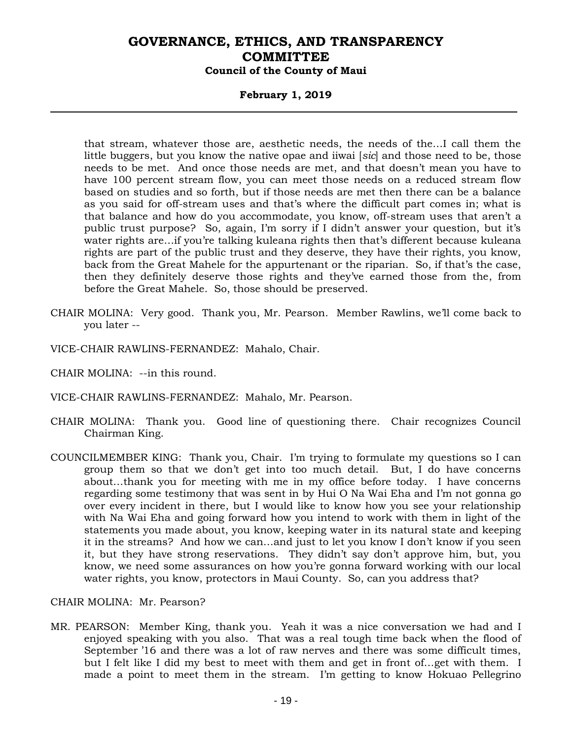### **February 1, 2019**

that stream, whatever those are, aesthetic needs, the needs of the…I call them the little buggers, but you know the native opae and iiwai [*sic*] and those need to be, those needs to be met. And once those needs are met, and that doesn't mean you have to have 100 percent stream flow, you can meet those needs on a reduced stream flow based on studies and so forth, but if those needs are met then there can be a balance as you said for off-stream uses and that's where the difficult part comes in; what is that balance and how do you accommodate, you know, off-stream uses that aren't a public trust purpose? So, again, I'm sorry if I didn't answer your question, but it's water rights are…if you're talking kuleana rights then that's different because kuleana rights are part of the public trust and they deserve, they have their rights, you know, back from the Great Mahele for the appurtenant or the riparian. So, if that's the case, then they definitely deserve those rights and they've earned those from the, from before the Great Mahele. So, those should be preserved.

- CHAIR MOLINA: Very good. Thank you, Mr. Pearson. Member Rawlins, we'll come back to you later --
- VICE-CHAIR RAWLINS-FERNANDEZ: Mahalo, Chair.
- CHAIR MOLINA: --in this round.
- VICE-CHAIR RAWLINS-FERNANDEZ: Mahalo, Mr. Pearson.
- CHAIR MOLINA: Thank you. Good line of questioning there. Chair recognizes Council Chairman King.
- COUNCILMEMBER KING: Thank you, Chair. I'm trying to formulate my questions so I can group them so that we don't get into too much detail. But, I do have concerns about…thank you for meeting with me in my office before today. I have concerns regarding some testimony that was sent in by Hui O Na Wai Eha and I'm not gonna go over every incident in there, but I would like to know how you see your relationship with Na Wai Eha and going forward how you intend to work with them in light of the statements you made about, you know, keeping water in its natural state and keeping it in the streams? And how we can…and just to let you know I don't know if you seen it, but they have strong reservations. They didn't say don't approve him, but, you know, we need some assurances on how you're gonna forward working with our local water rights, you know, protectors in Maui County. So, can you address that?

#### CHAIR MOLINA: Mr. Pearson?

MR. PEARSON: Member King, thank you. Yeah it was a nice conversation we had and I enjoyed speaking with you also. That was a real tough time back when the flood of September '16 and there was a lot of raw nerves and there was some difficult times, but I felt like I did my best to meet with them and get in front of…get with them. I made a point to meet them in the stream. I'm getting to know Hokuao Pellegrino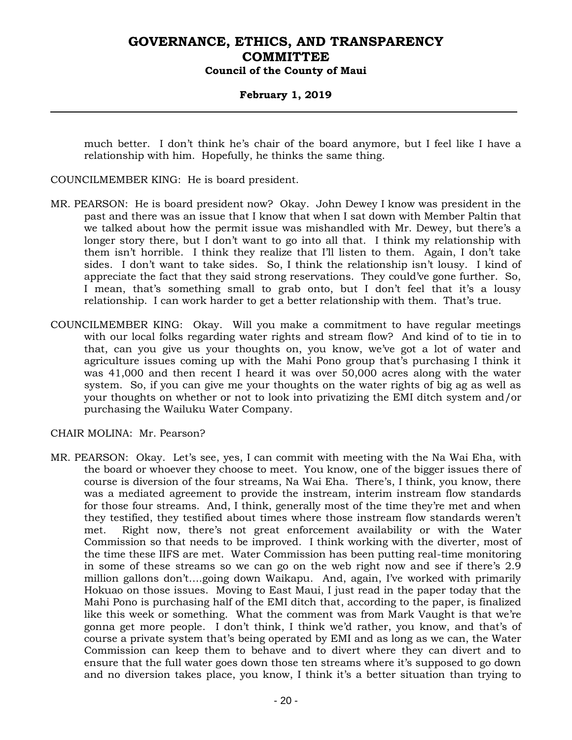### **February 1, 2019**

much better. I don't think he's chair of the board anymore, but I feel like I have a relationship with him. Hopefully, he thinks the same thing.

COUNCILMEMBER KING: He is board president.

- MR. PEARSON: He is board president now? Okay. John Dewey I know was president in the past and there was an issue that I know that when I sat down with Member Paltin that we talked about how the permit issue was mishandled with Mr. Dewey, but there's a longer story there, but I don't want to go into all that. I think my relationship with them isn't horrible. I think they realize that I'll listen to them. Again, I don't take sides. I don't want to take sides. So, I think the relationship isn't lousy. I kind of appreciate the fact that they said strong reservations. They could've gone further. So, I mean, that's something small to grab onto, but I don't feel that it's a lousy relationship. I can work harder to get a better relationship with them. That's true.
- COUNCILMEMBER KING: Okay. Will you make a commitment to have regular meetings with our local folks regarding water rights and stream flow? And kind of to tie in to that, can you give us your thoughts on, you know, we've got a lot of water and agriculture issues coming up with the Mahi Pono group that's purchasing I think it was 41,000 and then recent I heard it was over 50,000 acres along with the water system. So, if you can give me your thoughts on the water rights of big ag as well as your thoughts on whether or not to look into privatizing the EMI ditch system and/or purchasing the Wailuku Water Company.

CHAIR MOLINA: Mr. Pearson?

MR. PEARSON: Okay. Let's see, yes, I can commit with meeting with the Na Wai Eha, with the board or whoever they choose to meet. You know, one of the bigger issues there of course is diversion of the four streams, Na Wai Eha. There's, I think, you know, there was a mediated agreement to provide the instream, interim instream flow standards for those four streams. And, I think, generally most of the time they're met and when they testified, they testified about times where those instream flow standards weren't met. Right now, there's not great enforcement availability or with the Water Commission so that needs to be improved. I think working with the diverter, most of the time these IIFS are met. Water Commission has been putting real-time monitoring in some of these streams so we can go on the web right now and see if there's 2.9 million gallons don't….going down Waikapu. And, again, I've worked with primarily Hokuao on those issues. Moving to East Maui, I just read in the paper today that the Mahi Pono is purchasing half of the EMI ditch that, according to the paper, is finalized like this week or something. What the comment was from Mark Vaught is that we're gonna get more people. I don't think, I think we'd rather, you know, and that's of course a private system that's being operated by EMI and as long as we can, the Water Commission can keep them to behave and to divert where they can divert and to ensure that the full water goes down those ten streams where it's supposed to go down and no diversion takes place, you know, I think it's a better situation than trying to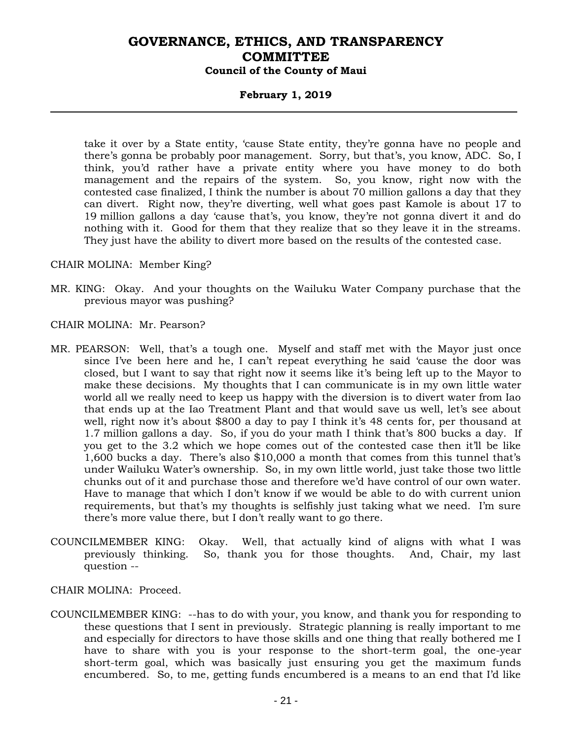### **February 1, 2019**

take it over by a State entity, 'cause State entity, they're gonna have no people and there's gonna be probably poor management. Sorry, but that's, you know, ADC. So, I think, you'd rather have a private entity where you have money to do both management and the repairs of the system. So, you know, right now with the contested case finalized, I think the number is about 70 million gallons a day that they can divert. Right now, they're diverting, well what goes past Kamole is about 17 to 19 million gallons a day 'cause that's, you know, they're not gonna divert it and do nothing with it. Good for them that they realize that so they leave it in the streams. They just have the ability to divert more based on the results of the contested case.

CHAIR MOLINA: Member King?

- MR. KING: Okay. And your thoughts on the Wailuku Water Company purchase that the previous mayor was pushing?
- CHAIR MOLINA: Mr. Pearson?
- MR. PEARSON: Well, that's a tough one. Myself and staff met with the Mayor just once since I've been here and he, I can't repeat everything he said 'cause the door was closed, but I want to say that right now it seems like it's being left up to the Mayor to make these decisions. My thoughts that I can communicate is in my own little water world all we really need to keep us happy with the diversion is to divert water from Iao that ends up at the Iao Treatment Plant and that would save us well, let's see about well, right now it's about \$800 a day to pay I think it's 48 cents for, per thousand at 1.7 million gallons a day. So, if you do your math I think that's 800 bucks a day. If you get to the 3.2 which we hope comes out of the contested case then it'll be like 1,600 bucks a day. There's also \$10,000 a month that comes from this tunnel that's under Wailuku Water's ownership. So, in my own little world, just take those two little chunks out of it and purchase those and therefore we'd have control of our own water. Have to manage that which I don't know if we would be able to do with current union requirements, but that's my thoughts is selfishly just taking what we need. I'm sure there's more value there, but I don't really want to go there.
- COUNCILMEMBER KING: Okay. Well, that actually kind of aligns with what I was previously thinking. So, thank you for those thoughts. And, Chair, my last question --
- CHAIR MOLINA: Proceed.
- COUNCILMEMBER KING: --has to do with your, you know, and thank you for responding to these questions that I sent in previously. Strategic planning is really important to me and especially for directors to have those skills and one thing that really bothered me I have to share with you is your response to the short-term goal, the one-year short-term goal, which was basically just ensuring you get the maximum funds encumbered. So, to me, getting funds encumbered is a means to an end that I'd like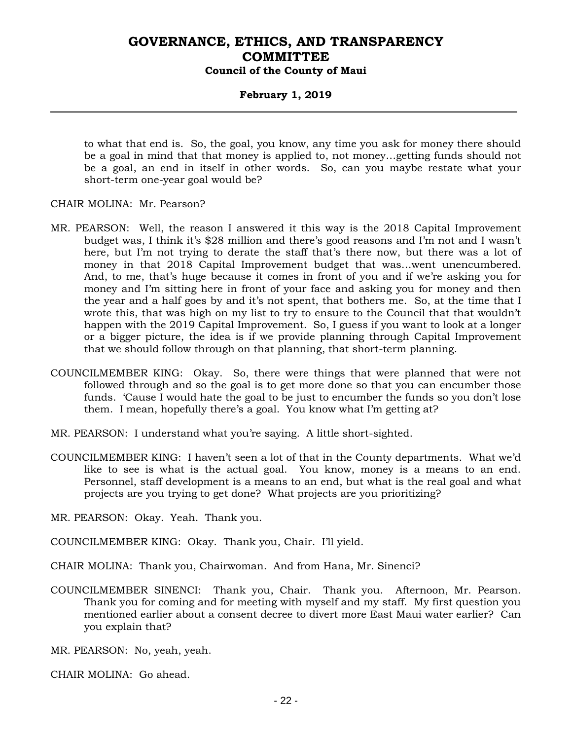### **February 1, 2019**

to what that end is. So, the goal, you know, any time you ask for money there should be a goal in mind that that money is applied to, not money…getting funds should not be a goal, an end in itself in other words. So, can you maybe restate what your short-term one-year goal would be?

#### CHAIR MOLINA: Mr. Pearson?

- MR. PEARSON: Well, the reason I answered it this way is the 2018 Capital Improvement budget was, I think it's \$28 million and there's good reasons and I'm not and I wasn't here, but I'm not trying to derate the staff that's there now, but there was a lot of money in that 2018 Capital Improvement budget that was…went unencumbered. And, to me, that's huge because it comes in front of you and if we're asking you for money and I'm sitting here in front of your face and asking you for money and then the year and a half goes by and it's not spent, that bothers me. So, at the time that I wrote this, that was high on my list to try to ensure to the Council that that wouldn't happen with the 2019 Capital Improvement. So, I guess if you want to look at a longer or a bigger picture, the idea is if we provide planning through Capital Improvement that we should follow through on that planning, that short-term planning.
- COUNCILMEMBER KING: Okay. So, there were things that were planned that were not followed through and so the goal is to get more done so that you can encumber those funds. 'Cause I would hate the goal to be just to encumber the funds so you don't lose them. I mean, hopefully there's a goal. You know what I'm getting at?
- MR. PEARSON: I understand what you're saying. A little short-sighted.
- COUNCILMEMBER KING: I haven't seen a lot of that in the County departments. What we'd like to see is what is the actual goal. You know, money is a means to an end. Personnel, staff development is a means to an end, but what is the real goal and what projects are you trying to get done? What projects are you prioritizing?

MR. PEARSON: Okay. Yeah. Thank you.

- COUNCILMEMBER KING: Okay. Thank you, Chair. I'll yield.
- CHAIR MOLINA: Thank you, Chairwoman. And from Hana, Mr. Sinenci?
- COUNCILMEMBER SINENCI: Thank you, Chair. Thank you. Afternoon, Mr. Pearson. Thank you for coming and for meeting with myself and my staff. My first question you mentioned earlier about a consent decree to divert more East Maui water earlier? Can you explain that?

MR. PEARSON: No, yeah, yeah.

CHAIR MOLINA: Go ahead.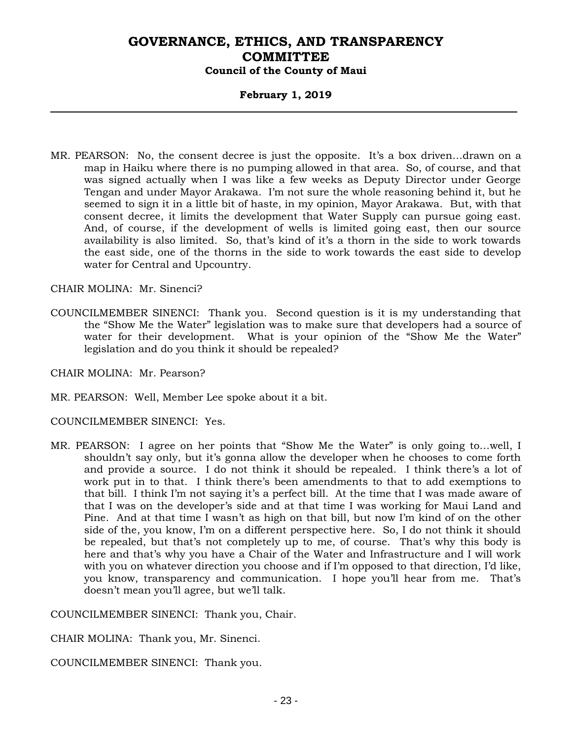### **February 1, 2019**

MR. PEARSON: No, the consent decree is just the opposite. It's a box driven…drawn on a map in Haiku where there is no pumping allowed in that area. So, of course, and that was signed actually when I was like a few weeks as Deputy Director under George Tengan and under Mayor Arakawa. I'm not sure the whole reasoning behind it, but he seemed to sign it in a little bit of haste, in my opinion, Mayor Arakawa. But, with that consent decree, it limits the development that Water Supply can pursue going east. And, of course, if the development of wells is limited going east, then our source availability is also limited. So, that's kind of it's a thorn in the side to work towards the east side, one of the thorns in the side to work towards the east side to develop water for Central and Upcountry.

CHAIR MOLINA: Mr. Sinenci?

COUNCILMEMBER SINENCI: Thank you. Second question is it is my understanding that the "Show Me the Water" legislation was to make sure that developers had a source of water for their development. What is your opinion of the "Show Me the Water" legislation and do you think it should be repealed?

CHAIR MOLINA: Mr. Pearson?

MR. PEARSON: Well, Member Lee spoke about it a bit.

COUNCILMEMBER SINENCI: Yes.

MR. PEARSON: I agree on her points that "Show Me the Water" is only going to…well, I shouldn't say only, but it's gonna allow the developer when he chooses to come forth and provide a source. I do not think it should be repealed. I think there's a lot of work put in to that. I think there's been amendments to that to add exemptions to that bill. I think I'm not saying it's a perfect bill. At the time that I was made aware of that I was on the developer's side and at that time I was working for Maui Land and Pine. And at that time I wasn't as high on that bill, but now I'm kind of on the other side of the, you know, I'm on a different perspective here. So, I do not think it should be repealed, but that's not completely up to me, of course. That's why this body is here and that's why you have a Chair of the Water and Infrastructure and I will work with you on whatever direction you choose and if I'm opposed to that direction, I'd like, you know, transparency and communication. I hope you'll hear from me. That's doesn't mean you'll agree, but we'll talk.

COUNCILMEMBER SINENCI: Thank you, Chair.

CHAIR MOLINA: Thank you, Mr. Sinenci.

COUNCILMEMBER SINENCI: Thank you.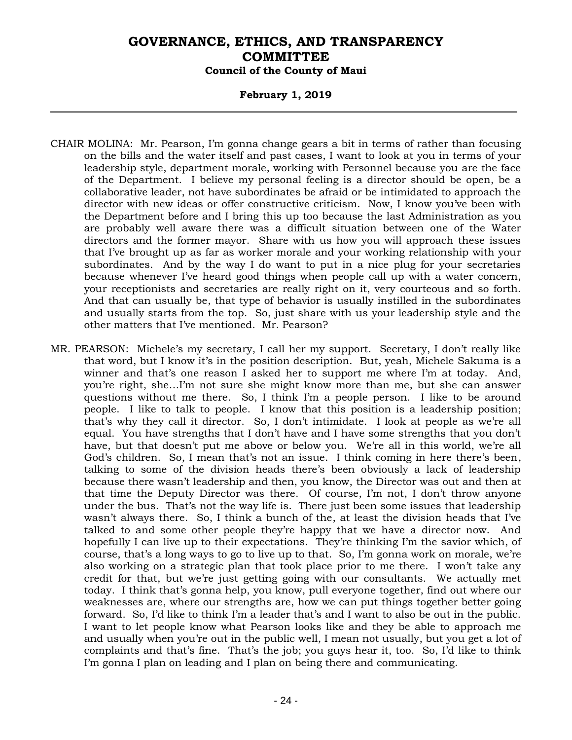### **February 1, 2019**

- CHAIR MOLINA: Mr. Pearson, I'm gonna change gears a bit in terms of rather than focusing on the bills and the water itself and past cases, I want to look at you in terms of your leadership style, department morale, working with Personnel because you are the face of the Department. I believe my personal feeling is a director should be open, be a collaborative leader, not have subordinates be afraid or be intimidated to approach the director with new ideas or offer constructive criticism. Now, I know you've been with the Department before and I bring this up too because the last Administration as you are probably well aware there was a difficult situation between one of the Water directors and the former mayor. Share with us how you will approach these issues that I've brought up as far as worker morale and your working relationship with your subordinates. And by the way I do want to put in a nice plug for your secretaries because whenever I've heard good things when people call up with a water concern, your receptionists and secretaries are really right on it, very courteous and so forth. And that can usually be, that type of behavior is usually instilled in the subordinates and usually starts from the top. So, just share with us your leadership style and the other matters that I've mentioned. Mr. Pearson?
- MR. PEARSON: Michele's my secretary, I call her my support. Secretary, I don't really like that word, but I know it's in the position description. But, yeah, Michele Sakuma is a winner and that's one reason I asked her to support me where I'm at today. And, you're right, she…I'm not sure she might know more than me, but she can answer questions without me there. So, I think I'm a people person. I like to be around people. I like to talk to people. I know that this position is a leadership position; that's why they call it director. So, I don't intimidate. I look at people as we're all equal. You have strengths that I don't have and I have some strengths that you don't have, but that doesn't put me above or below you. We're all in this world, we're all God's children. So, I mean that's not an issue. I think coming in here there's been, talking to some of the division heads there's been obviously a lack of leadership because there wasn't leadership and then, you know, the Director was out and then at that time the Deputy Director was there. Of course, I'm not, I don't throw anyone under the bus. That's not the way life is. There just been some issues that leadership wasn't always there. So, I think a bunch of the, at least the division heads that I've talked to and some other people they're happy that we have a director now. And hopefully I can live up to their expectations. They're thinking I'm the savior which, of course, that's a long ways to go to live up to that. So, I'm gonna work on morale, we're also working on a strategic plan that took place prior to me there. I won't take any credit for that, but we're just getting going with our consultants. We actually met today. I think that's gonna help, you know, pull everyone together, find out where our weaknesses are, where our strengths are, how we can put things together better going forward. So, I'd like to think I'm a leader that's and I want to also be out in the public. I want to let people know what Pearson looks like and they be able to approach me and usually when you're out in the public well, I mean not usually, but you get a lot of complaints and that's fine. That's the job; you guys hear it, too. So, I'd like to think I'm gonna I plan on leading and I plan on being there and communicating.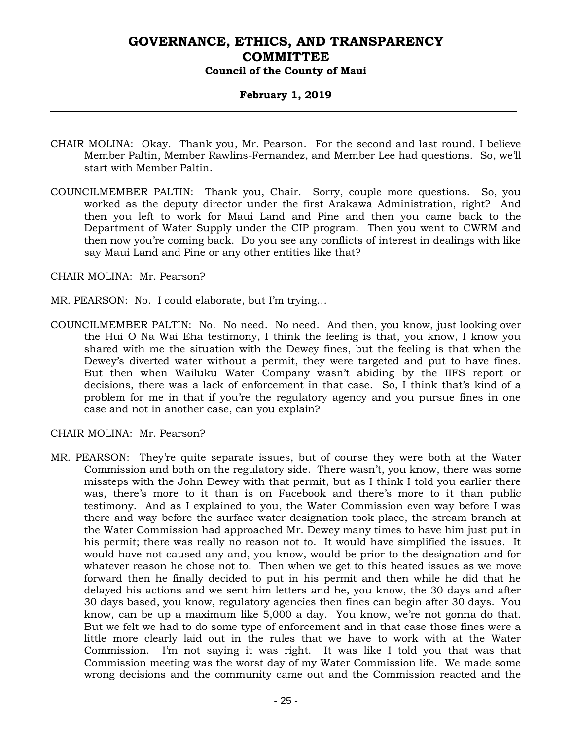### **February 1, 2019**

- CHAIR MOLINA: Okay. Thank you, Mr. Pearson. For the second and last round, I believe Member Paltin, Member Rawlins-Fernandez, and Member Lee had questions. So, we'll start with Member Paltin.
- COUNCILMEMBER PALTIN: Thank you, Chair. Sorry, couple more questions. So, you worked as the deputy director under the first Arakawa Administration, right? And then you left to work for Maui Land and Pine and then you came back to the Department of Water Supply under the CIP program. Then you went to CWRM and then now you're coming back. Do you see any conflicts of interest in dealings with like say Maui Land and Pine or any other entities like that?

#### CHAIR MOLINA: Mr. Pearson?

- MR. PEARSON: No. I could elaborate, but I'm trying…
- COUNCILMEMBER PALTIN: No. No need. No need. And then, you know, just looking over the Hui O Na Wai Eha testimony, I think the feeling is that, you know, I know you shared with me the situation with the Dewey fines, but the feeling is that when the Dewey's diverted water without a permit, they were targeted and put to have fines. But then when Wailuku Water Company wasn't abiding by the IIFS report or decisions, there was a lack of enforcement in that case. So, I think that's kind of a problem for me in that if you're the regulatory agency and you pursue fines in one case and not in another case, can you explain?

CHAIR MOLINA: Mr. Pearson?

MR. PEARSON: They're quite separate issues, but of course they were both at the Water Commission and both on the regulatory side. There wasn't, you know, there was some missteps with the John Dewey with that permit, but as I think I told you earlier there was, there's more to it than is on Facebook and there's more to it than public testimony. And as I explained to you, the Water Commission even way before I was there and way before the surface water designation took place, the stream branch at the Water Commission had approached Mr. Dewey many times to have him just put in his permit; there was really no reason not to. It would have simplified the issues. It would have not caused any and, you know, would be prior to the designation and for whatever reason he chose not to. Then when we get to this heated issues as we move forward then he finally decided to put in his permit and then while he did that he delayed his actions and we sent him letters and he, you know, the 30 days and after 30 days based, you know, regulatory agencies then fines can begin after 30 days. You know, can be up a maximum like 5,000 a day. You know, we're not gonna do that. But we felt we had to do some type of enforcement and in that case those fines were a little more clearly laid out in the rules that we have to work with at the Water Commission. I'm not saying it was right. It was like I told you that was that Commission meeting was the worst day of my Water Commission life. We made some wrong decisions and the community came out and the Commission reacted and the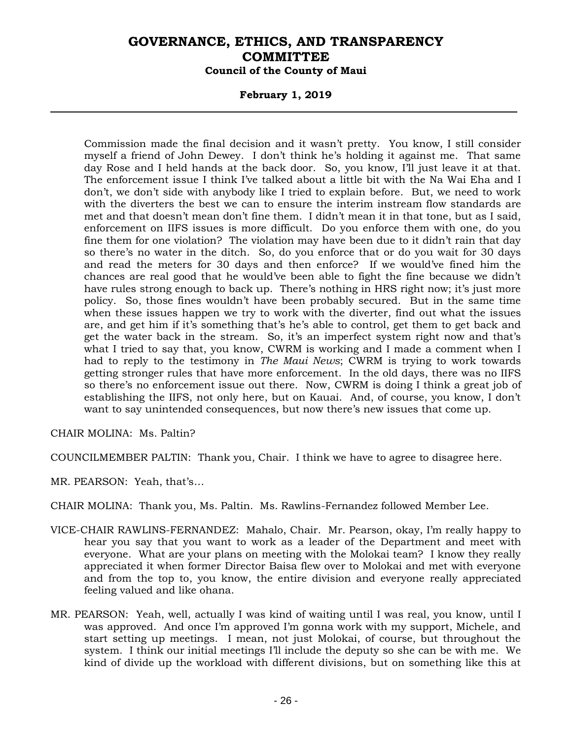### **February 1, 2019**

Commission made the final decision and it wasn't pretty. You know, I still consider myself a friend of John Dewey. I don't think he's holding it against me. That same day Rose and I held hands at the back door. So, you know, I'll just leave it at that. The enforcement issue I think I've talked about a little bit with the Na Wai Eha and I don't, we don't side with anybody like I tried to explain before. But, we need to work with the diverters the best we can to ensure the interim instream flow standards are met and that doesn't mean don't fine them. I didn't mean it in that tone, but as I said, enforcement on IIFS issues is more difficult. Do you enforce them with one, do you fine them for one violation? The violation may have been due to it didn't rain that day so there's no water in the ditch. So, do you enforce that or do you wait for 30 days and read the meters for 30 days and then enforce? If we would've fined him the chances are real good that he would've been able to fight the fine because we didn't have rules strong enough to back up. There's nothing in HRS right now; it's just more policy. So, those fines wouldn't have been probably secured. But in the same time when these issues happen we try to work with the diverter, find out what the issues are, and get him if it's something that's he's able to control, get them to get back and get the water back in the stream. So, it's an imperfect system right now and that's what I tried to say that, you know, CWRM is working and I made a comment when I had to reply to the testimony in *The Maui News*; CWRM is trying to work towards getting stronger rules that have more enforcement. In the old days, there was no IIFS so there's no enforcement issue out there. Now, CWRM is doing I think a great job of establishing the IIFS, not only here, but on Kauai. And, of course, you know, I don't want to say unintended consequences, but now there's new issues that come up.

CHAIR MOLINA: Ms. Paltin?

COUNCILMEMBER PALTIN: Thank you, Chair. I think we have to agree to disagree here.

MR. PEARSON: Yeah, that's…

CHAIR MOLINA: Thank you, Ms. Paltin. Ms. Rawlins-Fernandez followed Member Lee.

- VICE-CHAIR RAWLINS-FERNANDEZ: Mahalo, Chair. Mr. Pearson, okay, I'm really happy to hear you say that you want to work as a leader of the Department and meet with everyone. What are your plans on meeting with the Molokai team? I know they really appreciated it when former Director Baisa flew over to Molokai and met with everyone and from the top to, you know, the entire division and everyone really appreciated feeling valued and like ohana.
- MR. PEARSON: Yeah, well, actually I was kind of waiting until I was real, you know, until I was approved. And once I'm approved I'm gonna work with my support, Michele, and start setting up meetings. I mean, not just Molokai, of course, but throughout the system. I think our initial meetings I'll include the deputy so she can be with me. We kind of divide up the workload with different divisions, but on something like this at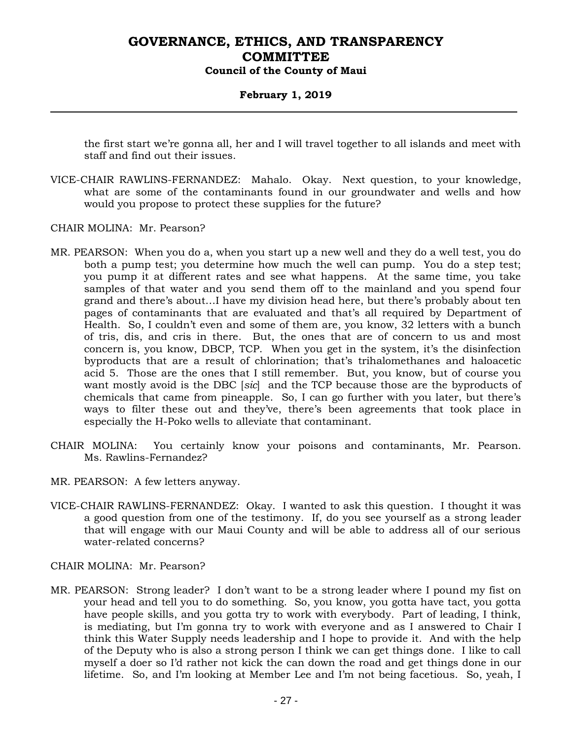### **February 1, 2019**

the first start we're gonna all, her and I will travel together to all islands and meet with staff and find out their issues.

- VICE-CHAIR RAWLINS-FERNANDEZ: Mahalo. Okay. Next question, to your knowledge, what are some of the contaminants found in our groundwater and wells and how would you propose to protect these supplies for the future?
- CHAIR MOLINA: Mr. Pearson?
- MR. PEARSON: When you do a, when you start up a new well and they do a well test, you do both a pump test; you determine how much the well can pump. You do a step test; you pump it at different rates and see what happens. At the same time, you take samples of that water and you send them off to the mainland and you spend four grand and there's about…I have my division head here, but there's probably about ten pages of contaminants that are evaluated and that's all required by Department of Health. So, I couldn't even and some of them are, you know, 32 letters with a bunch of tris, dis, and cris in there. But, the ones that are of concern to us and most concern is, you know, DBCP, TCP. When you get in the system, it's the disinfection byproducts that are a result of chlorination; that's trihalomethanes and haloacetic acid 5. Those are the ones that I still remember. But, you know, but of course you want mostly avoid is the DBC [*sic*] and the TCP because those are the byproducts of chemicals that came from pineapple. So, I can go further with you later, but there's ways to filter these out and they've, there's been agreements that took place in especially the H-Poko wells to alleviate that contaminant.
- CHAIR MOLINA: You certainly know your poisons and contaminants, Mr. Pearson. Ms. Rawlins-Fernandez?
- MR. PEARSON: A few letters anyway.
- VICE-CHAIR RAWLINS-FERNANDEZ: Okay. I wanted to ask this question. I thought it was a good question from one of the testimony. If, do you see yourself as a strong leader that will engage with our Maui County and will be able to address all of our serious water-related concerns?
- CHAIR MOLINA: Mr. Pearson?
- MR. PEARSON: Strong leader? I don't want to be a strong leader where I pound my fist on your head and tell you to do something. So, you know, you gotta have tact, you gotta have people skills, and you gotta try to work with everybody. Part of leading, I think, is mediating, but I'm gonna try to work with everyone and as I answered to Chair I think this Water Supply needs leadership and I hope to provide it. And with the help of the Deputy who is also a strong person I think we can get things done. I like to call myself a doer so I'd rather not kick the can down the road and get things done in our lifetime. So, and I'm looking at Member Lee and I'm not being facetious. So, yeah, I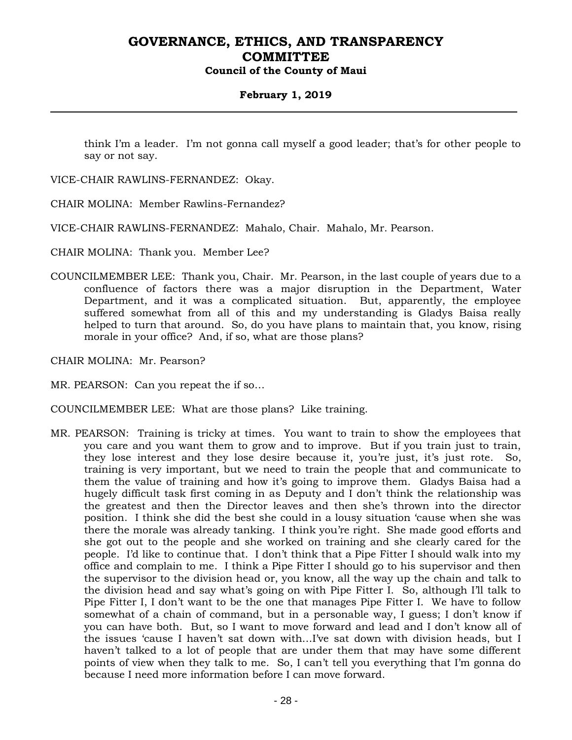### **February 1, 2019**

think I'm a leader. I'm not gonna call myself a good leader; that's for other people to say or not say.

VICE-CHAIR RAWLINS-FERNANDEZ: Okay.

CHAIR MOLINA: Member Rawlins-Fernandez?

VICE-CHAIR RAWLINS-FERNANDEZ: Mahalo, Chair. Mahalo, Mr. Pearson.

CHAIR MOLINA: Thank you. Member Lee?

- COUNCILMEMBER LEE: Thank you, Chair. Mr. Pearson, in the last couple of years due to a confluence of factors there was a major disruption in the Department, Water Department, and it was a complicated situation. But, apparently, the employee suffered somewhat from all of this and my understanding is Gladys Baisa really helped to turn that around. So, do you have plans to maintain that, you know, rising morale in your office? And, if so, what are those plans?
- CHAIR MOLINA: Mr. Pearson?
- MR. PEARSON: Can you repeat the if so…
- COUNCILMEMBER LEE: What are those plans? Like training.
- MR. PEARSON: Training is tricky at times. You want to train to show the employees that you care and you want them to grow and to improve. But if you train just to train, they lose interest and they lose desire because it, you're just, it's just rote. So, training is very important, but we need to train the people that and communicate to them the value of training and how it's going to improve them. Gladys Baisa had a hugely difficult task first coming in as Deputy and I don't think the relationship was the greatest and then the Director leaves and then she's thrown into the director position. I think she did the best she could in a lousy situation 'cause when she was there the morale was already tanking. I think you're right. She made good efforts and she got out to the people and she worked on training and she clearly cared for the people. I'd like to continue that. I don't think that a Pipe Fitter I should walk into my office and complain to me. I think a Pipe Fitter I should go to his supervisor and then the supervisor to the division head or, you know, all the way up the chain and talk to the division head and say what's going on with Pipe Fitter I. So, although I'll talk to Pipe Fitter I, I don't want to be the one that manages Pipe Fitter I. We have to follow somewhat of a chain of command, but in a personable way, I guess; I don't know if you can have both. But, so I want to move forward and lead and I don't know all of the issues 'cause I haven't sat down with…I've sat down with division heads, but I haven't talked to a lot of people that are under them that may have some different points of view when they talk to me. So, I can't tell you everything that I'm gonna do because I need more information before I can move forward.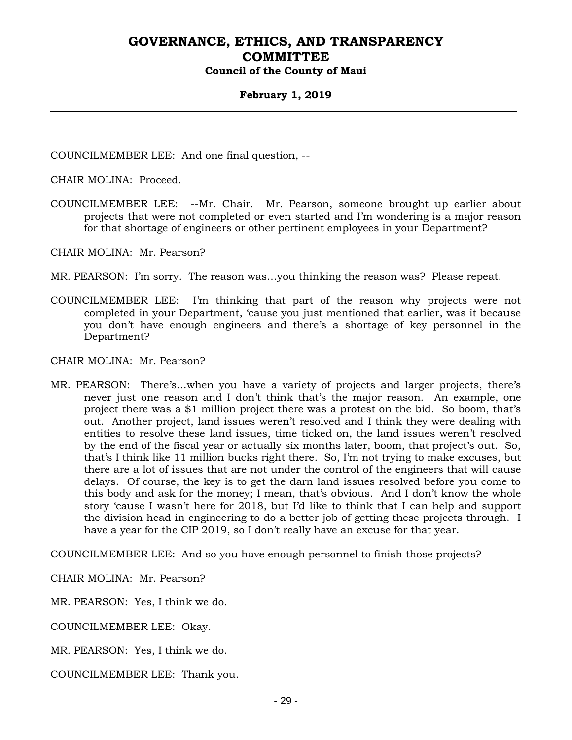### **February 1, 2019**

COUNCILMEMBER LEE: And one final question, --

CHAIR MOLINA: Proceed.

COUNCILMEMBER LEE: --Mr. Chair. Mr. Pearson, someone brought up earlier about projects that were not completed or even started and I'm wondering is a major reason for that shortage of engineers or other pertinent employees in your Department?

CHAIR MOLINA: Mr. Pearson?

MR. PEARSON: I'm sorry. The reason was…you thinking the reason was? Please repeat.

COUNCILMEMBER LEE: I'm thinking that part of the reason why projects were not completed in your Department, 'cause you just mentioned that earlier, was it because you don't have enough engineers and there's a shortage of key personnel in the Department?

CHAIR MOLINA: Mr. Pearson?

MR. PEARSON: There's…when you have a variety of projects and larger projects, there's never just one reason and I don't think that's the major reason. An example, one project there was a \$1 million project there was a protest on the bid. So boom, that's out. Another project, land issues weren't resolved and I think they were dealing with entities to resolve these land issues, time ticked on, the land issues weren't resolved by the end of the fiscal year or actually six months later, boom, that project's out. So, that's I think like 11 million bucks right there. So, I'm not trying to make excuses, but there are a lot of issues that are not under the control of the engineers that will cause delays. Of course, the key is to get the darn land issues resolved before you come to this body and ask for the money; I mean, that's obvious. And I don't know the whole story 'cause I wasn't here for 2018, but I'd like to think that I can help and support the division head in engineering to do a better job of getting these projects through. I have a year for the CIP 2019, so I don't really have an excuse for that year.

COUNCILMEMBER LEE: And so you have enough personnel to finish those projects?

CHAIR MOLINA: Mr. Pearson?

MR. PEARSON: Yes, I think we do.

COUNCILMEMBER LEE: Okay.

MR. PEARSON: Yes, I think we do.

COUNCILMEMBER LEE: Thank you.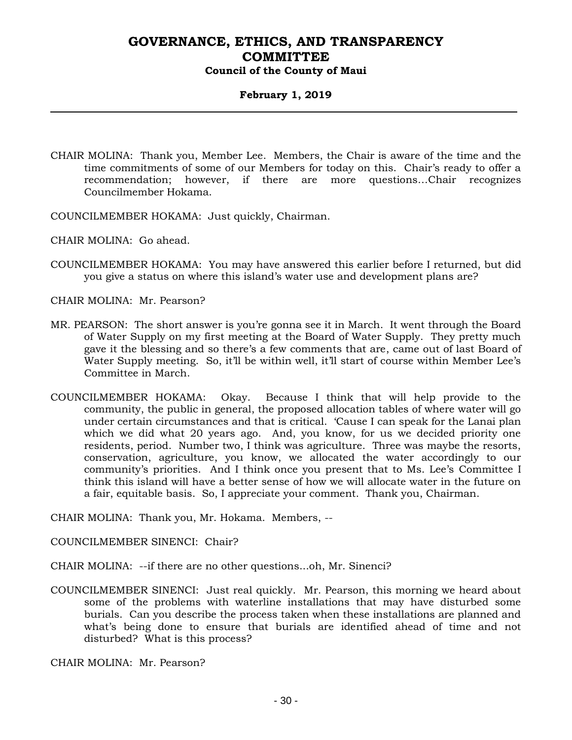### **February 1, 2019**

- CHAIR MOLINA: Thank you, Member Lee. Members, the Chair is aware of the time and the time commitments of some of our Members for today on this. Chair's ready to offer a recommendation; however, if there are more questions…Chair recognizes Councilmember Hokama.
- COUNCILMEMBER HOKAMA: Just quickly, Chairman.
- CHAIR MOLINA: Go ahead.
- COUNCILMEMBER HOKAMA: You may have answered this earlier before I returned, but did you give a status on where this island's water use and development plans are?
- CHAIR MOLINA: Mr. Pearson?
- MR. PEARSON: The short answer is you're gonna see it in March. It went through the Board of Water Supply on my first meeting at the Board of Water Supply. They pretty much gave it the blessing and so there's a few comments that are, came out of last Board of Water Supply meeting. So, it'll be within well, it'll start of course within Member Lee's Committee in March.
- COUNCILMEMBER HOKAMA: Okay. Because I think that will help provide to the community, the public in general, the proposed allocation tables of where water will go under certain circumstances and that is critical. 'Cause I can speak for the Lanai plan which we did what 20 years ago. And, you know, for us we decided priority one residents, period. Number two, I think was agriculture. Three was maybe the resorts, conservation, agriculture, you know, we allocated the water accordingly to our community's priorities. And I think once you present that to Ms. Lee's Committee I think this island will have a better sense of how we will allocate water in the future on a fair, equitable basis. So, I appreciate your comment. Thank you, Chairman.

CHAIR MOLINA: Thank you, Mr. Hokama. Members, --

COUNCILMEMBER SINENCI: Chair?

CHAIR MOLINA: --if there are no other questions...oh, Mr. Sinenci?

COUNCILMEMBER SINENCI: Just real quickly. Mr. Pearson, this morning we heard about some of the problems with waterline installations that may have disturbed some burials. Can you describe the process taken when these installations are planned and what's being done to ensure that burials are identified ahead of time and not disturbed? What is this process?

CHAIR MOLINA: Mr. Pearson?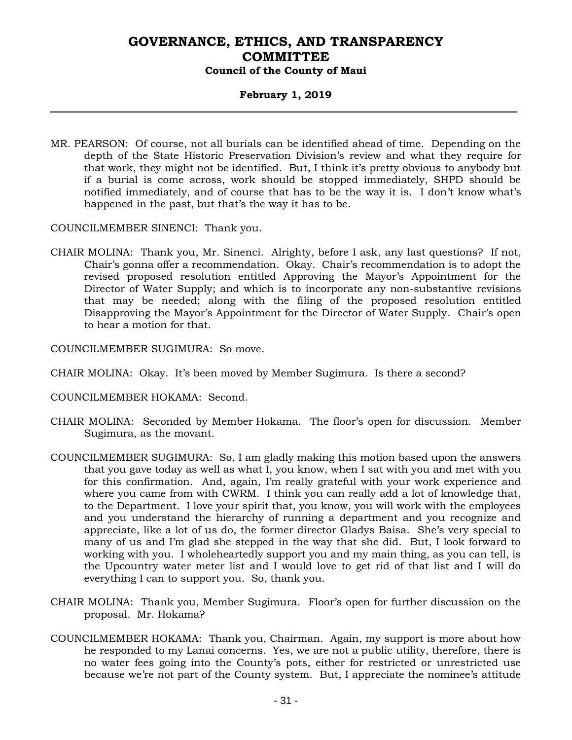### **February 1, 2019**

MR. PEARSON: Of course, not all burials can be identified ahead of time. Depending on the depth of the State Historic Preservation Division's review and what they require for that work, they might not be identified. But, I think it's pretty obvious to anybody but if a burial is come across, work should be stopped immediately, SHPD should be notified immediately, and of course that has to be the way it is. I don't know what's happened in the past, but that's the way it has to be.

COUNCILMEMBER SINENCI: Thank you.

CHAIR MOLINA: Thank you, Mr. Sinenci. Alrighty, before I ask, any last questions? If not, Chair's gonna offer a recommendation. Okay. Chair's recommendation is to adopt the revised proposed resolution entitled Approving the Mayor's Appointment for the Director of Water Supply; and which is to incorporate any non-substantive revisions that may be needed; along with the filing of the proposed resolution entitled Disapproving the Mayor's Appointment for the Director of Water Supply. Chair's open to hear a motion for that.

COUNCILMEMBER SUGIMURA: So move.

- CHAIR MOLINA: Okay. It's been moved by Member Sugimura. Is there a second?
- COUNCILMEMBER HOKAMA: Second.
- CHAIR MOLINA: Seconded by Member Hokama. The floor's open for discussion. Member Sugimura, as the movant.
- COUNCILMEMBER SUGIMURA: So, I am gladly making this motion based upon the answers that you gave today as well as what I, you know, when I sat with you and met with you for this confirmation. And, again, I'm really grateful with your work experience and where you came from with CWRM. I think you can really add a lot of knowledge that, to the Department. I love your spirit that, you know, you will work with the employees and you understand the hierarchy of running a department and you recognize and appreciate, like a lot of us do, the former director Gladys Baisa. She's very special to many of us and I'm glad she stepped in the way that she did. But, I look forward to working with you. I wholeheartedly support you and my main thing, as you can tell, is the Upcountry water meter list and I would love to get rid of that list and I will do everything I can to support you. So, thank you.
- CHAIR MOLINA: Thank you, Member Sugimura. Floor's open for further discussion on the proposal. Mr. Hokama?
- COUNCILMEMBER HOKAMA: Thank you, Chairman. Again, my support is more about how he responded to my Lanai concerns. Yes, we are not a public utility, therefore, there is no water fees going into the County's pots, either for restricted or unrestricted use because we're not part of the County system. But, I appreciate the nominee's attitude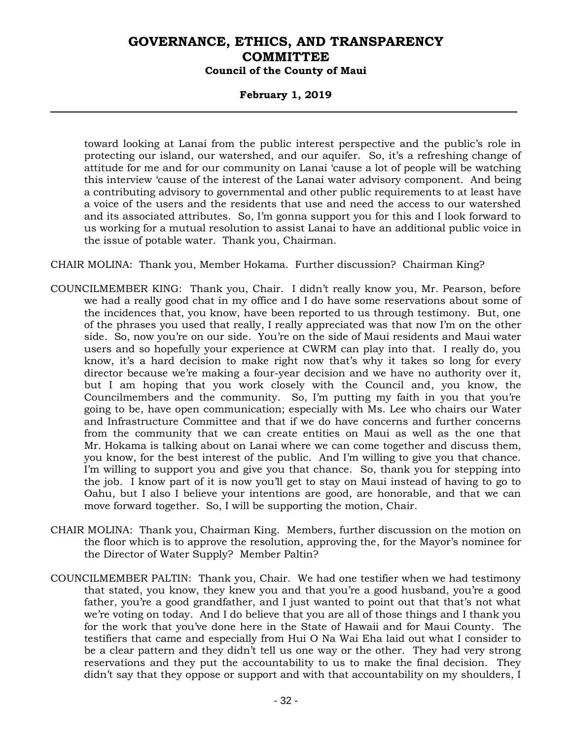### **February 1, 2019**

toward looking at Lanai from the public interest perspective and the public's role in protecting our island, our watershed, and our aquifer. So, it's a refreshing change of attitude for me and for our community on Lanai 'cause a lot of people will be watching this interview 'cause of the interest of the Lanai water advisory component. And being a contributing advisory to governmental and other public requirements to at least have a voice of the users and the residents that use and need the access to our watershed and its associated attributes. So, I'm gonna support you for this and I look forward to us working for a mutual resolution to assist Lanai to have an additional public voice in the issue of potable water. Thank you, Chairman.

CHAIR MOLINA: Thank you, Member Hokama. Further discussion? Chairman King?

- COUNCILMEMBER KING: Thank you, Chair. I didn't really know you, Mr. Pearson, before we had a really good chat in my office and I do have some reservations about some of the incidences that, you know, have been reported to us through testimony. But, one of the phrases you used that really, I really appreciated was that now I'm on the other side. So, now you're on our side. You're on the side of Maui residents and Maui water users and so hopefully your experience at CWRM can play into that. I really do, you know, it's a hard decision to make right now that's why it takes so long for every director because we're making a four-year decision and we have no authority over it, but I am hoping that you work closely with the Council and, you know, the Councilmembers and the community. So, I'm putting my faith in you that you're going to be, have open communication; especially with Ms. Lee who chairs our Water and Infrastructure Committee and that if we do have concerns and further concerns from the community that we can create entities on Maui as well as the one that Mr. Hokama is talking about on Lanai where we can come together and discuss them, you know, for the best interest of the public. And I'm willing to give you that chance. I'm willing to support you and give you that chance. So, thank you for stepping into the job. I know part of it is now you'll get to stay on Maui instead of having to go to Oahu, but I also I believe your intentions are good, are honorable, and that we can move forward together. So, I will be supporting the motion, Chair.
- CHAIR MOLINA: Thank you, Chairman King. Members, further discussion on the motion on the floor which is to approve the resolution, approving the, for the Mayor's nominee for the Director of Water Supply? Member Paltin?
- COUNCILMEMBER PALTIN: Thank you, Chair. We had one testifier when we had testimony that stated, you know, they knew you and that you're a good husband, you're a good father, you're a good grandfather, and I just wanted to point out that that's not what we're voting on today. And I do believe that you are all of those things and I thank you for the work that you've done here in the State of Hawaii and for Maui County. The testifiers that came and especially from Hui O Na Wai Eha laid out what I consider to be a clear pattern and they didn't tell us one way or the other. They had very strong reservations and they put the accountability to us to make the final decision. They didn't say that they oppose or support and with that accountability on my shoulders, I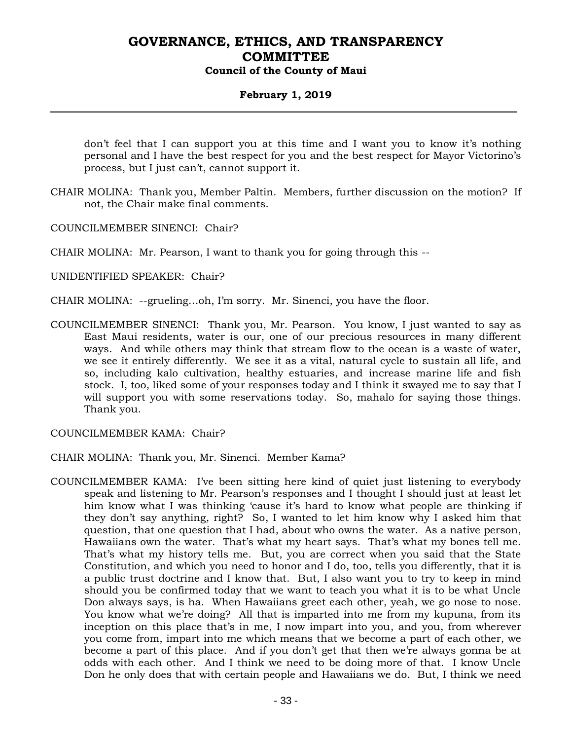### **February 1, 2019**

don't feel that I can support you at this time and I want you to know it's nothing personal and I have the best respect for you and the best respect for Mayor Victorino's process, but I just can't, cannot support it.

CHAIR MOLINA: Thank you, Member Paltin. Members, further discussion on the motion? If not, the Chair make final comments.

COUNCILMEMBER SINENCI: Chair?

CHAIR MOLINA: Mr. Pearson, I want to thank you for going through this --

UNIDENTIFIED SPEAKER: Chair?

CHAIR MOLINA: --grueling…oh, I'm sorry. Mr. Sinenci, you have the floor.

COUNCILMEMBER SINENCI: Thank you, Mr. Pearson. You know, I just wanted to say as East Maui residents, water is our, one of our precious resources in many different ways. And while others may think that stream flow to the ocean is a waste of water, we see it entirely differently. We see it as a vital, natural cycle to sustain all life, and so, including kalo cultivation, healthy estuaries, and increase marine life and fish stock. I, too, liked some of your responses today and I think it swayed me to say that I will support you with some reservations today. So, mahalo for saying those things. Thank you.

COUNCILMEMBER KAMA: Chair?

CHAIR MOLINA: Thank you, Mr. Sinenci. Member Kama?

COUNCILMEMBER KAMA: I've been sitting here kind of quiet just listening to everybody speak and listening to Mr. Pearson's responses and I thought I should just at least let him know what I was thinking 'cause it's hard to know what people are thinking if they don't say anything, right? So, I wanted to let him know why I asked him that question, that one question that I had, about who owns the water. As a native person, Hawaiians own the water. That's what my heart says. That's what my bones tell me. That's what my history tells me. But, you are correct when you said that the State Constitution, and which you need to honor and I do, too, tells you differently, that it is a public trust doctrine and I know that. But, I also want you to try to keep in mind should you be confirmed today that we want to teach you what it is to be what Uncle Don always says, is ha. When Hawaiians greet each other, yeah, we go nose to nose. You know what we're doing? All that is imparted into me from my kupuna, from its inception on this place that's in me, I now impart into you, and you, from wherever you come from, impart into me which means that we become a part of each other, we become a part of this place. And if you don't get that then we're always gonna be at odds with each other. And I think we need to be doing more of that. I know Uncle Don he only does that with certain people and Hawaiians we do. But, I think we need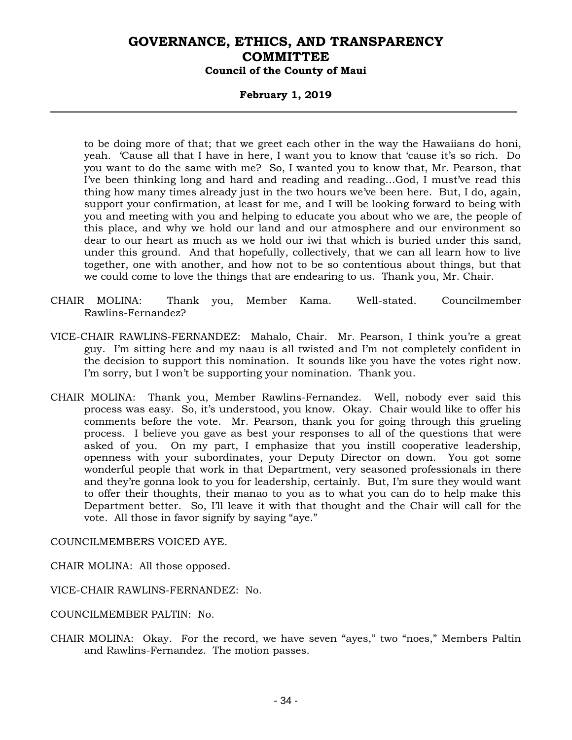### **February 1, 2019**

to be doing more of that; that we greet each other in the way the Hawaiians do honi, yeah. 'Cause all that I have in here, I want you to know that 'cause it's so rich. Do you want to do the same with me? So, I wanted you to know that, Mr. Pearson, that I've been thinking long and hard and reading and reading…God, I must've read this thing how many times already just in the two hours we've been here. But, I do, again, support your confirmation, at least for me, and I will be looking forward to being with you and meeting with you and helping to educate you about who we are, the people of this place, and why we hold our land and our atmosphere and our environment so dear to our heart as much as we hold our iwi that which is buried under this sand, under this ground. And that hopefully, collectively, that we can all learn how to live together, one with another, and how not to be so contentious about things, but that we could come to love the things that are endearing to us. Thank you, Mr. Chair.

- CHAIR MOLINA: Thank you, Member Kama. Well-stated. Councilmember Rawlins-Fernandez?
- VICE-CHAIR RAWLINS-FERNANDEZ: Mahalo, Chair. Mr. Pearson, I think you're a great guy. I'm sitting here and my naau is all twisted and I'm not completely confident in the decision to support this nomination. It sounds like you have the votes right now. I'm sorry, but I won't be supporting your nomination. Thank you.
- CHAIR MOLINA: Thank you, Member Rawlins-Fernandez. Well, nobody ever said this process was easy. So, it's understood, you know. Okay. Chair would like to offer his comments before the vote. Mr. Pearson, thank you for going through this grueling process. I believe you gave as best your responses to all of the questions that were asked of you. On my part, I emphasize that you instill cooperative leadership, openness with your subordinates, your Deputy Director on down. You got some wonderful people that work in that Department, very seasoned professionals in there and they're gonna look to you for leadership, certainly. But, I'm sure they would want to offer their thoughts, their manao to you as to what you can do to help make this Department better. So, I'll leave it with that thought and the Chair will call for the vote. All those in favor signify by saying "aye."

COUNCILMEMBERS VOICED AYE.

CHAIR MOLINA: All those opposed.

VICE-CHAIR RAWLINS-FERNANDEZ: No.

COUNCILMEMBER PALTIN: No.

CHAIR MOLINA: Okay. For the record, we have seven "ayes," two "noes," Members Paltin and Rawlins-Fernandez. The motion passes.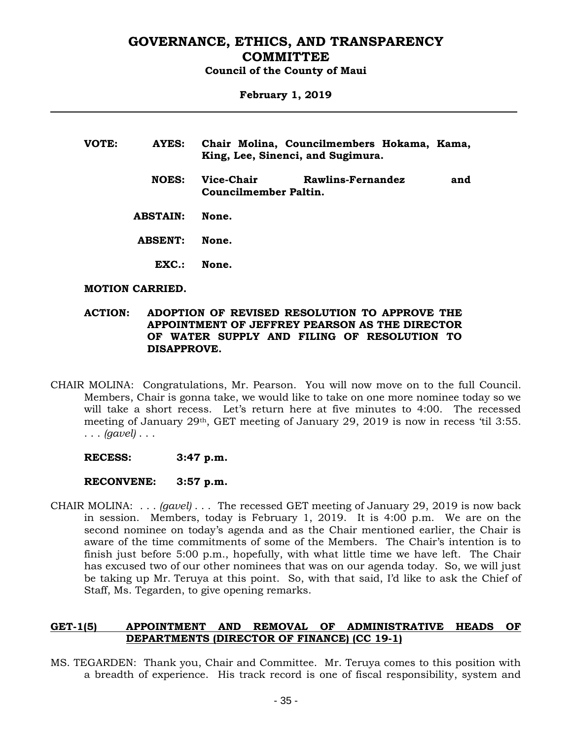#### **February 1, 2019**

| VOTE: | AYES:           | Chair Molina, Councilmembers Hokama, Kama,<br>King, Lee, Sinenci, and Sugimura. |
|-------|-----------------|---------------------------------------------------------------------------------|
|       | <b>NOES:</b>    | Vice-Chair<br>Rawlins-Fernandez<br>and<br>Councilmember Paltin.                 |
|       | <b>ABSTAIN:</b> | None.                                                                           |
|       | <b>ABSENT:</b>  | None.                                                                           |
|       | EXC.            | None.                                                                           |

#### **MOTION CARRIED.**

#### **ACTION: ADOPTION OF REVISED RESOLUTION TO APPROVE THE APPOINTMENT OF JEFFREY PEARSON AS THE DIRECTOR OF WATER SUPPLY AND FILING OF RESOLUTION TO DISAPPROVE.**

- CHAIR MOLINA: Congratulations, Mr. Pearson. You will now move on to the full Council. Members, Chair is gonna take, we would like to take on one more nominee today so we will take a short recess. Let's return here at five minutes to 4:00. The recessed meeting of January 29th, GET meeting of January 29, 2019 is now in recess 'til 3:55. . . . *(gavel)* . . .
	- **RECESS: 3:47 p.m.**

#### **RECONVENE: 3:57 p.m.**

CHAIR MOLINA: . . . *(gavel)* . . . The recessed GET meeting of January 29, 2019 is now back in session. Members, today is February 1, 2019. It is 4:00 p.m. We are on the second nominee on today's agenda and as the Chair mentioned earlier, the Chair is aware of the time commitments of some of the Members. The Chair's intention is to finish just before 5:00 p.m., hopefully, with what little time we have left. The Chair has excused two of our other nominees that was on our agenda today. So, we will just be taking up Mr. Teruya at this point. So, with that said, I'd like to ask the Chief of Staff, Ms. Tegarden, to give opening remarks.

### **GET-1(5) APPOINTMENT AND REMOVAL OF ADMINISTRATIVE HEADS OF DEPARTMENTS (DIRECTOR OF FINANCE) (CC 19-1)**

MS. TEGARDEN: Thank you, Chair and Committee. Mr. Teruya comes to this position with a breadth of experience. His track record is one of fiscal responsibility, system and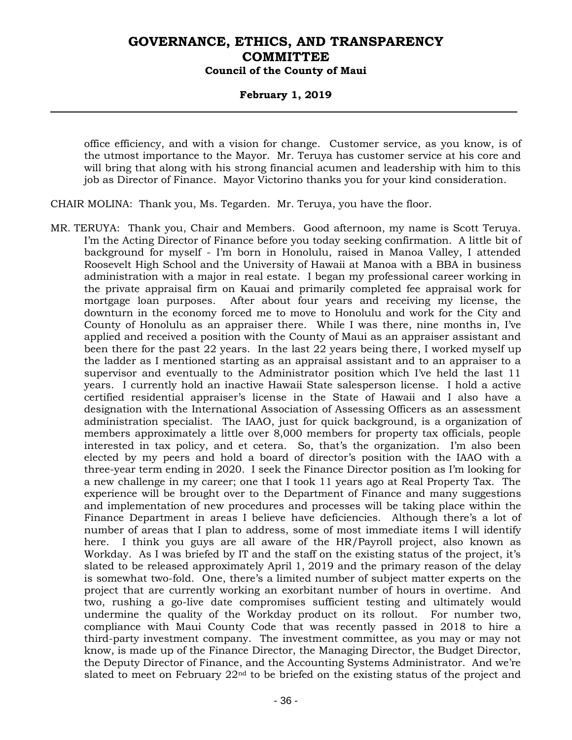### **February 1, 2019**

office efficiency, and with a vision for change. Customer service, as you know, is of the utmost importance to the Mayor. Mr. Teruya has customer service at his core and will bring that along with his strong financial acumen and leadership with him to this job as Director of Finance. Mayor Victorino thanks you for your kind consideration.

CHAIR MOLINA: Thank you, Ms. Tegarden. Mr. Teruya, you have the floor.

MR. TERUYA: Thank you, Chair and Members. Good afternoon, my name is Scott Teruya. I'm the Acting Director of Finance before you today seeking confirmation. A little bit of background for myself - I'm born in Honolulu, raised in Manoa Valley, I attended Roosevelt High School and the University of Hawaii at Manoa with a BBA in business administration with a major in real estate. I began my professional career working in the private appraisal firm on Kauai and primarily completed fee appraisal work for mortgage loan purposes. After about four years and receiving my license, the downturn in the economy forced me to move to Honolulu and work for the City and County of Honolulu as an appraiser there. While I was there, nine months in, I've applied and received a position with the County of Maui as an appraiser assistant and been there for the past 22 years. In the last 22 years being there, I worked myself up the ladder as I mentioned starting as an appraisal assistant and to an appraiser to a supervisor and eventually to the Administrator position which I've held the last 11 years. I currently hold an inactive Hawaii State salesperson license. I hold a active certified residential appraiser's license in the State of Hawaii and I also have a designation with the International Association of Assessing Officers as an assessment administration specialist. The IAAO, just for quick background, is a organization of members approximately a little over 8,000 members for property tax officials, people interested in tax policy, and et cetera. So, that's the organization. I'm also been elected by my peers and hold a board of director's position with the IAAO with a three-year term ending in 2020. I seek the Finance Director position as I'm looking for a new challenge in my career; one that I took 11 years ago at Real Property Tax. The experience will be brought over to the Department of Finance and many suggestions and implementation of new procedures and processes will be taking place within the Finance Department in areas I believe have deficiencies. Although there's a lot of number of areas that I plan to address, some of most immediate items I will identify here. I think you guys are all aware of the HR/Payroll project, also known as Workday. As I was briefed by IT and the staff on the existing status of the project, it's slated to be released approximately April 1, 2019 and the primary reason of the delay is somewhat two-fold. One, there's a limited number of subject matter experts on the project that are currently working an exorbitant number of hours in overtime. And two, rushing a go-live date compromises sufficient testing and ultimately would undermine the quality of the Workday product on its rollout. For number two, compliance with Maui County Code that was recently passed in 2018 to hire a third-party investment company. The investment committee, as you may or may not know, is made up of the Finance Director, the Managing Director, the Budget Director, the Deputy Director of Finance, and the Accounting Systems Administrator. And we're slated to meet on February  $22<sup>nd</sup>$  to be briefed on the existing status of the project and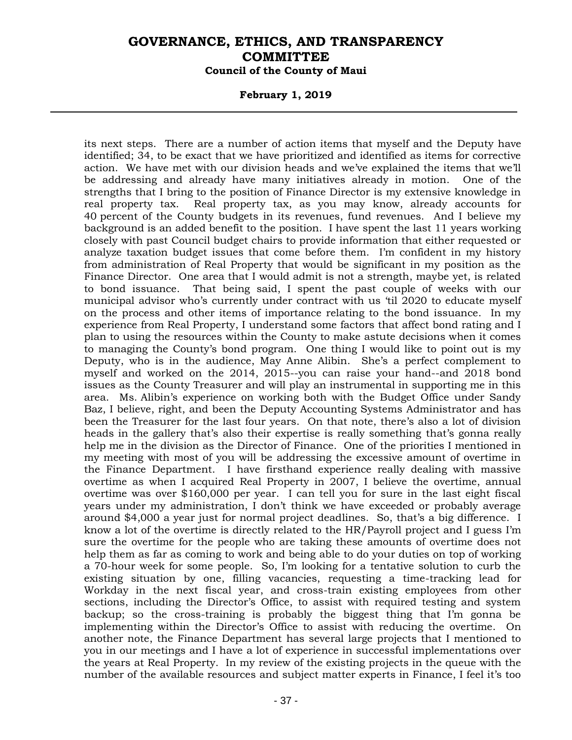#### **February 1, 2019**

its next steps. There are a number of action items that myself and the Deputy have identified; 34, to be exact that we have prioritized and identified as items for corrective action. We have met with our division heads and we've explained the items that we'll be addressing and already have many initiatives already in motion. One of the strengths that I bring to the position of Finance Director is my extensive knowledge in real property tax. Real property tax, as you may know, already accounts for 40 percent of the County budgets in its revenues, fund revenues. And I believe my background is an added benefit to the position. I have spent the last 11 years working closely with past Council budget chairs to provide information that either requested or analyze taxation budget issues that come before them. I'm confident in my history from administration of Real Property that would be significant in my position as the Finance Director. One area that I would admit is not a strength, maybe yet, is related to bond issuance. That being said, I spent the past couple of weeks with our municipal advisor who's currently under contract with us 'til 2020 to educate myself on the process and other items of importance relating to the bond issuance. In my experience from Real Property, I understand some factors that affect bond rating and I plan to using the resources within the County to make astute decisions when it comes to managing the County's bond program. One thing I would like to point out is my Deputy, who is in the audience, May Anne Alibin. She's a perfect complement to myself and worked on the 2014, 2015--you can raise your hand--and 2018 bond issues as the County Treasurer and will play an instrumental in supporting me in this area. Ms. Alibin's experience on working both with the Budget Office under Sandy Baz, I believe, right, and been the Deputy Accounting Systems Administrator and has been the Treasurer for the last four years. On that note, there's also a lot of division heads in the gallery that's also their expertise is really something that's gonna really help me in the division as the Director of Finance. One of the priorities I mentioned in my meeting with most of you will be addressing the excessive amount of overtime in the Finance Department. I have firsthand experience really dealing with massive overtime as when I acquired Real Property in 2007, I believe the overtime, annual overtime was over \$160,000 per year. I can tell you for sure in the last eight fiscal years under my administration, I don't think we have exceeded or probably average around \$4,000 a year just for normal project deadlines. So, that's a big difference. I know a lot of the overtime is directly related to the HR/Payroll project and I guess I'm sure the overtime for the people who are taking these amounts of overtime does not help them as far as coming to work and being able to do your duties on top of working a 70-hour week for some people. So, I'm looking for a tentative solution to curb the existing situation by one, filling vacancies, requesting a time-tracking lead for Workday in the next fiscal year, and cross-train existing employees from other sections, including the Director's Office, to assist with required testing and system backup; so the cross-training is probably the biggest thing that I'm gonna be implementing within the Director's Office to assist with reducing the overtime. On another note, the Finance Department has several large projects that I mentioned to you in our meetings and I have a lot of experience in successful implementations over the years at Real Property. In my review of the existing projects in the queue with the number of the available resources and subject matter experts in Finance, I feel it's too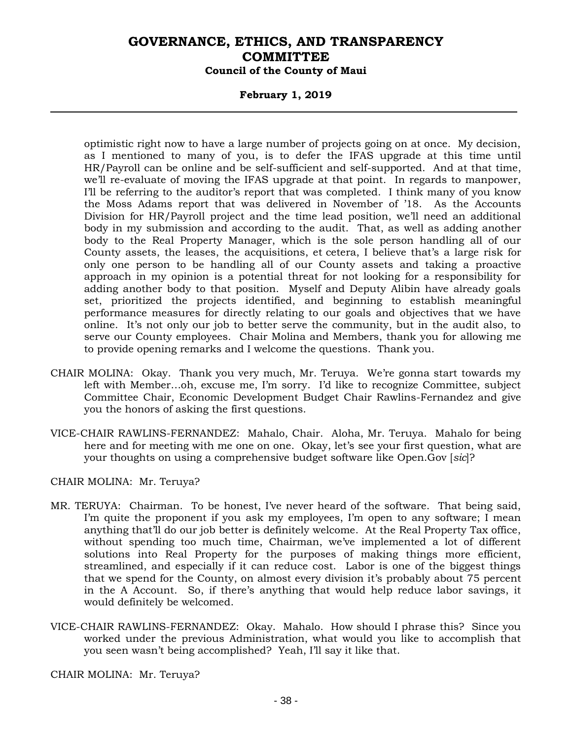### **February 1, 2019**

optimistic right now to have a large number of projects going on at once. My decision, as I mentioned to many of you, is to defer the IFAS upgrade at this time until HR/Payroll can be online and be self-sufficient and self-supported. And at that time, we'll re-evaluate of moving the IFAS upgrade at that point. In regards to manpower, I'll be referring to the auditor's report that was completed. I think many of you know the Moss Adams report that was delivered in November of '18. As the Accounts Division for HR/Payroll project and the time lead position, we'll need an additional body in my submission and according to the audit. That, as well as adding another body to the Real Property Manager, which is the sole person handling all of our County assets, the leases, the acquisitions, et cetera, I believe that's a large risk for only one person to be handling all of our County assets and taking a proactive approach in my opinion is a potential threat for not looking for a responsibility for adding another body to that position. Myself and Deputy Alibin have already goals set, prioritized the projects identified, and beginning to establish meaningful performance measures for directly relating to our goals and objectives that we have online. It's not only our job to better serve the community, but in the audit also, to serve our County employees. Chair Molina and Members, thank you for allowing me to provide opening remarks and I welcome the questions. Thank you.

- CHAIR MOLINA: Okay. Thank you very much, Mr. Teruya. We're gonna start towards my left with Member…oh, excuse me, I'm sorry. I'd like to recognize Committee, subject Committee Chair, Economic Development Budget Chair Rawlins-Fernandez and give you the honors of asking the first questions.
- VICE-CHAIR RAWLINS-FERNANDEZ: Mahalo, Chair. Aloha, Mr. Teruya. Mahalo for being here and for meeting with me one on one. Okay, let's see your first question, what are your thoughts on using a comprehensive budget software like Open.Gov [*sic*]?

CHAIR MOLINA: Mr. Teruya?

- MR. TERUYA: Chairman. To be honest, I've never heard of the software. That being said, I'm quite the proponent if you ask my employees, I'm open to any software; I mean anything that'll do our job better is definitely welcome. At the Real Property Tax office, without spending too much time, Chairman, we've implemented a lot of different solutions into Real Property for the purposes of making things more efficient, streamlined, and especially if it can reduce cost. Labor is one of the biggest things that we spend for the County, on almost every division it's probably about 75 percent in the A Account. So, if there's anything that would help reduce labor savings, it would definitely be welcomed.
- VICE-CHAIR RAWLINS-FERNANDEZ: Okay. Mahalo. How should I phrase this? Since you worked under the previous Administration, what would you like to accomplish that you seen wasn't being accomplished? Yeah, I'll say it like that.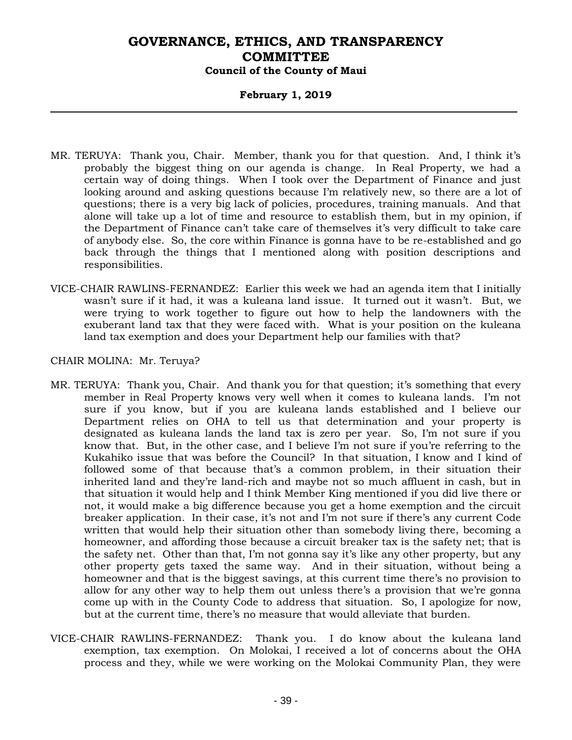### **February 1, 2019**

- MR. TERUYA: Thank you, Chair. Member, thank you for that question. And, I think it's probably the biggest thing on our agenda is change. In Real Property, we had a certain way of doing things. When I took over the Department of Finance and just looking around and asking questions because I'm relatively new, so there are a lot of questions; there is a very big lack of policies, procedures, training manuals. And that alone will take up a lot of time and resource to establish them, but in my opinion, if the Department of Finance can't take care of themselves it's very difficult to take care of anybody else. So, the core within Finance is gonna have to be re-established and go back through the things that I mentioned along with position descriptions and responsibilities.
- VICE-CHAIR RAWLINS-FERNANDEZ: Earlier this week we had an agenda item that I initially wasn't sure if it had, it was a kuleana land issue. It turned out it wasn't. But, we were trying to work together to figure out how to help the landowners with the exuberant land tax that they were faced with. What is your position on the kuleana land tax exemption and does your Department help our families with that?

- MR. TERUYA: Thank you, Chair. And thank you for that question; it's something that every member in Real Property knows very well when it comes to kuleana lands. I'm not sure if you know, but if you are kuleana lands established and I believe our Department relies on OHA to tell us that determination and your property is designated as kuleana lands the land tax is zero per year. So, I'm not sure if you know that. But, in the other case, and I believe I'm not sure if you're referring to the Kukahiko issue that was before the Council? In that situation, I know and I kind of followed some of that because that's a common problem, in their situation their inherited land and they're land-rich and maybe not so much affluent in cash, but in that situation it would help and I think Member King mentioned if you did live there or not, it would make a big difference because you get a home exemption and the circuit breaker application. In their case, it's not and I'm not sure if there's any current Code written that would help their situation other than somebody living there, becoming a homeowner, and affording those because a circuit breaker tax is the safety net; that is the safety net. Other than that, I'm not gonna say it's like any other property, but any other property gets taxed the same way. And in their situation, without being a homeowner and that is the biggest savings, at this current time there's no provision to allow for any other way to help them out unless there's a provision that we're gonna come up with in the County Code to address that situation. So, I apologize for now, but at the current time, there's no measure that would alleviate that burden.
- VICE-CHAIR RAWLINS-FERNANDEZ: Thank you. I do know about the kuleana land exemption, tax exemption. On Molokai, I received a lot of concerns about the OHA process and they, while we were working on the Molokai Community Plan, they were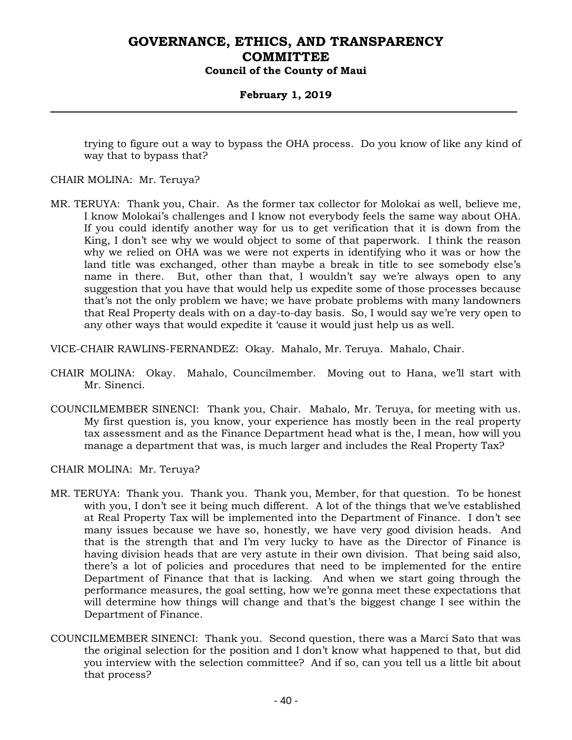### **February 1, 2019**

trying to figure out a way to bypass the OHA process. Do you know of like any kind of way that to bypass that?

#### CHAIR MOLINA: Mr. Teruya?

MR. TERUYA: Thank you, Chair. As the former tax collector for Molokai as well, believe me, I know Molokai's challenges and I know not everybody feels the same way about OHA. If you could identify another way for us to get verification that it is down from the King, I don't see why we would object to some of that paperwork. I think the reason why we relied on OHA was we were not experts in identifying who it was or how the land title was exchanged, other than maybe a break in title to see somebody else's name in there. But, other than that, I wouldn't say we're always open to any suggestion that you have that would help us expedite some of those processes because that's not the only problem we have; we have probate problems with many landowners that Real Property deals with on a day-to-day basis. So, I would say we're very open to any other ways that would expedite it 'cause it would just help us as well.

VICE-CHAIR RAWLINS-FERNANDEZ: Okay. Mahalo, Mr. Teruya. Mahalo, Chair.

- CHAIR MOLINA: Okay. Mahalo, Councilmember. Moving out to Hana, we'll start with Mr. Sinenci.
- COUNCILMEMBER SINENCI: Thank you, Chair. Mahalo, Mr. Teruya, for meeting with us. My first question is, you know, your experience has mostly been in the real property tax assessment and as the Finance Department head what is the, I mean, how will you manage a department that was, is much larger and includes the Real Property Tax?

- MR. TERUYA: Thank you. Thank you. Thank you, Member, for that question. To be honest with you, I don't see it being much different. A lot of the things that we've established at Real Property Tax will be implemented into the Department of Finance. I don't see many issues because we have so, honestly, we have very good division heads. And that is the strength that and I'm very lucky to have as the Director of Finance is having division heads that are very astute in their own division. That being said also, there's a lot of policies and procedures that need to be implemented for the entire Department of Finance that that is lacking. And when we start going through the performance measures, the goal setting, how we're gonna meet these expectations that will determine how things will change and that's the biggest change I see within the Department of Finance.
- COUNCILMEMBER SINENCI: Thank you. Second question, there was a Marci Sato that was the original selection for the position and I don't know what happened to that, but did you interview with the selection committee? And if so, can you tell us a little bit about that process?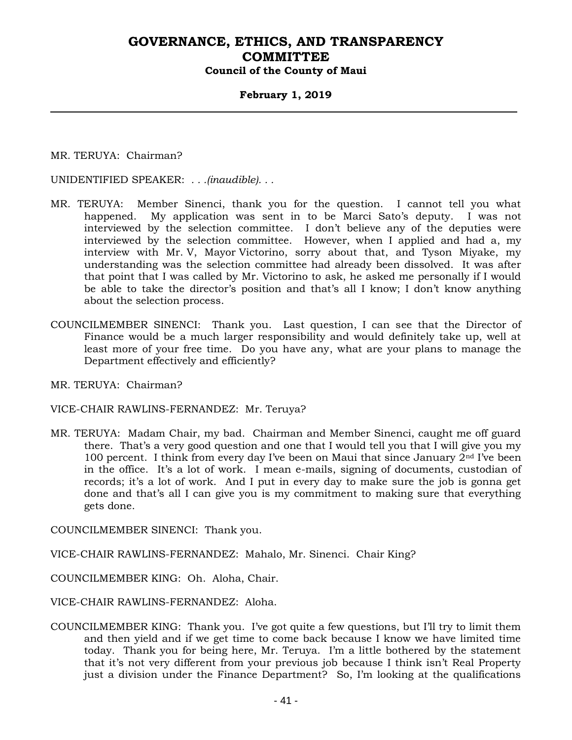### **February 1, 2019**

MR. TERUYA: Chairman?

UNIDENTIFIED SPEAKER: *. . .(inaudible). . .*

- MR. TERUYA: Member Sinenci, thank you for the question. I cannot tell you what happened. My application was sent in to be Marci Sato's deputy. I was not interviewed by the selection committee. I don't believe any of the deputies were interviewed by the selection committee. However, when I applied and had a, my interview with Mr. V, Mayor Victorino, sorry about that, and Tyson Miyake, my understanding was the selection committee had already been dissolved. It was after that point that I was called by Mr. Victorino to ask, he asked me personally if I would be able to take the director's position and that's all I know; I don't know anything about the selection process.
- COUNCILMEMBER SINENCI: Thank you. Last question, I can see that the Director of Finance would be a much larger responsibility and would definitely take up, well at least more of your free time. Do you have any, what are your plans to manage the Department effectively and efficiently?

MR. TERUYA: Chairman?

VICE-CHAIR RAWLINS-FERNANDEZ: Mr. Teruya?

MR. TERUYA: Madam Chair, my bad. Chairman and Member Sinenci, caught me off guard there. That's a very good question and one that I would tell you that I will give you my 100 percent. I think from every day I've been on Maui that since January  $2<sup>nd</sup>$  I've been in the office. It's a lot of work. I mean e-mails, signing of documents, custodian of records; it's a lot of work. And I put in every day to make sure the job is gonna get done and that's all I can give you is my commitment to making sure that everything gets done.

COUNCILMEMBER SINENCI: Thank you.

VICE-CHAIR RAWLINS-FERNANDEZ: Mahalo, Mr. Sinenci. Chair King?

COUNCILMEMBER KING: Oh. Aloha, Chair.

VICE-CHAIR RAWLINS-FERNANDEZ: Aloha.

COUNCILMEMBER KING: Thank you. I've got quite a few questions, but I'll try to limit them and then yield and if we get time to come back because I know we have limited time today. Thank you for being here, Mr. Teruya. I'm a little bothered by the statement that it's not very different from your previous job because I think isn't Real Property just a division under the Finance Department? So, I'm looking at the qualifications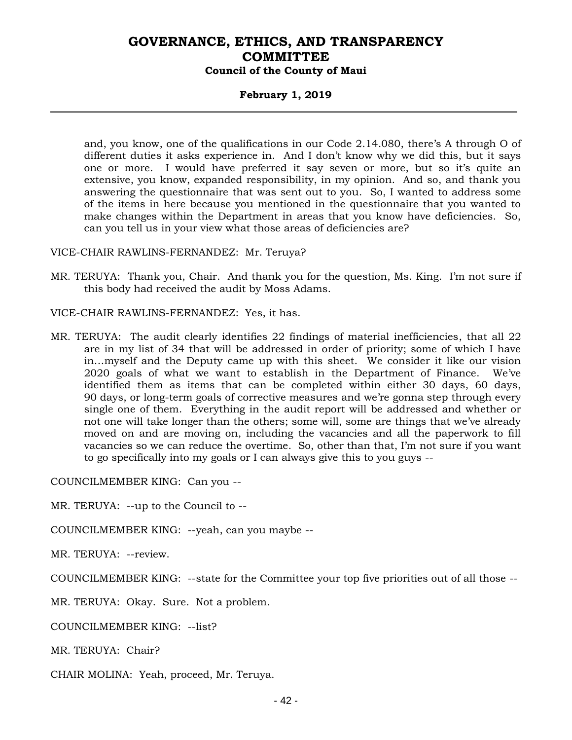#### **February 1, 2019**

and, you know, one of the qualifications in our Code 2.14.080, there's A through O of different duties it asks experience in. And I don't know why we did this, but it says one or more. I would have preferred it say seven or more, but so it's quite an extensive, you know, expanded responsibility, in my opinion. And so, and thank you answering the questionnaire that was sent out to you. So, I wanted to address some of the items in here because you mentioned in the questionnaire that you wanted to make changes within the Department in areas that you know have deficiencies. So, can you tell us in your view what those areas of deficiencies are?

VICE-CHAIR RAWLINS-FERNANDEZ: Mr. Teruya?

MR. TERUYA: Thank you, Chair. And thank you for the question, Ms. King. I'm not sure if this body had received the audit by Moss Adams.

VICE-CHAIR RAWLINS-FERNANDEZ: Yes, it has.

MR. TERUYA: The audit clearly identifies 22 findings of material inefficiencies, that all 22 are in my list of 34 that will be addressed in order of priority; some of which I have in…myself and the Deputy came up with this sheet. We consider it like our vision 2020 goals of what we want to establish in the Department of Finance. We've identified them as items that can be completed within either 30 days, 60 days, 90 days, or long-term goals of corrective measures and we're gonna step through every single one of them. Everything in the audit report will be addressed and whether or not one will take longer than the others; some will, some are things that we've already moved on and are moving on, including the vacancies and all the paperwork to fill vacancies so we can reduce the overtime. So, other than that, I'm not sure if you want to go specifically into my goals or I can always give this to you guys --

COUNCILMEMBER KING: Can you --

MR. TERUYA: --up to the Council to --

COUNCILMEMBER KING: --yeah, can you maybe --

MR. TERUYA: --review.

COUNCILMEMBER KING: --state for the Committee your top five priorities out of all those --

MR. TERUYA: Okay. Sure. Not a problem.

COUNCILMEMBER KING: --list?

MR. TERUYA: Chair?

CHAIR MOLINA: Yeah, proceed, Mr. Teruya.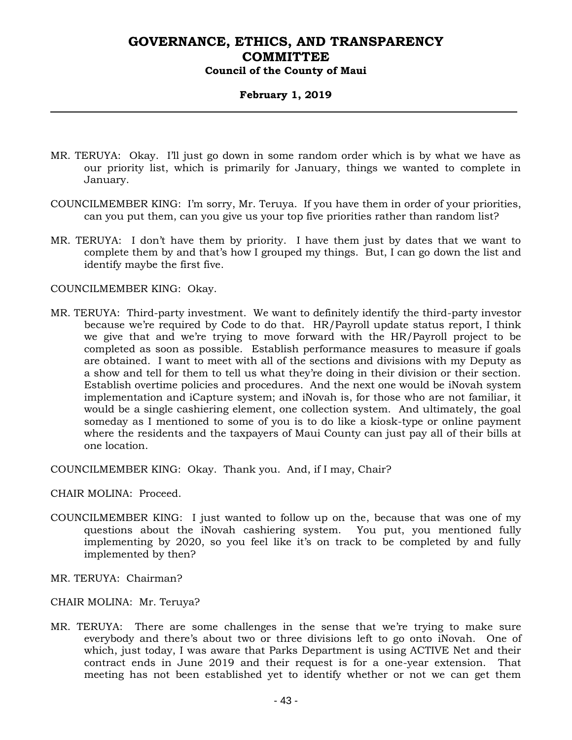### **February 1, 2019**

- MR. TERUYA: Okay. I'll just go down in some random order which is by what we have as our priority list, which is primarily for January, things we wanted to complete in January.
- COUNCILMEMBER KING: I'm sorry, Mr. Teruya. If you have them in order of your priorities, can you put them, can you give us your top five priorities rather than random list?
- MR. TERUYA: I don't have them by priority. I have them just by dates that we want to complete them by and that's how I grouped my things. But, I can go down the list and identify maybe the first five.

#### COUNCILMEMBER KING: Okay.

MR. TERUYA: Third-party investment. We want to definitely identify the third-party investor because we're required by Code to do that. HR/Payroll update status report, I think we give that and we're trying to move forward with the HR/Payroll project to be completed as soon as possible. Establish performance measures to measure if goals are obtained. I want to meet with all of the sections and divisions with my Deputy as a show and tell for them to tell us what they're doing in their division or their section. Establish overtime policies and procedures. And the next one would be iNovah system implementation and iCapture system; and iNovah is, for those who are not familiar, it would be a single cashiering element, one collection system. And ultimately, the goal someday as I mentioned to some of you is to do like a kiosk-type or online payment where the residents and the taxpayers of Maui County can just pay all of their bills at one location.

COUNCILMEMBER KING: Okay. Thank you. And, if I may, Chair?

CHAIR MOLINA: Proceed.

- COUNCILMEMBER KING: I just wanted to follow up on the, because that was one of my questions about the iNovah cashiering system. You put, you mentioned fully implementing by 2020, so you feel like it's on track to be completed by and fully implemented by then?
- MR. TERUYA: Chairman?
- CHAIR MOLINA: Mr. Teruya?
- MR. TERUYA: There are some challenges in the sense that we're trying to make sure everybody and there's about two or three divisions left to go onto iNovah. One of which, just today, I was aware that Parks Department is using ACTIVE Net and their contract ends in June 2019 and their request is for a one-year extension. That meeting has not been established yet to identify whether or not we can get them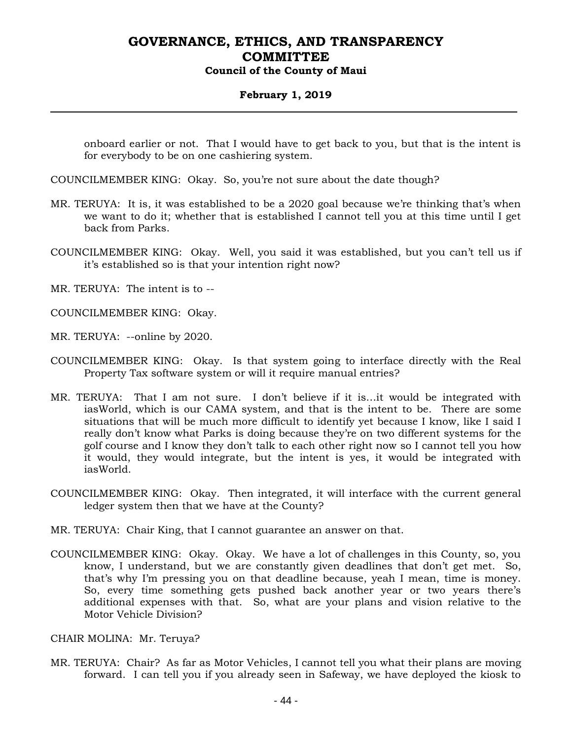### **February 1, 2019**

onboard earlier or not. That I would have to get back to you, but that is the intent is for everybody to be on one cashiering system.

- COUNCILMEMBER KING: Okay. So, you're not sure about the date though?
- MR. TERUYA: It is, it was established to be a 2020 goal because we're thinking that's when we want to do it; whether that is established I cannot tell you at this time until I get back from Parks.
- COUNCILMEMBER KING: Okay. Well, you said it was established, but you can't tell us if it's established so is that your intention right now?
- MR. TERUYA: The intent is to --
- COUNCILMEMBER KING: Okay.
- MR. TERUYA: --online by 2020.
- COUNCILMEMBER KING: Okay. Is that system going to interface directly with the Real Property Tax software system or will it require manual entries?
- MR. TERUYA: That I am not sure. I don't believe if it is…it would be integrated with iasWorld, which is our CAMA system, and that is the intent to be. There are some situations that will be much more difficult to identify yet because I know, like I said I really don't know what Parks is doing because they're on two different systems for the golf course and I know they don't talk to each other right now so I cannot tell you how it would, they would integrate, but the intent is yes, it would be integrated with iasWorld.
- COUNCILMEMBER KING: Okay. Then integrated, it will interface with the current general ledger system then that we have at the County?
- MR. TERUYA: Chair King, that I cannot guarantee an answer on that.
- COUNCILMEMBER KING: Okay. Okay. We have a lot of challenges in this County, so, you know, I understand, but we are constantly given deadlines that don't get met. So, that's why I'm pressing you on that deadline because, yeah I mean, time is money. So, every time something gets pushed back another year or two years there's additional expenses with that. So, what are your plans and vision relative to the Motor Vehicle Division?

#### CHAIR MOLINA: Mr. Teruya?

MR. TERUYA: Chair? As far as Motor Vehicles, I cannot tell you what their plans are moving forward. I can tell you if you already seen in Safeway, we have deployed the kiosk to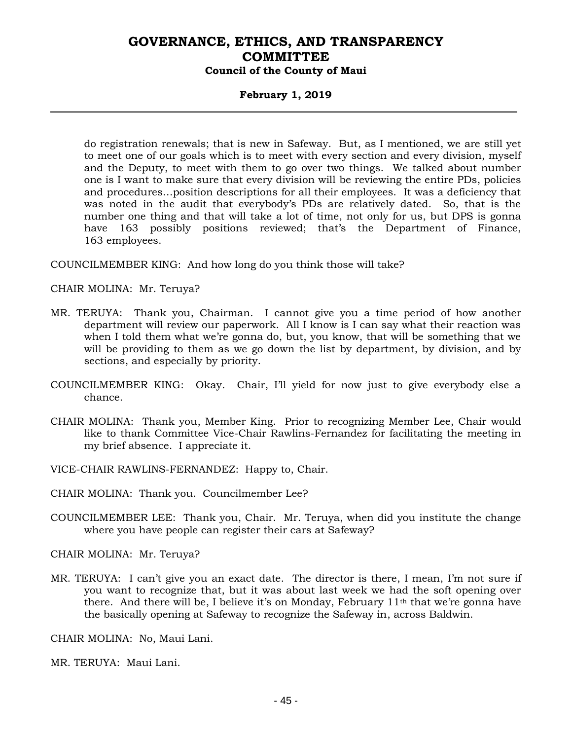### **February 1, 2019**

do registration renewals; that is new in Safeway. But, as I mentioned, we are still yet to meet one of our goals which is to meet with every section and every division, myself and the Deputy, to meet with them to go over two things. We talked about number one is I want to make sure that every division will be reviewing the entire PDs, policies and procedures…position descriptions for all their employees. It was a deficiency that was noted in the audit that everybody's PDs are relatively dated. So, that is the number one thing and that will take a lot of time, not only for us, but DPS is gonna have 163 possibly positions reviewed; that's the Department of Finance, 163 employees.

COUNCILMEMBER KING: And how long do you think those will take?

CHAIR MOLINA: Mr. Teruya?

- MR. TERUYA: Thank you, Chairman. I cannot give you a time period of how another department will review our paperwork. All I know is I can say what their reaction was when I told them what we're gonna do, but, you know, that will be something that we will be providing to them as we go down the list by department, by division, and by sections, and especially by priority.
- COUNCILMEMBER KING: Okay. Chair, I'll yield for now just to give everybody else a chance.
- CHAIR MOLINA: Thank you, Member King. Prior to recognizing Member Lee, Chair would like to thank Committee Vice-Chair Rawlins-Fernandez for facilitating the meeting in my brief absence. I appreciate it.

VICE-CHAIR RAWLINS-FERNANDEZ: Happy to, Chair.

CHAIR MOLINA: Thank you. Councilmember Lee?

COUNCILMEMBER LEE: Thank you, Chair. Mr. Teruya, when did you institute the change where you have people can register their cars at Safeway?

CHAIR MOLINA: Mr. Teruya?

MR. TERUYA: I can't give you an exact date. The director is there, I mean, I'm not sure if you want to recognize that, but it was about last week we had the soft opening over there. And there will be, I believe it's on Monday, February  $11<sup>th</sup>$  that we're gonna have the basically opening at Safeway to recognize the Safeway in, across Baldwin.

CHAIR MOLINA: No, Maui Lani.

MR. TERUYA: Maui Lani.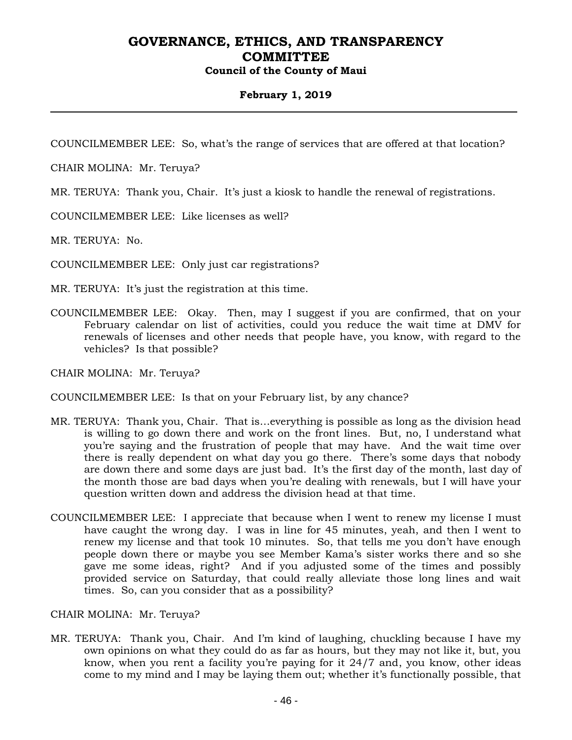### **February 1, 2019**

COUNCILMEMBER LEE: So, what's the range of services that are offered at that location?

CHAIR MOLINA: Mr. Teruya?

MR. TERUYA: Thank you, Chair. It's just a kiosk to handle the renewal of registrations.

COUNCILMEMBER LEE: Like licenses as well?

MR. TERUYA: No.

COUNCILMEMBER LEE: Only just car registrations?

MR. TERUYA: It's just the registration at this time.

COUNCILMEMBER LEE: Okay. Then, may I suggest if you are confirmed, that on your February calendar on list of activities, could you reduce the wait time at DMV for renewals of licenses and other needs that people have, you know, with regard to the vehicles? Is that possible?

CHAIR MOLINA: Mr. Teruya?

COUNCILMEMBER LEE: Is that on your February list, by any chance?

- MR. TERUYA: Thank you, Chair. That is…everything is possible as long as the division head is willing to go down there and work on the front lines. But, no, I understand what you're saying and the frustration of people that may have. And the wait time over there is really dependent on what day you go there. There's some days that nobody are down there and some days are just bad. It's the first day of the month, last day of the month those are bad days when you're dealing with renewals, but I will have your question written down and address the division head at that time.
- COUNCILMEMBER LEE: I appreciate that because when I went to renew my license I must have caught the wrong day. I was in line for 45 minutes, yeah, and then I went to renew my license and that took 10 minutes. So, that tells me you don't have enough people down there or maybe you see Member Kama's sister works there and so she gave me some ideas, right? And if you adjusted some of the times and possibly provided service on Saturday, that could really alleviate those long lines and wait times. So, can you consider that as a possibility?

CHAIR MOLINA: Mr. Teruya?

MR. TERUYA: Thank you, Chair. And I'm kind of laughing, chuckling because I have my own opinions on what they could do as far as hours, but they may not like it, but, you know, when you rent a facility you're paying for it 24/7 and, you know, other ideas come to my mind and I may be laying them out; whether it's functionally possible, that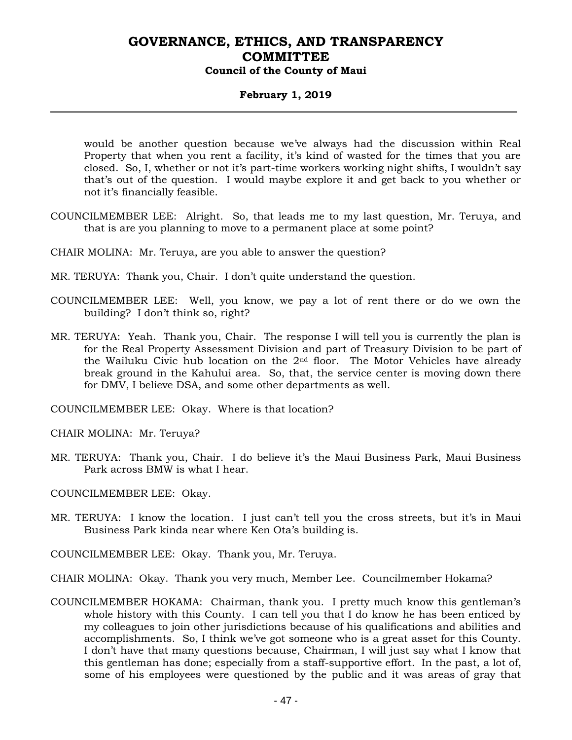### **February 1, 2019**

would be another question because we've always had the discussion within Real Property that when you rent a facility, it's kind of wasted for the times that you are closed. So, I, whether or not it's part-time workers working night shifts, I wouldn't say that's out of the question. I would maybe explore it and get back to you whether or not it's financially feasible.

- COUNCILMEMBER LEE: Alright. So, that leads me to my last question, Mr. Teruya, and that is are you planning to move to a permanent place at some point?
- CHAIR MOLINA: Mr. Teruya, are you able to answer the question?
- MR. TERUYA: Thank you, Chair. I don't quite understand the question.
- COUNCILMEMBER LEE: Well, you know, we pay a lot of rent there or do we own the building? I don't think so, right?
- MR. TERUYA: Yeah. Thank you, Chair. The response I will tell you is currently the plan is for the Real Property Assessment Division and part of Treasury Division to be part of the Wailuku Civic hub location on the 2nd floor. The Motor Vehicles have already break ground in the Kahului area. So, that, the service center is moving down there for DMV, I believe DSA, and some other departments as well.

COUNCILMEMBER LEE: Okay. Where is that location?

CHAIR MOLINA: Mr. Teruya?

MR. TERUYA: Thank you, Chair. I do believe it's the Maui Business Park, Maui Business Park across BMW is what I hear.

COUNCILMEMBER LEE: Okay.

- MR. TERUYA: I know the location. I just can't tell you the cross streets, but it's in Maui Business Park kinda near where Ken Ota's building is.
- COUNCILMEMBER LEE: Okay. Thank you, Mr. Teruya.

CHAIR MOLINA: Okay. Thank you very much, Member Lee. Councilmember Hokama?

COUNCILMEMBER HOKAMA: Chairman, thank you. I pretty much know this gentleman's whole history with this County. I can tell you that I do know he has been enticed by my colleagues to join other jurisdictions because of his qualifications and abilities and accomplishments. So, I think we've got someone who is a great asset for this County. I don't have that many questions because, Chairman, I will just say what I know that this gentleman has done; especially from a staff-supportive effort. In the past, a lot of, some of his employees were questioned by the public and it was areas of gray that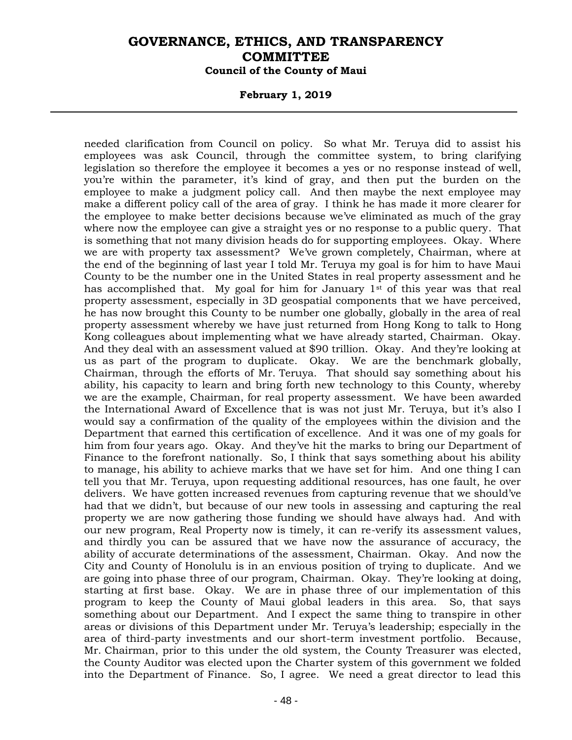#### **February 1, 2019**

needed clarification from Council on policy. So what Mr. Teruya did to assist his employees was ask Council, through the committee system, to bring clarifying legislation so therefore the employee it becomes a yes or no response instead of well, you're within the parameter, it's kind of gray, and then put the burden on the employee to make a judgment policy call. And then maybe the next employee may make a different policy call of the area of gray. I think he has made it more clearer for the employee to make better decisions because we've eliminated as much of the gray where now the employee can give a straight yes or no response to a public query. That is something that not many division heads do for supporting employees. Okay. Where we are with property tax assessment? We've grown completely, Chairman, where at the end of the beginning of last year I told Mr. Teruya my goal is for him to have Maui County to be the number one in the United States in real property assessment and he has accomplished that. My goal for him for January  $1<sup>st</sup>$  of this year was that real property assessment, especially in 3D geospatial components that we have perceived, he has now brought this County to be number one globally, globally in the area of real property assessment whereby we have just returned from Hong Kong to talk to Hong Kong colleagues about implementing what we have already started, Chairman. Okay. And they deal with an assessment valued at \$90 trillion. Okay. And they're looking at us as part of the program to duplicate. Okay. We are the benchmark globally, Chairman, through the efforts of Mr. Teruya. That should say something about his ability, his capacity to learn and bring forth new technology to this County, whereby we are the example, Chairman, for real property assessment. We have been awarded the International Award of Excellence that is was not just Mr. Teruya, but it's also I would say a confirmation of the quality of the employees within the division and the Department that earned this certification of excellence. And it was one of my goals for him from four years ago. Okay. And they've hit the marks to bring our Department of Finance to the forefront nationally. So, I think that says something about his ability to manage, his ability to achieve marks that we have set for him. And one thing I can tell you that Mr. Teruya, upon requesting additional resources, has one fault, he over delivers. We have gotten increased revenues from capturing revenue that we should've had that we didn't, but because of our new tools in assessing and capturing the real property we are now gathering those funding we should have always had. And with our new program, Real Property now is timely, it can re-verify its assessment values, and thirdly you can be assured that we have now the assurance of accuracy, the ability of accurate determinations of the assessment, Chairman. Okay. And now the City and County of Honolulu is in an envious position of trying to duplicate. And we are going into phase three of our program, Chairman. Okay. They're looking at doing, starting at first base. Okay. We are in phase three of our implementation of this program to keep the County of Maui global leaders in this area. So, that says something about our Department. And I expect the same thing to transpire in other areas or divisions of this Department under Mr. Teruya's leadership; especially in the area of third-party investments and our short-term investment portfolio. Because, Mr. Chairman, prior to this under the old system, the County Treasurer was elected, the County Auditor was elected upon the Charter system of this government we folded into the Department of Finance. So, I agree. We need a great director to lead this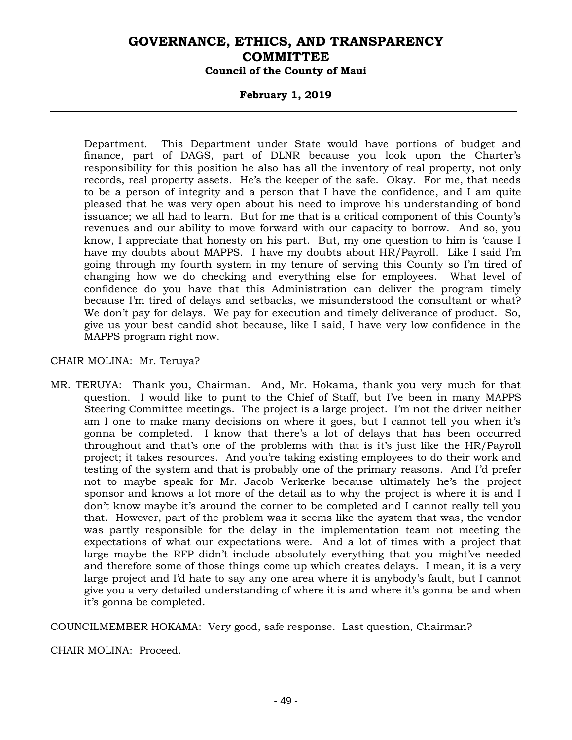### **February 1, 2019**

Department. This Department under State would have portions of budget and finance, part of DAGS, part of DLNR because you look upon the Charter's responsibility for this position he also has all the inventory of real property, not only records, real property assets. He's the keeper of the safe. Okay. For me, that needs to be a person of integrity and a person that I have the confidence, and I am quite pleased that he was very open about his need to improve his understanding of bond issuance; we all had to learn. But for me that is a critical component of this County's revenues and our ability to move forward with our capacity to borrow. And so, you know, I appreciate that honesty on his part. But, my one question to him is 'cause I have my doubts about MAPPS. I have my doubts about HR/Payroll. Like I said I'm going through my fourth system in my tenure of serving this County so I'm tired of changing how we do checking and everything else for employees. What level of confidence do you have that this Administration can deliver the program timely because I'm tired of delays and setbacks, we misunderstood the consultant or what? We don't pay for delays. We pay for execution and timely deliverance of product. So, give us your best candid shot because, like I said, I have very low confidence in the MAPPS program right now.

#### CHAIR MOLINA: Mr. Teruya?

MR. TERUYA: Thank you, Chairman. And, Mr. Hokama, thank you very much for that question. I would like to punt to the Chief of Staff, but I've been in many MAPPS Steering Committee meetings. The project is a large project. I'm not the driver neither am I one to make many decisions on where it goes, but I cannot tell you when it's gonna be completed. I know that there's a lot of delays that has been occurred throughout and that's one of the problems with that is it's just like the HR/Payroll project; it takes resources. And you're taking existing employees to do their work and testing of the system and that is probably one of the primary reasons. And I'd prefer not to maybe speak for Mr. Jacob Verkerke because ultimately he's the project sponsor and knows a lot more of the detail as to why the project is where it is and I don't know maybe it's around the corner to be completed and I cannot really tell you that. However, part of the problem was it seems like the system that was, the vendor was partly responsible for the delay in the implementation team not meeting the expectations of what our expectations were. And a lot of times with a project that large maybe the RFP didn't include absolutely everything that you might've needed and therefore some of those things come up which creates delays. I mean, it is a very large project and I'd hate to say any one area where it is anybody's fault, but I cannot give you a very detailed understanding of where it is and where it's gonna be and when it's gonna be completed.

COUNCILMEMBER HOKAMA: Very good, safe response. Last question, Chairman?

CHAIR MOLINA: Proceed.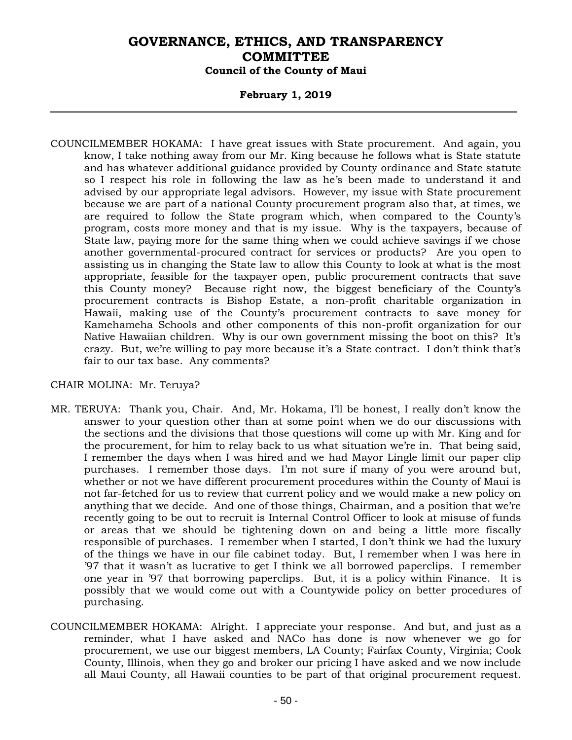### **February 1, 2019**

COUNCILMEMBER HOKAMA: I have great issues with State procurement. And again, you know, I take nothing away from our Mr. King because he follows what is State statute and has whatever additional guidance provided by County ordinance and State statute so I respect his role in following the law as he's been made to understand it and advised by our appropriate legal advisors. However, my issue with State procurement because we are part of a national County procurement program also that, at times, we are required to follow the State program which, when compared to the County's program, costs more money and that is my issue. Why is the taxpayers, because of State law, paying more for the same thing when we could achieve savings if we chose another governmental-procured contract for services or products? Are you open to assisting us in changing the State law to allow this County to look at what is the most appropriate, feasible for the taxpayer open, public procurement contracts that save this County money? Because right now, the biggest beneficiary of the County's procurement contracts is Bishop Estate, a non-profit charitable organization in Hawaii, making use of the County's procurement contracts to save money for Kamehameha Schools and other components of this non-profit organization for our Native Hawaiian children. Why is our own government missing the boot on this? It's crazy. But, we're willing to pay more because it's a State contract. I don't think that's fair to our tax base. Any comments?

- MR. TERUYA: Thank you, Chair. And, Mr. Hokama, I'll be honest, I really don't know the answer to your question other than at some point when we do our discussions with the sections and the divisions that those questions will come up with Mr. King and for the procurement, for him to relay back to us what situation we're in. That being said, I remember the days when I was hired and we had Mayor Lingle limit our paper clip purchases. I remember those days. I'm not sure if many of you were around but, whether or not we have different procurement procedures within the County of Maui is not far-fetched for us to review that current policy and we would make a new policy on anything that we decide. And one of those things, Chairman, and a position that we're recently going to be out to recruit is Internal Control Officer to look at misuse of funds or areas that we should be tightening down on and being a little more fiscally responsible of purchases. I remember when I started, I don't think we had the luxury of the things we have in our file cabinet today. But, I remember when I was here in '97 that it wasn't as lucrative to get I think we all borrowed paperclips. I remember one year in '97 that borrowing paperclips. But, it is a policy within Finance. It is possibly that we would come out with a Countywide policy on better procedures of purchasing.
- COUNCILMEMBER HOKAMA: Alright. I appreciate your response. And but, and just as a reminder, what I have asked and NACo has done is now whenever we go for procurement, we use our biggest members, LA County; Fairfax County, Virginia; Cook County, Illinois, when they go and broker our pricing I have asked and we now include all Maui County, all Hawaii counties to be part of that original procurement request.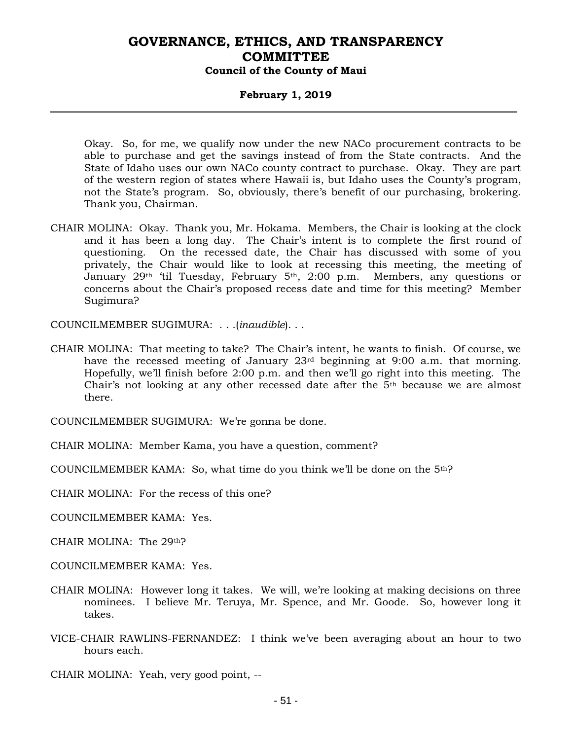#### **February 1, 2019**

Okay. So, for me, we qualify now under the new NACo procurement contracts to be able to purchase and get the savings instead of from the State contracts. And the State of Idaho uses our own NACo county contract to purchase. Okay. They are part of the western region of states where Hawaii is, but Idaho uses the County's program, not the State's program. So, obviously, there's benefit of our purchasing, brokering. Thank you, Chairman.

CHAIR MOLINA: Okay. Thank you, Mr. Hokama. Members, the Chair is looking at the clock and it has been a long day. The Chair's intent is to complete the first round of questioning. On the recessed date, the Chair has discussed with some of you privately, the Chair would like to look at recessing this meeting, the meeting of January 29<sup>th</sup> 'til Tuesday, February 5<sup>th</sup>, 2:00 p.m. Members, any questions or concerns about the Chair's proposed recess date and time for this meeting? Member Sugimura?

COUNCILMEMBER SUGIMURA: . . .(*inaudible*). . .

CHAIR MOLINA: That meeting to take? The Chair's intent, he wants to finish. Of course, we have the recessed meeting of January 23rd beginning at 9:00 a.m. that morning. Hopefully, we'll finish before 2:00 p.m. and then we'll go right into this meeting. The Chair's not looking at any other recessed date after the 5th because we are almost there.

COUNCILMEMBER SUGIMURA: We're gonna be done.

CHAIR MOLINA: Member Kama, you have a question, comment?

COUNCILMEMBER KAMA: So, what time do you think we'll be done on the  $5<sup>th</sup>$ ?

CHAIR MOLINA: For the recess of this one?

COUNCILMEMBER KAMA: Yes.

CHAIR MOLINA: The 29th?

- COUNCILMEMBER KAMA: Yes.
- CHAIR MOLINA: However long it takes. We will, we're looking at making decisions on three nominees. I believe Mr. Teruya, Mr. Spence, and Mr. Goode. So, however long it takes.
- VICE-CHAIR RAWLINS-FERNANDEZ: I think we've been averaging about an hour to two hours each.

CHAIR MOLINA: Yeah, very good point, --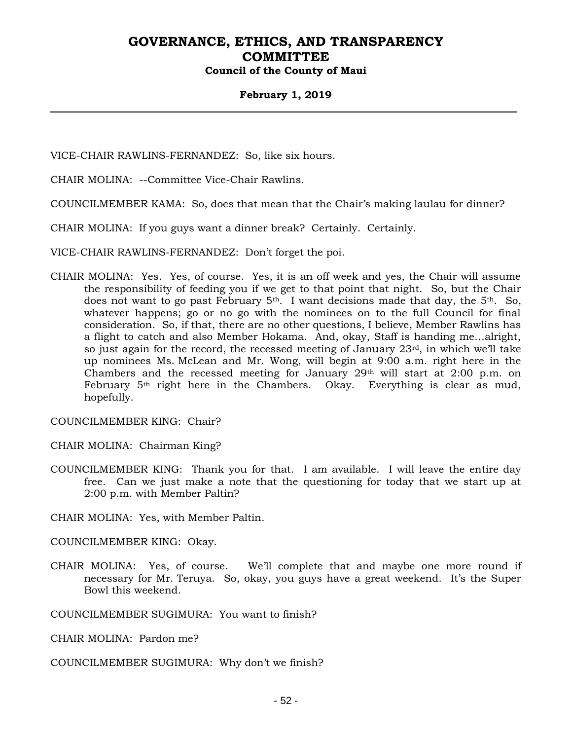### **February 1, 2019**

VICE-CHAIR RAWLINS-FERNANDEZ: So, like six hours.

CHAIR MOLINA: --Committee Vice-Chair Rawlins.

COUNCILMEMBER KAMA: So, does that mean that the Chair's making laulau for dinner?

CHAIR MOLINA: If you guys want a dinner break? Certainly. Certainly.

VICE-CHAIR RAWLINS-FERNANDEZ: Don't forget the poi.

CHAIR MOLINA: Yes. Yes, of course. Yes, it is an off week and yes, the Chair will assume the responsibility of feeding you if we get to that point that night. So, but the Chair does not want to go past February 5<sup>th</sup>. I want decisions made that day, the 5<sup>th</sup>. So, whatever happens; go or no go with the nominees on to the full Council for final consideration. So, if that, there are no other questions, I believe, Member Rawlins has a flight to catch and also Member Hokama. And, okay, Staff is handing me…alright, so just again for the record, the recessed meeting of January 23rd, in which we'll take up nominees Ms. McLean and Mr. Wong, will begin at 9:00 a.m. right here in the Chambers and the recessed meeting for January  $29<sup>th</sup>$  will start at 2:00 p.m. on February 5th right here in the Chambers. Okay. Everything is clear as mud, hopefully.

COUNCILMEMBER KING: Chair?

CHAIR MOLINA: Chairman King?

COUNCILMEMBER KING: Thank you for that. I am available. I will leave the entire day free. Can we just make a note that the questioning for today that we start up at 2:00 p.m. with Member Paltin?

CHAIR MOLINA: Yes, with Member Paltin.

COUNCILMEMBER KING: Okay.

CHAIR MOLINA: Yes, of course. We'll complete that and maybe one more round if necessary for Mr. Teruya. So, okay, you guys have a great weekend. It's the Super Bowl this weekend.

COUNCILMEMBER SUGIMURA: You want to finish?

CHAIR MOLINA: Pardon me?

COUNCILMEMBER SUGIMURA: Why don't we finish?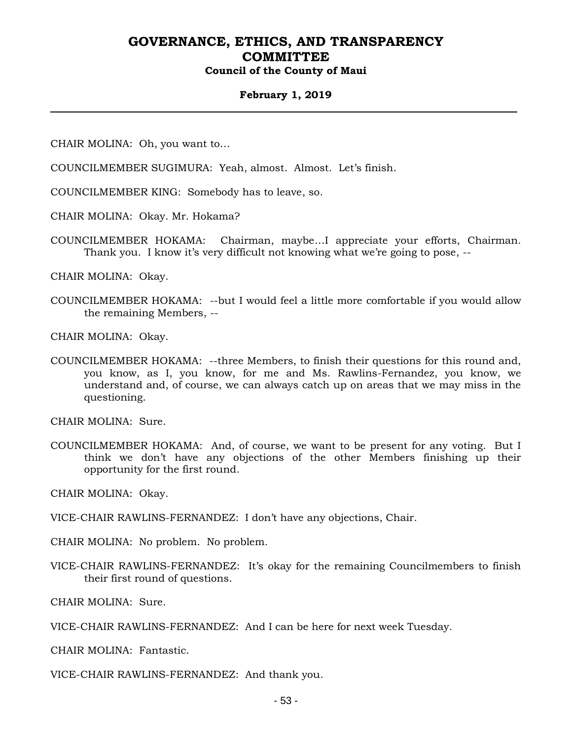#### **February 1, 2019**

CHAIR MOLINA: Oh, you want to…

COUNCILMEMBER SUGIMURA: Yeah, almost. Almost. Let's finish.

COUNCILMEMBER KING: Somebody has to leave, so.

CHAIR MOLINA: Okay. Mr. Hokama?

COUNCILMEMBER HOKAMA: Chairman, maybe…I appreciate your efforts, Chairman. Thank you. I know it's very difficult not knowing what we're going to pose, --

CHAIR MOLINA: Okay.

COUNCILMEMBER HOKAMA: --but I would feel a little more comfortable if you would allow the remaining Members, --

CHAIR MOLINA: Okay.

COUNCILMEMBER HOKAMA: --three Members, to finish their questions for this round and, you know, as I, you know, for me and Ms. Rawlins-Fernandez, you know, we understand and, of course, we can always catch up on areas that we may miss in the questioning.

CHAIR MOLINA: Sure.

COUNCILMEMBER HOKAMA: And, of course, we want to be present for any voting. But I think we don't have any objections of the other Members finishing up their opportunity for the first round.

CHAIR MOLINA: Okay.

VICE-CHAIR RAWLINS-FERNANDEZ: I don't have any objections, Chair.

CHAIR MOLINA: No problem. No problem.

VICE-CHAIR RAWLINS-FERNANDEZ: It's okay for the remaining Councilmembers to finish their first round of questions.

CHAIR MOLINA: Sure.

VICE-CHAIR RAWLINS-FERNANDEZ: And I can be here for next week Tuesday.

CHAIR MOLINA: Fantastic.

VICE-CHAIR RAWLINS-FERNANDEZ: And thank you.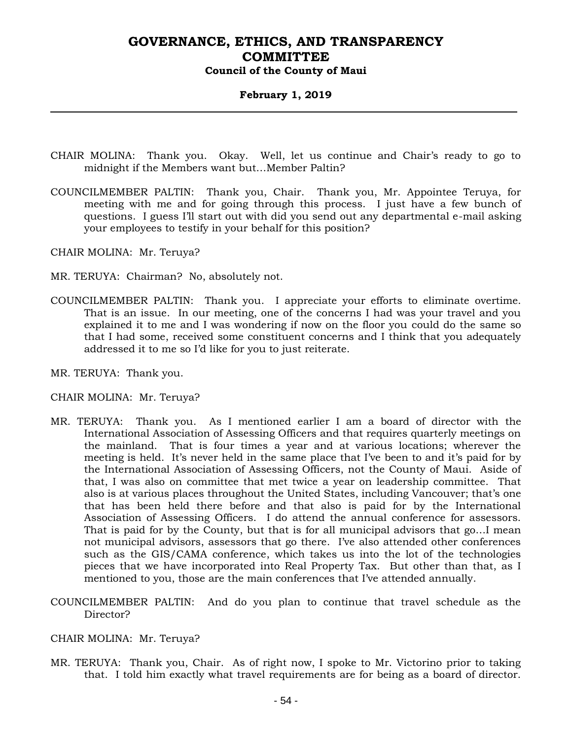### **February 1, 2019**

- CHAIR MOLINA: Thank you. Okay. Well, let us continue and Chair's ready to go to midnight if the Members want but…Member Paltin?
- COUNCILMEMBER PALTIN: Thank you, Chair. Thank you, Mr. Appointee Teruya, for meeting with me and for going through this process. I just have a few bunch of questions. I guess I'll start out with did you send out any departmental e-mail asking your employees to testify in your behalf for this position?

CHAIR MOLINA: Mr. Teruya?

- MR. TERUYA: Chairman? No, absolutely not.
- COUNCILMEMBER PALTIN: Thank you. I appreciate your efforts to eliminate overtime. That is an issue. In our meeting, one of the concerns I had was your travel and you explained it to me and I was wondering if now on the floor you could do the same so that I had some, received some constituent concerns and I think that you adequately addressed it to me so I'd like for you to just reiterate.
- MR. TERUYA: Thank you.

- MR. TERUYA: Thank you. As I mentioned earlier I am a board of director with the International Association of Assessing Officers and that requires quarterly meetings on the mainland. That is four times a year and at various locations; wherever the meeting is held. It's never held in the same place that I've been to and it's paid for by the International Association of Assessing Officers, not the County of Maui. Aside of that, I was also on committee that met twice a year on leadership committee. That also is at various places throughout the United States, including Vancouver; that's one that has been held there before and that also is paid for by the International Association of Assessing Officers. I do attend the annual conference for assessors. That is paid for by the County, but that is for all municipal advisors that go…I mean not municipal advisors, assessors that go there. I've also attended other conferences such as the GIS/CAMA conference, which takes us into the lot of the technologies pieces that we have incorporated into Real Property Tax. But other than that, as I mentioned to you, those are the main conferences that I've attended annually.
- COUNCILMEMBER PALTIN: And do you plan to continue that travel schedule as the Director?
- CHAIR MOLINA: Mr. Teruya?
- MR. TERUYA: Thank you, Chair. As of right now, I spoke to Mr. Victorino prior to taking that. I told him exactly what travel requirements are for being as a board of director.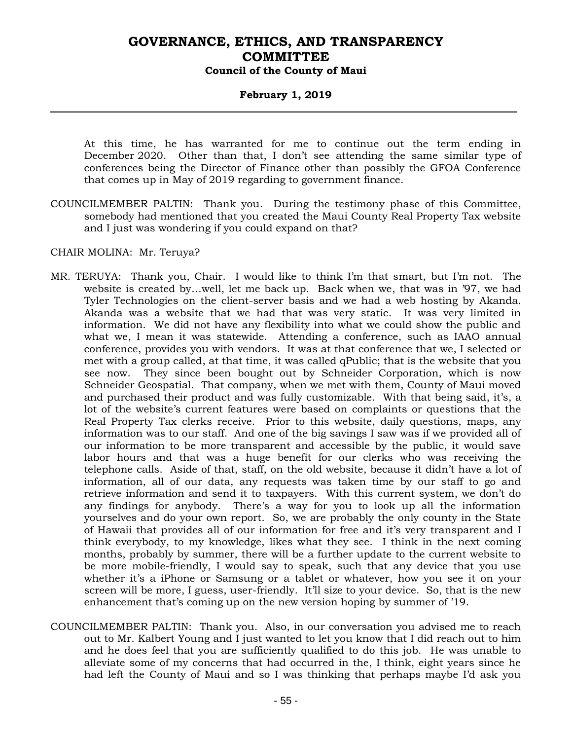### **February 1, 2019**

At this time, he has warranted for me to continue out the term ending in December 2020. Other than that, I don't see attending the same similar type of conferences being the Director of Finance other than possibly the GFOA Conference that comes up in May of 2019 regarding to government finance.

COUNCILMEMBER PALTIN: Thank you. During the testimony phase of this Committee, somebody had mentioned that you created the Maui County Real Property Tax website and I just was wondering if you could expand on that?

- MR. TERUYA: Thank you, Chair. I would like to think I'm that smart, but I'm not. The website is created by…well, let me back up. Back when we, that was in '97, we had Tyler Technologies on the client-server basis and we had a web hosting by Akanda. Akanda was a website that we had that was very static. It was very limited in information. We did not have any flexibility into what we could show the public and what we, I mean it was statewide. Attending a conference, such as IAAO annual conference, provides you with vendors. It was at that conference that we, I selected or met with a group called, at that time, it was called qPublic; that is the website that you see now. They since been bought out by Schneider Corporation, which is now Schneider Geospatial. That company, when we met with them, County of Maui moved and purchased their product and was fully customizable. With that being said, it's, a lot of the website's current features were based on complaints or questions that the Real Property Tax clerks receive. Prior to this website, daily questions, maps, any information was to our staff. And one of the big savings I saw was if we provided all of our information to be more transparent and accessible by the public, it would save labor hours and that was a huge benefit for our clerks who was receiving the telephone calls. Aside of that, staff, on the old website, because it didn't have a lot of information, all of our data, any requests was taken time by our staff to go and retrieve information and send it to taxpayers. With this current system, we don't do any findings for anybody. There's a way for you to look up all the information yourselves and do your own report. So, we are probably the only county in the State of Hawaii that provides all of our information for free and it's very transparent and I think everybody, to my knowledge, likes what they see. I think in the next coming months, probably by summer, there will be a further update to the current website to be more mobile-friendly, I would say to speak, such that any device that you use whether it's a iPhone or Samsung or a tablet or whatever, how you see it on your screen will be more, I guess, user-friendly. It'll size to your device. So, that is the new enhancement that's coming up on the new version hoping by summer of '19.
- COUNCILMEMBER PALTIN: Thank you. Also, in our conversation you advised me to reach out to Mr. Kalbert Young and I just wanted to let you know that I did reach out to him and he does feel that you are sufficiently qualified to do this job. He was unable to alleviate some of my concerns that had occurred in the, I think, eight years since he had left the County of Maui and so I was thinking that perhaps maybe I'd ask you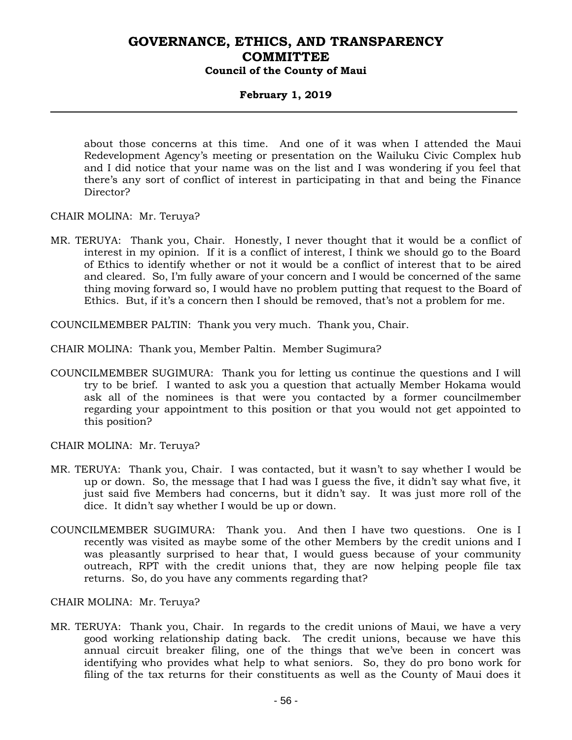### **February 1, 2019**

about those concerns at this time. And one of it was when I attended the Maui Redevelopment Agency's meeting or presentation on the Wailuku Civic Complex hub and I did notice that your name was on the list and I was wondering if you feel that there's any sort of conflict of interest in participating in that and being the Finance Director?

CHAIR MOLINA: Mr. Teruya?

MR. TERUYA: Thank you, Chair. Honestly, I never thought that it would be a conflict of interest in my opinion. If it is a conflict of interest, I think we should go to the Board of Ethics to identify whether or not it would be a conflict of interest that to be aired and cleared. So, I'm fully aware of your concern and I would be concerned of the same thing moving forward so, I would have no problem putting that request to the Board of Ethics. But, if it's a concern then I should be removed, that's not a problem for me.

COUNCILMEMBER PALTIN: Thank you very much. Thank you, Chair.

CHAIR MOLINA: Thank you, Member Paltin. Member Sugimura?

COUNCILMEMBER SUGIMURA: Thank you for letting us continue the questions and I will try to be brief. I wanted to ask you a question that actually Member Hokama would ask all of the nominees is that were you contacted by a former councilmember regarding your appointment to this position or that you would not get appointed to this position?

CHAIR MOLINA: Mr. Teruya?

- MR. TERUYA: Thank you, Chair. I was contacted, but it wasn't to say whether I would be up or down. So, the message that I had was I guess the five, it didn't say what five, it just said five Members had concerns, but it didn't say. It was just more roll of the dice. It didn't say whether I would be up or down.
- COUNCILMEMBER SUGIMURA: Thank you. And then I have two questions. One is I recently was visited as maybe some of the other Members by the credit unions and I was pleasantly surprised to hear that, I would guess because of your community outreach, RPT with the credit unions that, they are now helping people file tax returns. So, do you have any comments regarding that?

CHAIR MOLINA: Mr. Teruya?

MR. TERUYA: Thank you, Chair. In regards to the credit unions of Maui, we have a very good working relationship dating back. The credit unions, because we have this annual circuit breaker filing, one of the things that we've been in concert was identifying who provides what help to what seniors. So, they do pro bono work for filing of the tax returns for their constituents as well as the County of Maui does it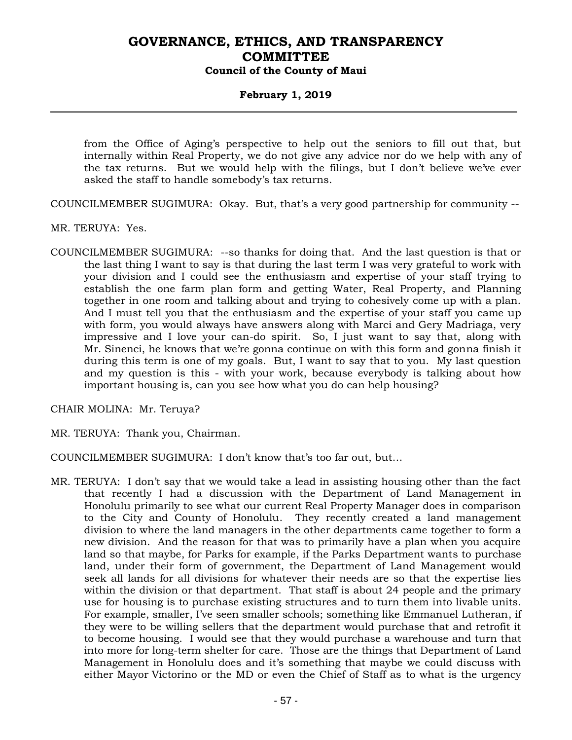### **February 1, 2019**

from the Office of Aging's perspective to help out the seniors to fill out that, but internally within Real Property, we do not give any advice nor do we help with any of the tax returns. But we would help with the filings, but I don't believe we've ever asked the staff to handle somebody's tax returns.

COUNCILMEMBER SUGIMURA: Okay. But, that's a very good partnership for community --

- MR. TERUYA: Yes.
- COUNCILMEMBER SUGIMURA: --so thanks for doing that. And the last question is that or the last thing I want to say is that during the last term I was very grateful to work with your division and I could see the enthusiasm and expertise of your staff trying to establish the one farm plan form and getting Water, Real Property, and Planning together in one room and talking about and trying to cohesively come up with a plan. And I must tell you that the enthusiasm and the expertise of your staff you came up with form, you would always have answers along with Marci and Gery Madriaga, very impressive and I love your can-do spirit. So, I just want to say that, along with Mr. Sinenci, he knows that we're gonna continue on with this form and gonna finish it during this term is one of my goals. But, I want to say that to you. My last question and my question is this - with your work, because everybody is talking about how important housing is, can you see how what you do can help housing?

CHAIR MOLINA: Mr. Teruya?

MR. TERUYA: Thank you, Chairman.

COUNCILMEMBER SUGIMURA: I don't know that's too far out, but…

MR. TERUYA: I don't say that we would take a lead in assisting housing other than the fact that recently I had a discussion with the Department of Land Management in Honolulu primarily to see what our current Real Property Manager does in comparison to the City and County of Honolulu. They recently created a land management division to where the land managers in the other departments came together to form a new division. And the reason for that was to primarily have a plan when you acquire land so that maybe, for Parks for example, if the Parks Department wants to purchase land, under their form of government, the Department of Land Management would seek all lands for all divisions for whatever their needs are so that the expertise lies within the division or that department. That staff is about 24 people and the primary use for housing is to purchase existing structures and to turn them into livable units. For example, smaller, I've seen smaller schools; something like Emmanuel Lutheran, if they were to be willing sellers that the department would purchase that and retrofit it to become housing. I would see that they would purchase a warehouse and turn that into more for long-term shelter for care. Those are the things that Department of Land Management in Honolulu does and it's something that maybe we could discuss with either Mayor Victorino or the MD or even the Chief of Staff as to what is the urgency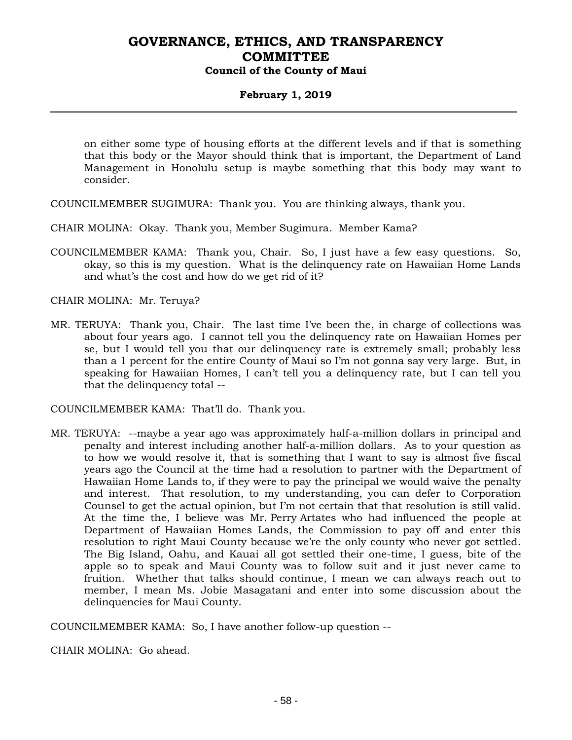### **February 1, 2019**

on either some type of housing efforts at the different levels and if that is something that this body or the Mayor should think that is important, the Department of Land Management in Honolulu setup is maybe something that this body may want to consider.

COUNCILMEMBER SUGIMURA: Thank you. You are thinking always, thank you.

CHAIR MOLINA: Okay. Thank you, Member Sugimura. Member Kama?

COUNCILMEMBER KAMA: Thank you, Chair. So, I just have a few easy questions. So, okay, so this is my question. What is the delinquency rate on Hawaiian Home Lands and what's the cost and how do we get rid of it?

CHAIR MOLINA: Mr. Teruya?

MR. TERUYA: Thank you, Chair. The last time I've been the, in charge of collections was about four years ago. I cannot tell you the delinquency rate on Hawaiian Homes per se, but I would tell you that our delinquency rate is extremely small; probably less than a 1 percent for the entire County of Maui so I'm not gonna say very large. But, in speaking for Hawaiian Homes, I can't tell you a delinquency rate, but I can tell you that the delinquency total --

COUNCILMEMBER KAMA: That'll do. Thank you.

MR. TERUYA: --maybe a year ago was approximately half-a-million dollars in principal and penalty and interest including another half-a-million dollars. As to your question as to how we would resolve it, that is something that I want to say is almost five fiscal years ago the Council at the time had a resolution to partner with the Department of Hawaiian Home Lands to, if they were to pay the principal we would waive the penalty and interest. That resolution, to my understanding, you can defer to Corporation Counsel to get the actual opinion, but I'm not certain that that resolution is still valid. At the time the, I believe was Mr. Perry Artates who had influenced the people at Department of Hawaiian Homes Lands, the Commission to pay off and enter this resolution to right Maui County because we're the only county who never got settled. The Big Island, Oahu, and Kauai all got settled their one-time, I guess, bite of the apple so to speak and Maui County was to follow suit and it just never came to fruition. Whether that talks should continue, I mean we can always reach out to member, I mean Ms. Jobie Masagatani and enter into some discussion about the delinquencies for Maui County.

COUNCILMEMBER KAMA: So, I have another follow-up question --

CHAIR MOLINA: Go ahead.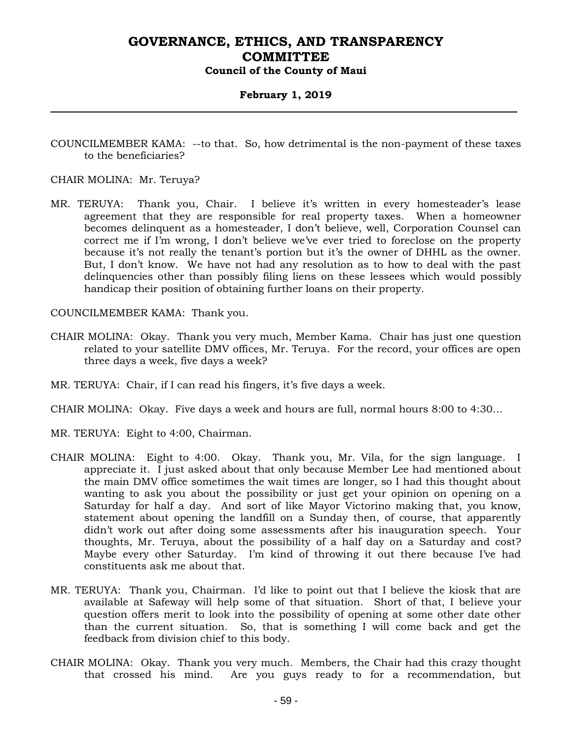### **February 1, 2019**

COUNCILMEMBER KAMA: --to that. So, how detrimental is the non-payment of these taxes to the beneficiaries?

#### CHAIR MOLINA: Mr. Teruya?

MR. TERUYA: Thank you, Chair. I believe it's written in every homesteader's lease agreement that they are responsible for real property taxes. When a homeowner becomes delinquent as a homesteader, I don't believe, well, Corporation Counsel can correct me if I'm wrong, I don't believe we've ever tried to foreclose on the property because it's not really the tenant's portion but it's the owner of DHHL as the owner. But, I don't know. We have not had any resolution as to how to deal with the past delinquencies other than possibly filing liens on these lessees which would possibly handicap their position of obtaining further loans on their property.

COUNCILMEMBER KAMA: Thank you.

- CHAIR MOLINA: Okay. Thank you very much, Member Kama. Chair has just one question related to your satellite DMV offices, Mr. Teruya. For the record, your offices are open three days a week, five days a week?
- MR. TERUYA: Chair, if I can read his fingers, it's five days a week.
- CHAIR MOLINA: Okay. Five days a week and hours are full, normal hours 8:00 to 4:30…
- MR. TERUYA: Eight to 4:00, Chairman.
- CHAIR MOLINA: Eight to 4:00. Okay. Thank you, Mr. Vila, for the sign language. I appreciate it. I just asked about that only because Member Lee had mentioned about the main DMV office sometimes the wait times are longer, so I had this thought about wanting to ask you about the possibility or just get your opinion on opening on a Saturday for half a day. And sort of like Mayor Victorino making that, you know, statement about opening the landfill on a Sunday then, of course, that apparently didn't work out after doing some assessments after his inauguration speech. Your thoughts, Mr. Teruya, about the possibility of a half day on a Saturday and cost? Maybe every other Saturday. I'm kind of throwing it out there because I've had constituents ask me about that.
- MR. TERUYA: Thank you, Chairman. I'd like to point out that I believe the kiosk that are available at Safeway will help some of that situation. Short of that, I believe your question offers merit to look into the possibility of opening at some other date other than the current situation. So, that is something I will come back and get the feedback from division chief to this body.
- CHAIR MOLINA: Okay. Thank you very much. Members, the Chair had this crazy thought that crossed his mind. Are you guys ready to for a recommendation, but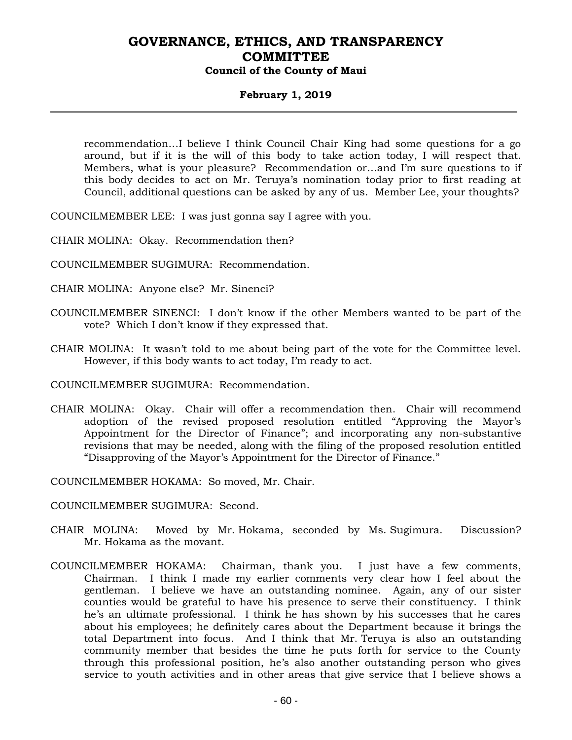### **February 1, 2019**

recommendation…I believe I think Council Chair King had some questions for a go around, but if it is the will of this body to take action today, I will respect that. Members, what is your pleasure? Recommendation or…and I'm sure questions to if this body decides to act on Mr. Teruya's nomination today prior to first reading at Council, additional questions can be asked by any of us. Member Lee, your thoughts?

COUNCILMEMBER LEE: I was just gonna say I agree with you.

CHAIR MOLINA: Okay. Recommendation then?

- COUNCILMEMBER SUGIMURA: Recommendation.
- CHAIR MOLINA: Anyone else? Mr. Sinenci?
- COUNCILMEMBER SINENCI: I don't know if the other Members wanted to be part of the vote? Which I don't know if they expressed that.
- CHAIR MOLINA: It wasn't told to me about being part of the vote for the Committee level. However, if this body wants to act today, I'm ready to act.

COUNCILMEMBER SUGIMURA: Recommendation.

CHAIR MOLINA: Okay. Chair will offer a recommendation then. Chair will recommend adoption of the revised proposed resolution entitled "Approving the Mayor's Appointment for the Director of Finance"; and incorporating any non-substantive revisions that may be needed, along with the filing of the proposed resolution entitled "Disapproving of the Mayor's Appointment for the Director of Finance."

COUNCILMEMBER HOKAMA: So moved, Mr. Chair.

COUNCILMEMBER SUGIMURA: Second.

- CHAIR MOLINA: Moved by Mr. Hokama, seconded by Ms. Sugimura. Discussion? Mr. Hokama as the movant.
- COUNCILMEMBER HOKAMA: Chairman, thank you. I just have a few comments, Chairman. I think I made my earlier comments very clear how I feel about the gentleman. I believe we have an outstanding nominee. Again, any of our sister counties would be grateful to have his presence to serve their constituency. I think he's an ultimate professional. I think he has shown by his successes that he cares about his employees; he definitely cares about the Department because it brings the total Department into focus. And I think that Mr. Teruya is also an outstanding community member that besides the time he puts forth for service to the County through this professional position, he's also another outstanding person who gives service to youth activities and in other areas that give service that I believe shows a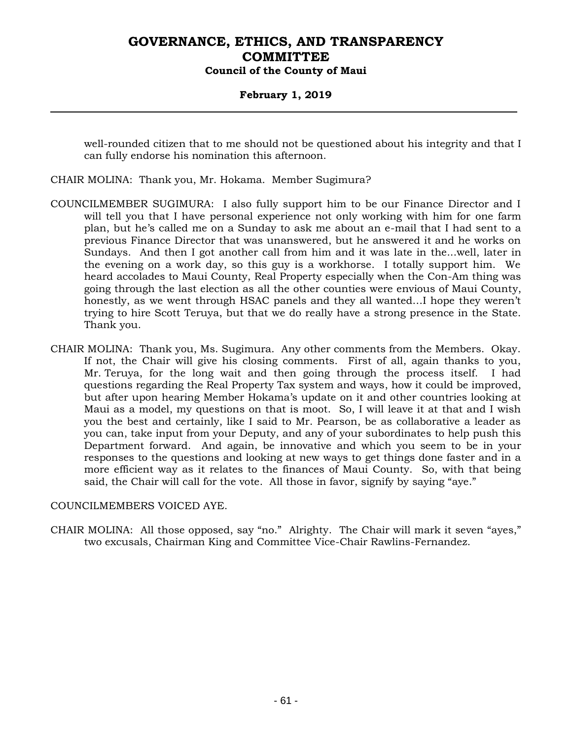### **February 1, 2019**

well-rounded citizen that to me should not be questioned about his integrity and that I can fully endorse his nomination this afternoon.

- CHAIR MOLINA: Thank you, Mr. Hokama. Member Sugimura?
- COUNCILMEMBER SUGIMURA: I also fully support him to be our Finance Director and I will tell you that I have personal experience not only working with him for one farm plan, but he's called me on a Sunday to ask me about an e-mail that I had sent to a previous Finance Director that was unanswered, but he answered it and he works on Sundays. And then I got another call from him and it was late in the...well, later in the evening on a work day, so this guy is a workhorse. I totally support him. We heard accolades to Maui County, Real Property especially when the Con-Am thing was going through the last election as all the other counties were envious of Maui County, honestly, as we went through HSAC panels and they all wanted…I hope they weren't trying to hire Scott Teruya, but that we do really have a strong presence in the State. Thank you.
- CHAIR MOLINA: Thank you, Ms. Sugimura. Any other comments from the Members. Okay. If not, the Chair will give his closing comments. First of all, again thanks to you, Mr. Teruya, for the long wait and then going through the process itself. I had questions regarding the Real Property Tax system and ways, how it could be improved, but after upon hearing Member Hokama's update on it and other countries looking at Maui as a model, my questions on that is moot. So, I will leave it at that and I wish you the best and certainly, like I said to Mr. Pearson, be as collaborative a leader as you can, take input from your Deputy, and any of your subordinates to help push this Department forward. And again, be innovative and which you seem to be in your responses to the questions and looking at new ways to get things done faster and in a more efficient way as it relates to the finances of Maui County. So, with that being said, the Chair will call for the vote. All those in favor, signify by saying "aye."

#### COUNCILMEMBERS VOICED AYE.

CHAIR MOLINA: All those opposed, say "no." Alrighty. The Chair will mark it seven "ayes," two excusals, Chairman King and Committee Vice-Chair Rawlins-Fernandez.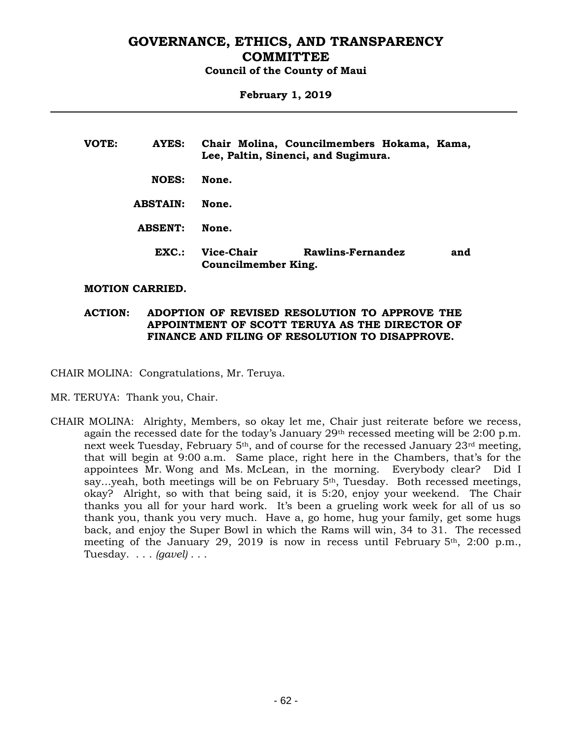#### **February 1, 2019**

| VOTE: | AYES:           | Chair Molina, Councilmembers Hokama, Kama,<br>Lee, Paltin, Sinenci, and Sugimura. |                   |  |     |  |
|-------|-----------------|-----------------------------------------------------------------------------------|-------------------|--|-----|--|
|       | <b>NOES:</b>    | None.                                                                             |                   |  |     |  |
|       | <b>ABSTAIN:</b> | None.                                                                             |                   |  |     |  |
|       | <b>ABSENT:</b>  | None.                                                                             |                   |  |     |  |
|       | $EXC$ .:        | Vice-Chair<br>Councilmember King.                                                 | Rawlins-Fernandez |  | and |  |

#### **MOTION CARRIED.**

### **ACTION: ADOPTION OF REVISED RESOLUTION TO APPROVE THE APPOINTMENT OF SCOTT TERUYA AS THE DIRECTOR OF FINANCE AND FILING OF RESOLUTION TO DISAPPROVE.**

CHAIR MOLINA: Congratulations, Mr. Teruya.

MR. TERUYA: Thank you, Chair.

CHAIR MOLINA: Alrighty, Members, so okay let me, Chair just reiterate before we recess, again the recessed date for the today's January  $29<sup>th</sup>$  recessed meeting will be  $2:00$  p.m. next week Tuesday, February 5th, and of course for the recessed January 23rd meeting, that will begin at 9:00 a.m. Same place, right here in the Chambers, that's for the appointees Mr. Wong and Ms. McLean, in the morning. Everybody clear? Did I say...yeah, both meetings will be on February  $5<sup>th</sup>$ , Tuesday. Both recessed meetings, okay? Alright, so with that being said, it is 5:20, enjoy your weekend. The Chair thanks you all for your hard work. It's been a grueling work week for all of us so thank you, thank you very much. Have a, go home, hug your family, get some hugs back, and enjoy the Super Bowl in which the Rams will win, 34 to 31. The recessed meeting of the January 29, 2019 is now in recess until February 5th, 2:00 p.m., Tuesday. . . . *(gavel)* . . .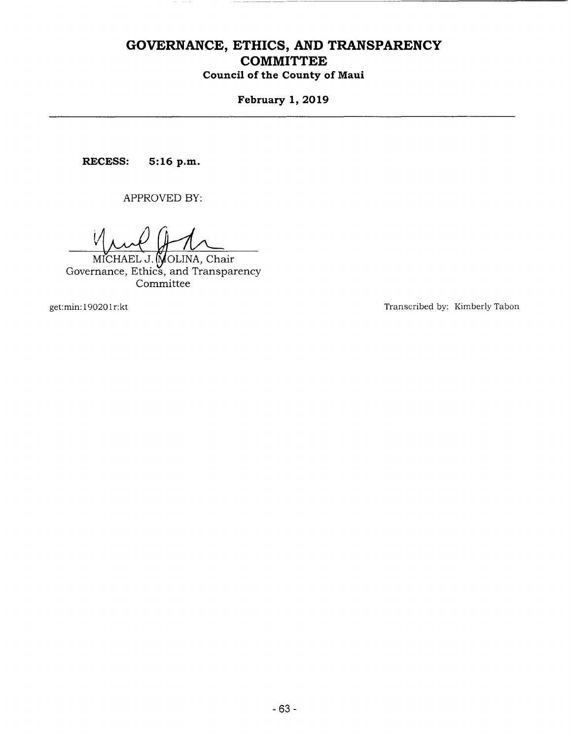# **GOVERNANCE, ETHICS, AND TRANSPARENCY COMMITTEE**

**Council of the County of Maui** 

**February 1, 2019** 

**RECESS:** 5:16 p.m.

APPROVED BY:

 $\mathcal{V}$ 

OLINA, Chair Governance, Ethics, and Transparency Committee

get: min: 190201 r:kt

Transcribed by: Kimberly Tabon